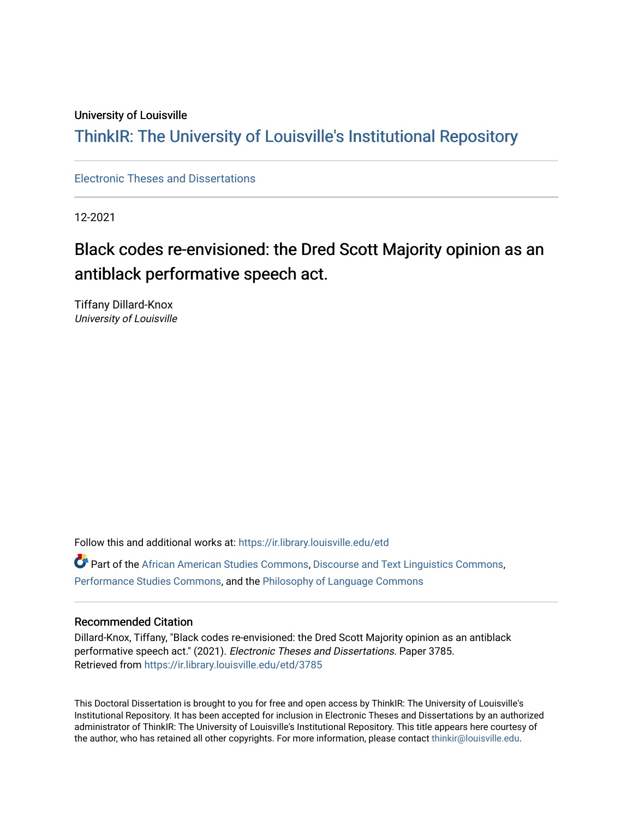#### University of Louisville

# ThinkIR: The Univ[ersity of Louisville's Institutional Reposit](https://ir.library.louisville.edu/)ory

[Electronic Theses and Dissertations](https://ir.library.louisville.edu/etd)

12-2021

# Black codes re-envisioned: the Dred Scott Majority opinion as an antiblack performative speech act.

Tiffany Dillard-Knox University of Louisville

Follow this and additional works at: [https://ir.library.louisville.edu/etd](https://ir.library.louisville.edu/etd?utm_source=ir.library.louisville.edu%2Fetd%2F3785&utm_medium=PDF&utm_campaign=PDFCoverPages) 

Part of the [African American Studies Commons,](https://network.bepress.com/hgg/discipline/567?utm_source=ir.library.louisville.edu%2Fetd%2F3785&utm_medium=PDF&utm_campaign=PDFCoverPages) [Discourse and Text Linguistics Commons](https://network.bepress.com/hgg/discipline/376?utm_source=ir.library.louisville.edu%2Fetd%2F3785&utm_medium=PDF&utm_campaign=PDFCoverPages), [Performance Studies Commons](https://network.bepress.com/hgg/discipline/556?utm_source=ir.library.louisville.edu%2Fetd%2F3785&utm_medium=PDF&utm_campaign=PDFCoverPages), and the [Philosophy of Language Commons](https://network.bepress.com/hgg/discipline/534?utm_source=ir.library.louisville.edu%2Fetd%2F3785&utm_medium=PDF&utm_campaign=PDFCoverPages) 

#### Recommended Citation

Dillard-Knox, Tiffany, "Black codes re-envisioned: the Dred Scott Majority opinion as an antiblack performative speech act." (2021). Electronic Theses and Dissertations. Paper 3785. Retrieved from [https://ir.library.louisville.edu/etd/3785](https://ir.library.louisville.edu/etd/3785?utm_source=ir.library.louisville.edu%2Fetd%2F3785&utm_medium=PDF&utm_campaign=PDFCoverPages) 

This Doctoral Dissertation is brought to you for free and open access by ThinkIR: The University of Louisville's Institutional Repository. It has been accepted for inclusion in Electronic Theses and Dissertations by an authorized administrator of ThinkIR: The University of Louisville's Institutional Repository. This title appears here courtesy of the author, who has retained all other copyrights. For more information, please contact [thinkir@louisville.edu.](mailto:thinkir@louisville.edu)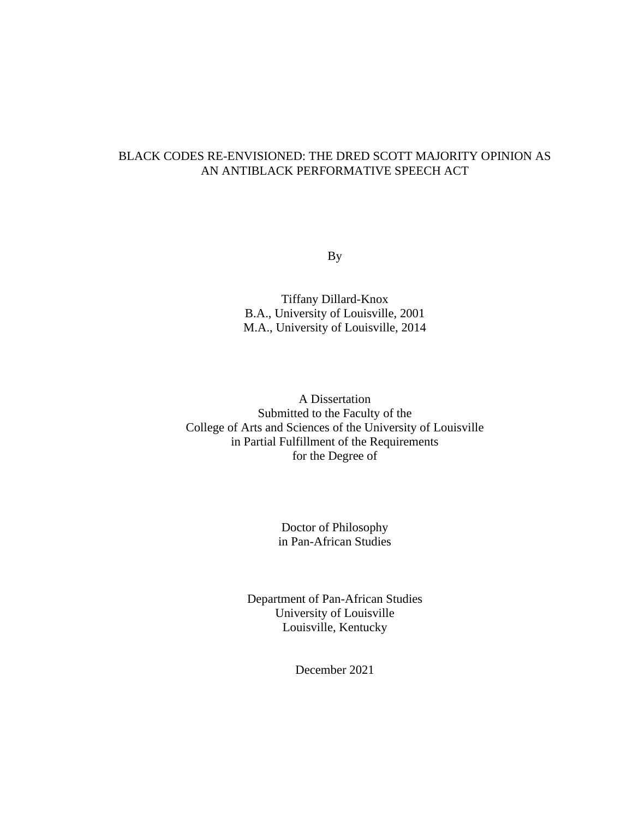## BLACK CODES RE-ENVISIONED: THE DRED SCOTT MAJORITY OPINION AS AN ANTIBLACK PERFORMATIVE SPEECH ACT

By

Tiffany Dillard-Knox B.A., University of Louisville, 2001 M.A., University of Louisville, 2014

A Dissertation Submitted to the Faculty of the College of Arts and Sciences of the University of Louisville in Partial Fulfillment of the Requirements for the Degree of

> Doctor of Philosophy in Pan-African Studies

Department of Pan-African Studies University of Louisville Louisville, Kentucky

December 2021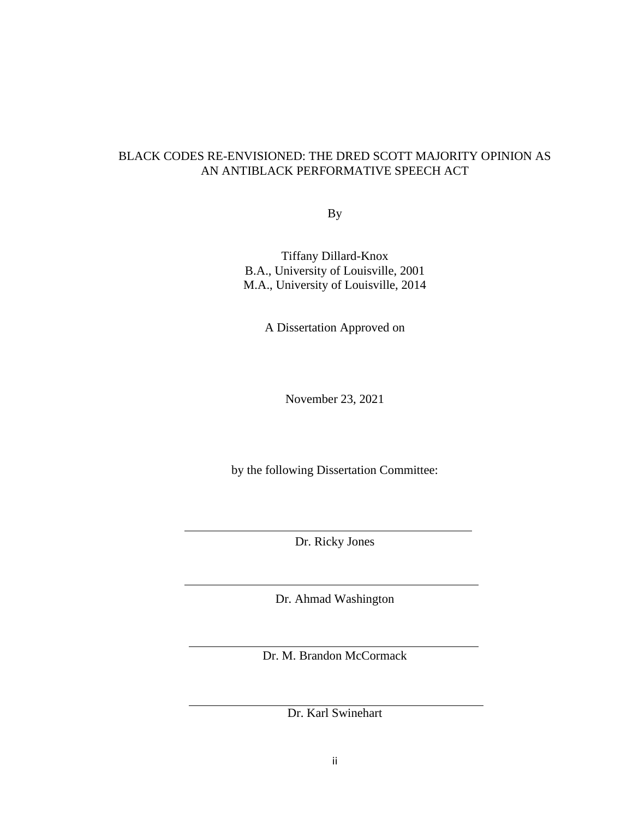### BLACK CODES RE-ENVISIONED: THE DRED SCOTT MAJORITY OPINION AS AN ANTIBLACK PERFORMATIVE SPEECH ACT

By

Tiffany Dillard-Knox B.A., University of Louisville, 2001 M.A., University of Louisville, 2014

A Dissertation Approved on

November 23, 2021

by the following Dissertation Committee:

Dr. Ricky Jones

Dr. Ahmad Washington

Dr. M. Brandon McCormack

Dr. Karl Swinehart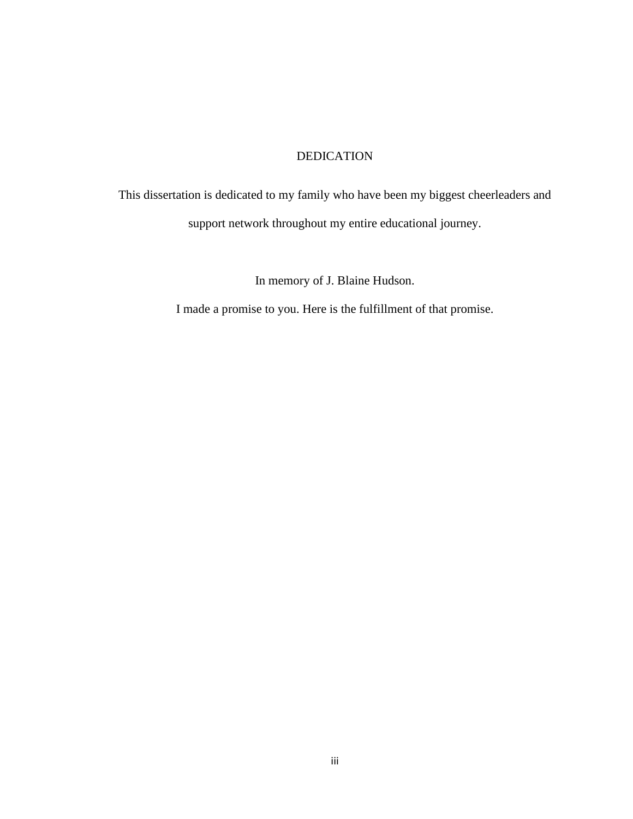## DEDICATION

<span id="page-4-0"></span>This dissertation is dedicated to my family who have been my biggest cheerleaders and support network throughout my entire educational journey.

In memory of J. Blaine Hudson.

I made a promise to you. Here is the fulfillment of that promise.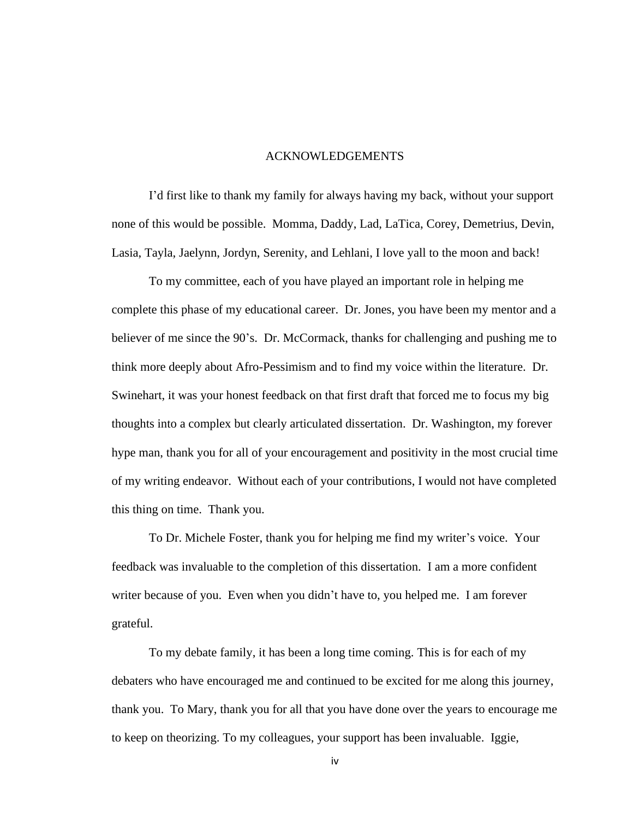#### ACKNOWLEDGEMENTS

<span id="page-5-0"></span>I'd first like to thank my family for always having my back, without your support none of this would be possible. Momma, Daddy, Lad, LaTica, Corey, Demetrius, Devin, Lasia, Tayla, Jaelynn, Jordyn, Serenity, and Lehlani, I love yall to the moon and back!

To my committee, each of you have played an important role in helping me complete this phase of my educational career. Dr. Jones, you have been my mentor and a believer of me since the 90's. Dr. McCormack, thanks for challenging and pushing me to think more deeply about Afro-Pessimism and to find my voice within the literature. Dr. Swinehart, it was your honest feedback on that first draft that forced me to focus my big thoughts into a complex but clearly articulated dissertation. Dr. Washington, my forever hype man, thank you for all of your encouragement and positivity in the most crucial time of my writing endeavor. Without each of your contributions, I would not have completed this thing on time. Thank you.

To Dr. Michele Foster, thank you for helping me find my writer's voice. Your feedback was invaluable to the completion of this dissertation. I am a more confident writer because of you. Even when you didn't have to, you helped me. I am forever grateful.

To my debate family, it has been a long time coming. This is for each of my debaters who have encouraged me and continued to be excited for me along this journey, thank you. To Mary, thank you for all that you have done over the years to encourage me to keep on theorizing. To my colleagues, your support has been invaluable. Iggie,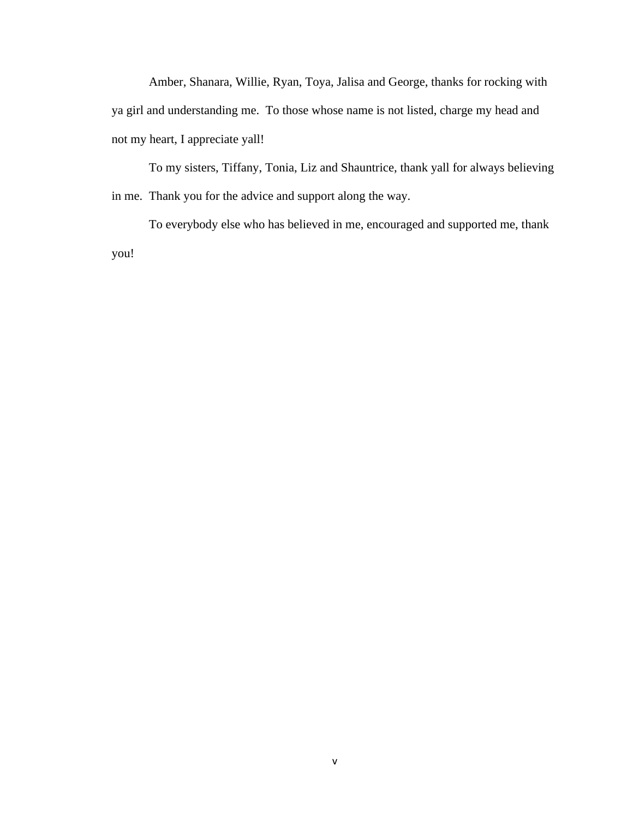Amber, Shanara, Willie, Ryan, Toya, Jalisa and George, thanks for rocking with ya girl and understanding me. To those whose name is not listed, charge my head and not my heart, I appreciate yall!

To my sisters, Tiffany, Tonia, Liz and Shauntrice, thank yall for always believing in me. Thank you for the advice and support along the way.

To everybody else who has believed in me, encouraged and supported me, thank you!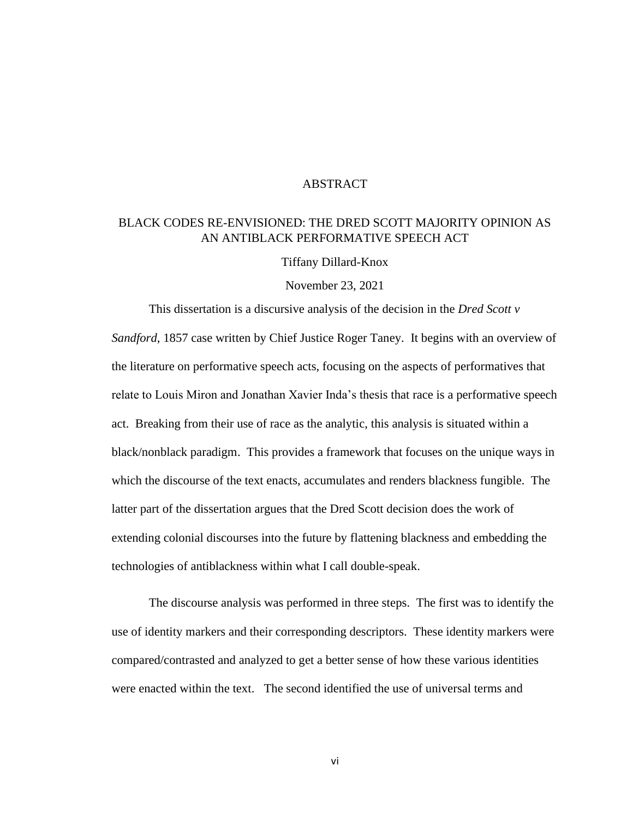#### ABSTRACT

## <span id="page-7-0"></span>BLACK CODES RE-ENVISIONED: THE DRED SCOTT MAJORITY OPINION AS AN ANTIBLACK PERFORMATIVE SPEECH ACT

Tiffany Dillard-Knox

November 23, 2021

This dissertation is a discursive analysis of the decision in the *Dred Scott v Sandford*, 1857 case written by Chief Justice Roger Taney. It begins with an overview of the literature on performative speech acts, focusing on the aspects of performatives that relate to Louis Miron and Jonathan Xavier Inda's thesis that race is a performative speech act. Breaking from their use of race as the analytic, this analysis is situated within a black/nonblack paradigm. This provides a framework that focuses on the unique ways in which the discourse of the text enacts, accumulates and renders blackness fungible. The latter part of the dissertation argues that the Dred Scott decision does the work of extending colonial discourses into the future by flattening blackness and embedding the technologies of antiblackness within what I call double-speak.

The discourse analysis was performed in three steps. The first was to identify the use of identity markers and their corresponding descriptors. These identity markers were compared/contrasted and analyzed to get a better sense of how these various identities were enacted within the text. The second identified the use of universal terms and

vi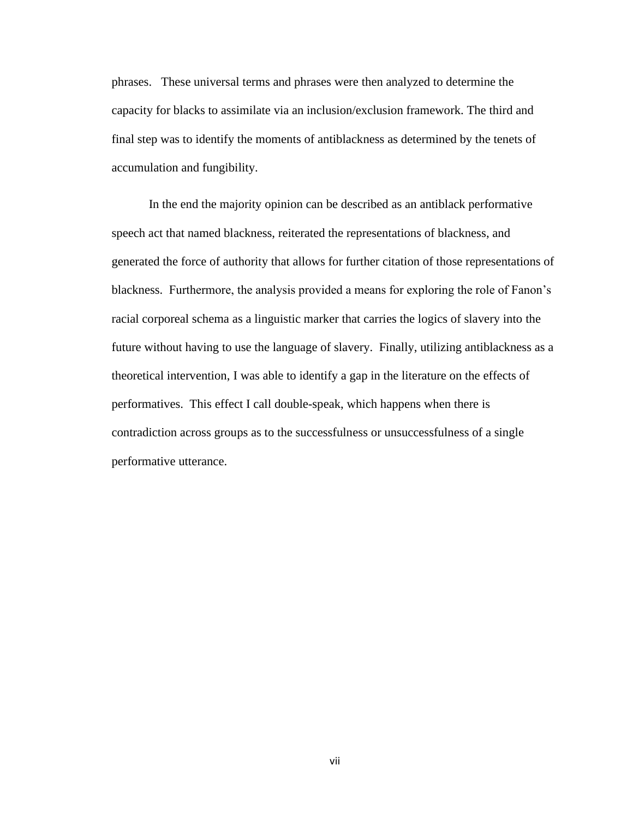phrases. These universal terms and phrases were then analyzed to determine the capacity for blacks to assimilate via an inclusion/exclusion framework. The third and final step was to identify the moments of antiblackness as determined by the tenets of accumulation and fungibility.

In the end the majority opinion can be described as an antiblack performative speech act that named blackness, reiterated the representations of blackness, and generated the force of authority that allows for further citation of those representations of blackness. Furthermore, the analysis provided a means for exploring the role of Fanon's racial corporeal schema as a linguistic marker that carries the logics of slavery into the future without having to use the language of slavery. Finally, utilizing antiblackness as a theoretical intervention, I was able to identify a gap in the literature on the effects of performatives. This effect I call double-speak, which happens when there is contradiction across groups as to the successfulness or unsuccessfulness of a single performative utterance.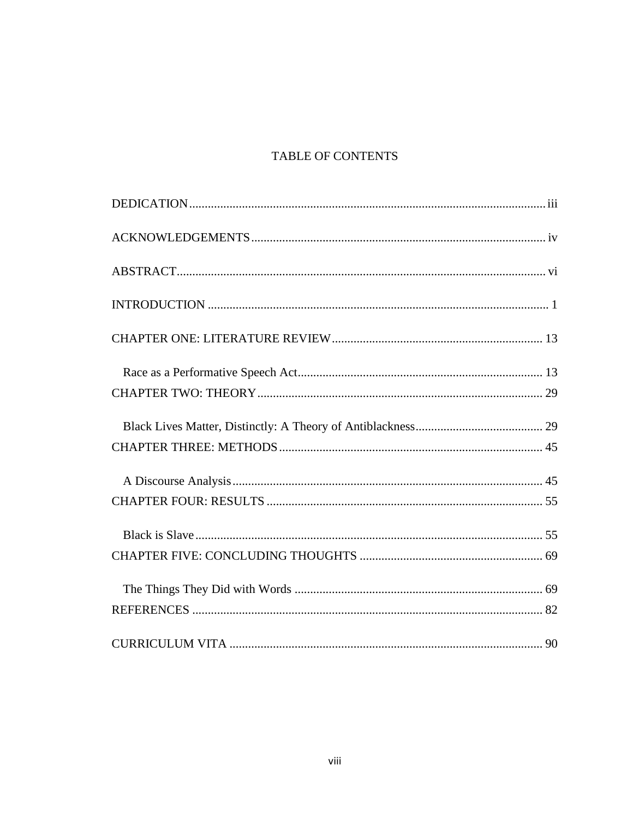## TABLE OF CONTENTS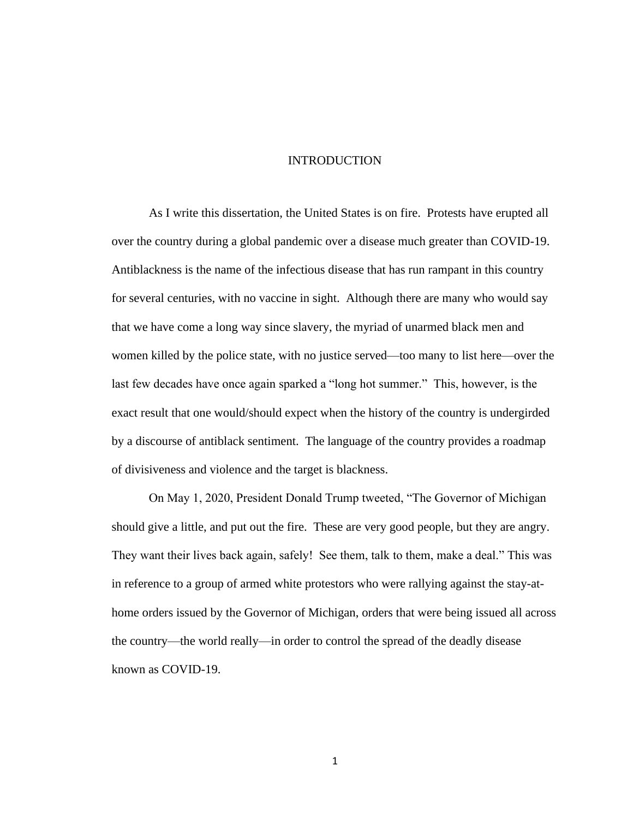#### INTRODUCTION

<span id="page-10-0"></span>As I write this dissertation, the United States is on fire. Protests have erupted all over the country during a global pandemic over a disease much greater than COVID-19. Antiblackness is the name of the infectious disease that has run rampant in this country for several centuries, with no vaccine in sight. Although there are many who would say that we have come a long way since slavery, the myriad of unarmed black men and women killed by the police state, with no justice served—too many to list here—over the last few decades have once again sparked a "long hot summer." This, however, is the exact result that one would/should expect when the history of the country is undergirded by a discourse of antiblack sentiment. The language of the country provides a roadmap of divisiveness and violence and the target is blackness.

On May 1, 2020, President Donald Trump tweeted, "The Governor of Michigan should give a little, and put out the fire. These are very good people, but they are angry. They want their lives back again, safely! See them, talk to them, make a deal." This was in reference to a group of armed white protestors who were rallying against the stay-athome orders issued by the Governor of Michigan, orders that were being issued all across the country—the world really—in order to control the spread of the deadly disease known as COVID-19.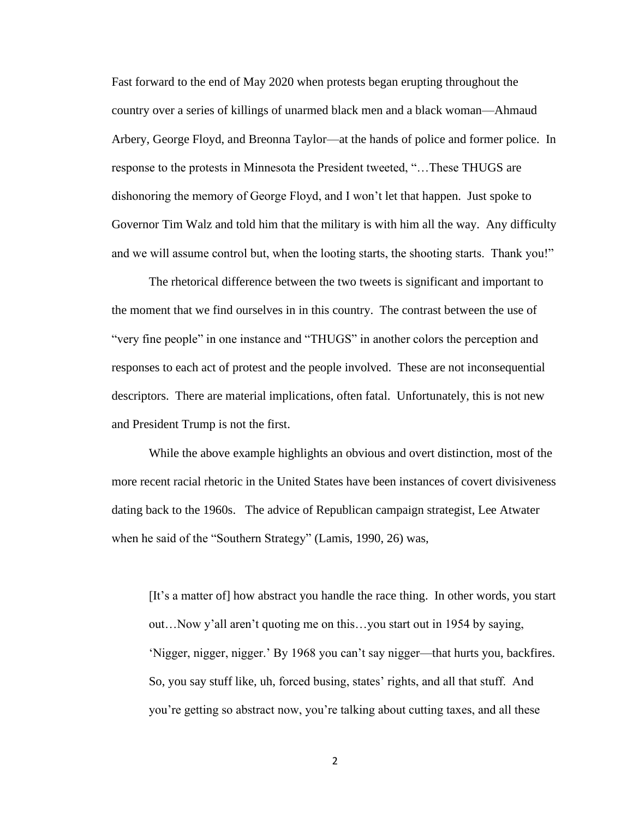Fast forward to the end of May 2020 when protests began erupting throughout the country over a series of killings of unarmed black men and a black woman—Ahmaud Arbery, George Floyd, and Breonna Taylor—at the hands of police and former police. In response to the protests in Minnesota the President tweeted, "…These THUGS are dishonoring the memory of George Floyd, and I won't let that happen. Just spoke to Governor Tim Walz and told him that the military is with him all the way. Any difficulty and we will assume control but, when the looting starts, the shooting starts. Thank you!"

The rhetorical difference between the two tweets is significant and important to the moment that we find ourselves in in this country. The contrast between the use of "very fine people" in one instance and "THUGS" in another colors the perception and responses to each act of protest and the people involved. These are not inconsequential descriptors. There are material implications, often fatal. Unfortunately, this is not new and President Trump is not the first.

While the above example highlights an obvious and overt distinction, most of the more recent racial rhetoric in the United States have been instances of covert divisiveness dating back to the 1960s. The advice of Republican campaign strategist, Lee Atwater when he said of the "Southern Strategy" (Lamis, 1990, 26) was,

[It's a matter of] how abstract you handle the race thing. In other words, you start out…Now y'all aren't quoting me on this…you start out in 1954 by saying, 'Nigger, nigger, nigger.' By 1968 you can't say nigger—that hurts you, backfires. So, you say stuff like, uh, forced busing, states' rights, and all that stuff. And you're getting so abstract now, you're talking about cutting taxes, and all these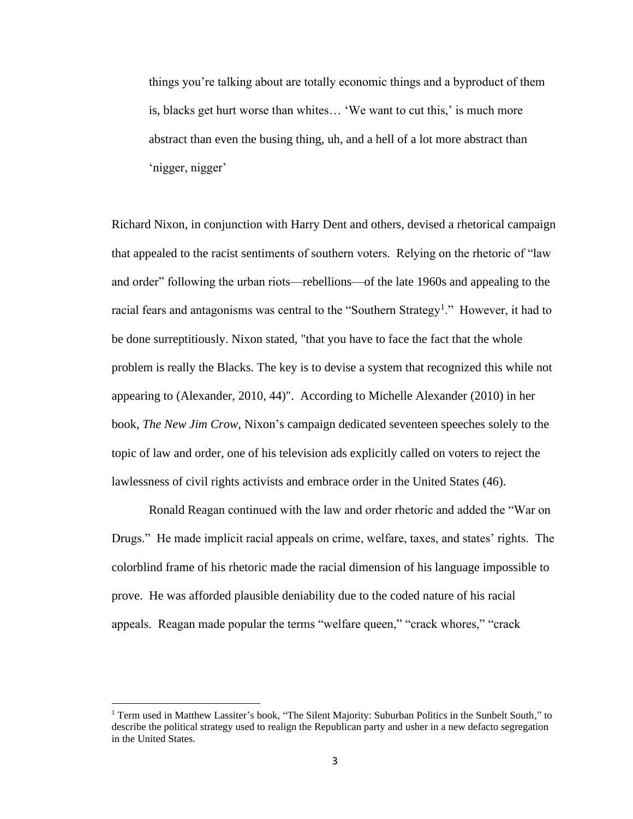things you're talking about are totally economic things and a byproduct of them is, blacks get hurt worse than whites… 'We want to cut this,' is much more abstract than even the busing thing, uh, and a hell of a lot more abstract than 'nigger, nigger'

Richard Nixon, in conjunction with Harry Dent and others, devised a rhetorical campaign that appealed to the racist sentiments of southern voters. Relying on the rhetoric of "law and order" following the urban riots—rebellions—of the late 1960s and appealing to the racial fears and antagonisms was central to the "Southern Strategy<sup>1</sup>." However, it had to be done surreptitiously. Nixon stated, "that you have to face the fact that the whole problem is really the Blacks. The key is to devise a system that recognized this while not appearing to (Alexander, 2010, 44)". According to Michelle Alexander (2010) in her book, *The New Jim Crow*, Nixon's campaign dedicated seventeen speeches solely to the topic of law and order, one of his television ads explicitly called on voters to reject the lawlessness of civil rights activists and embrace order in the United States (46).

Ronald Reagan continued with the law and order rhetoric and added the "War on Drugs." He made implicit racial appeals on crime, welfare, taxes, and states' rights. The colorblind frame of his rhetoric made the racial dimension of his language impossible to prove. He was afforded plausible deniability due to the coded nature of his racial appeals. Reagan made popular the terms "welfare queen," "crack whores," "crack

<sup>1</sup> Term used in Matthew Lassiter's book, "The Silent Majority: Suburban Politics in the Sunbelt South," to describe the political strategy used to realign the Republican party and usher in a new defacto segregation in the United States.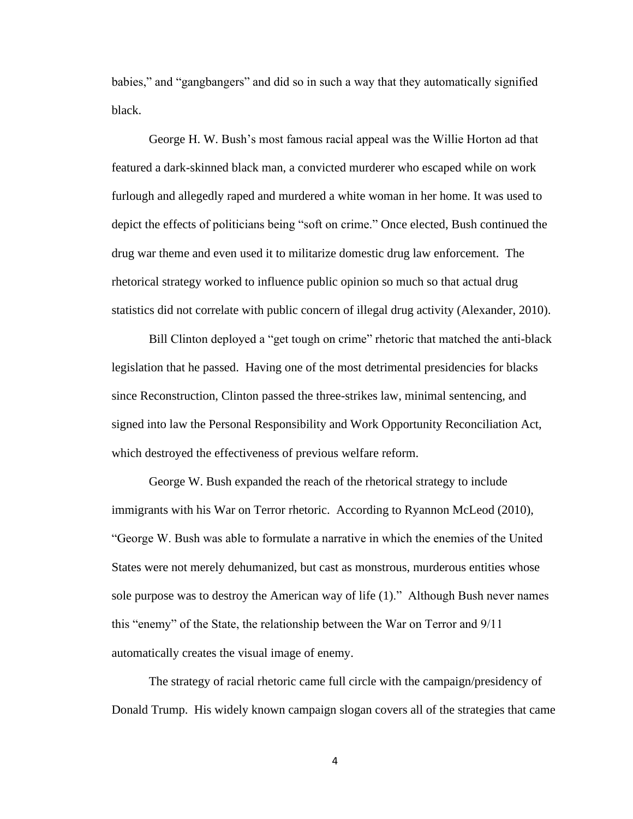babies," and "gangbangers" and did so in such a way that they automatically signified black.

George H. W. Bush's most famous racial appeal was the Willie Horton ad that featured a dark-skinned black man, a convicted murderer who escaped while on work furlough and allegedly raped and murdered a white woman in her home. It was used to depict the effects of politicians being "soft on crime." Once elected, Bush continued the drug war theme and even used it to militarize domestic drug law enforcement. The rhetorical strategy worked to influence public opinion so much so that actual drug statistics did not correlate with public concern of illegal drug activity (Alexander, 2010).

Bill Clinton deployed a "get tough on crime" rhetoric that matched the anti-black legislation that he passed. Having one of the most detrimental presidencies for blacks since Reconstruction, Clinton passed the three-strikes law, minimal sentencing, and signed into law the Personal Responsibility and Work Opportunity Reconciliation Act, which destroyed the effectiveness of previous welfare reform.

George W. Bush expanded the reach of the rhetorical strategy to include immigrants with his War on Terror rhetoric. According to Ryannon McLeod (2010), "George W. Bush was able to formulate a narrative in which the enemies of the United States were not merely dehumanized, but cast as monstrous, murderous entities whose sole purpose was to destroy the American way of life (1)." Although Bush never names this "enemy" of the State, the relationship between the War on Terror and 9/11 automatically creates the visual image of enemy.

The strategy of racial rhetoric came full circle with the campaign/presidency of Donald Trump. His widely known campaign slogan covers all of the strategies that came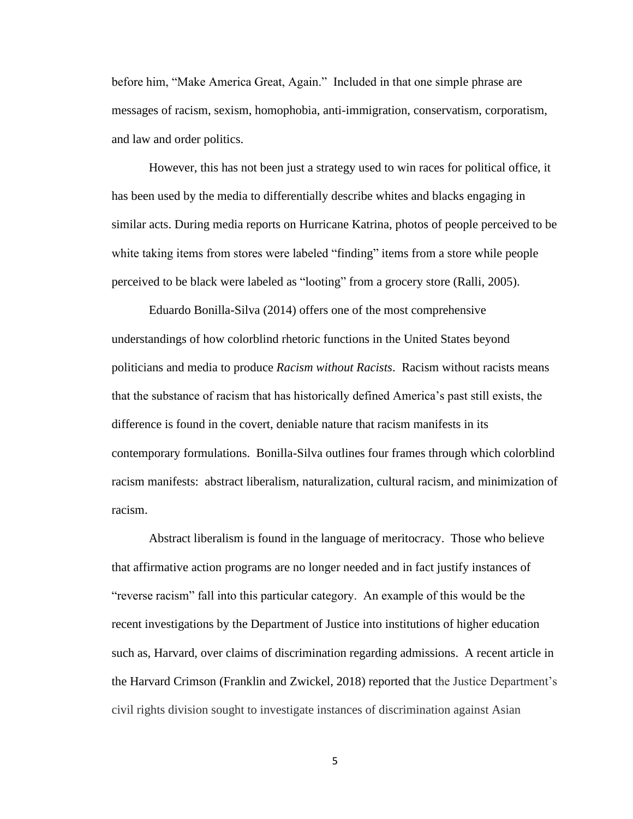before him, "Make America Great, Again." Included in that one simple phrase are messages of racism, sexism, homophobia, anti-immigration, conservatism, corporatism, and law and order politics.

However, this has not been just a strategy used to win races for political office, it has been used by the media to differentially describe whites and blacks engaging in similar acts. During media reports on Hurricane Katrina, photos of people perceived to be white taking items from stores were labeled "finding" items from a store while people perceived to be black were labeled as "looting" from a grocery store (Ralli, 2005).

Eduardo Bonilla-Silva (2014) offers one of the most comprehensive understandings of how colorblind rhetoric functions in the United States beyond politicians and media to produce *Racism without Racists*. Racism without racists means that the substance of racism that has historically defined America's past still exists, the difference is found in the covert, deniable nature that racism manifests in its contemporary formulations. Bonilla-Silva outlines four frames through which colorblind racism manifests: abstract liberalism, naturalization, cultural racism, and minimization of racism.

Abstract liberalism is found in the language of meritocracy. Those who believe that affirmative action programs are no longer needed and in fact justify instances of "reverse racism" fall into this particular category. An example of this would be the recent investigations by the Department of Justice into institutions of higher education such as, Harvard, over claims of discrimination regarding admissions. A recent article in the Harvard Crimson (Franklin and Zwickel, 2018) reported that the Justice Department's civil rights division sought to investigate instances of discrimination against Asian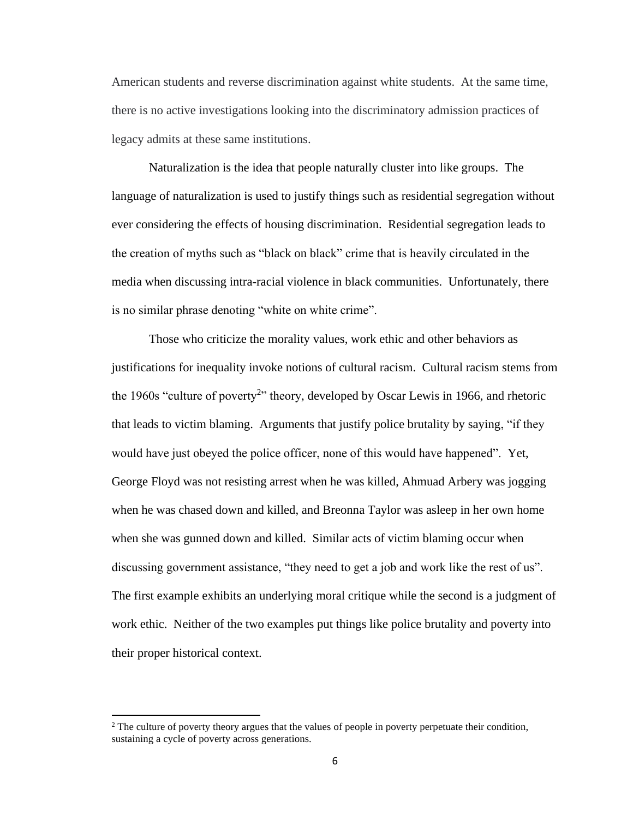American students and reverse discrimination against white students. At the same time, there is no active investigations looking into the discriminatory admission practices of legacy admits at these same institutions.

Naturalization is the idea that people naturally cluster into like groups. The language of naturalization is used to justify things such as residential segregation without ever considering the effects of housing discrimination. Residential segregation leads to the creation of myths such as "black on black" crime that is heavily circulated in the media when discussing intra-racial violence in black communities. Unfortunately, there is no similar phrase denoting "white on white crime".

Those who criticize the morality values, work ethic and other behaviors as justifications for inequality invoke notions of cultural racism. Cultural racism stems from the 1960s "culture of poverty<sup>2</sup>" theory, developed by Oscar Lewis in 1966, and rhetoric that leads to victim blaming. Arguments that justify police brutality by saying, "if they would have just obeyed the police officer, none of this would have happened". Yet, George Floyd was not resisting arrest when he was killed, Ahmuad Arbery was jogging when he was chased down and killed, and Breonna Taylor was asleep in her own home when she was gunned down and killed. Similar acts of victim blaming occur when discussing government assistance, "they need to get a job and work like the rest of us". The first example exhibits an underlying moral critique while the second is a judgment of work ethic. Neither of the two examples put things like police brutality and poverty into their proper historical context.

<sup>&</sup>lt;sup>2</sup> The culture of poverty theory argues that the values of people in poverty perpetuate their condition, sustaining a cycle of poverty across generations.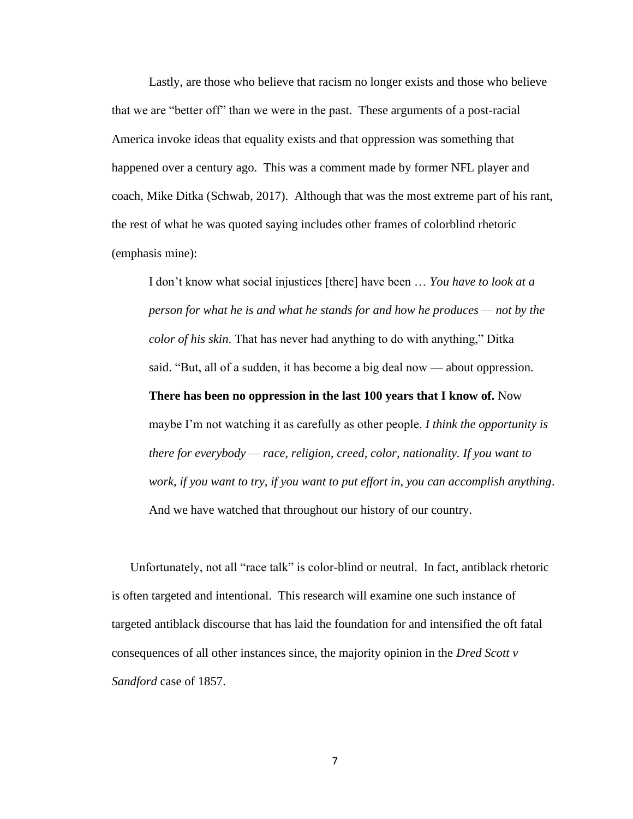Lastly, are those who believe that racism no longer exists and those who believe that we are "better off" than we were in the past. These arguments of a post-racial America invoke ideas that equality exists and that oppression was something that happened over a century ago. This was a comment made by former NFL player and coach, Mike Ditka (Schwab, 2017). Although that was the most extreme part of his rant, the rest of what he was quoted saying includes other frames of colorblind rhetoric (emphasis mine):

I don't know what social injustices [there] have been … *You have to look at a person for what he is and what he stands for and how he produces — not by the color of his skin*. That has never had anything to do with anything," Ditka said. "But, all of a sudden, it has become a big deal now — about oppression. **There has been no oppression in the last 100 years that I know of.** Now maybe I'm not watching it as carefully as other people. *I think the opportunity is there for everybody — race, religion, creed, color, nationality. If you want to work, if you want to try, if you want to put effort in, you can accomplish anything*. And we have watched that throughout our history of our country.

Unfortunately, not all "race talk" is color-blind or neutral. In fact, antiblack rhetoric is often targeted and intentional. This research will examine one such instance of targeted antiblack discourse that has laid the foundation for and intensified the oft fatal consequences of all other instances since, the majority opinion in the *Dred Scott v Sandford* case of 1857.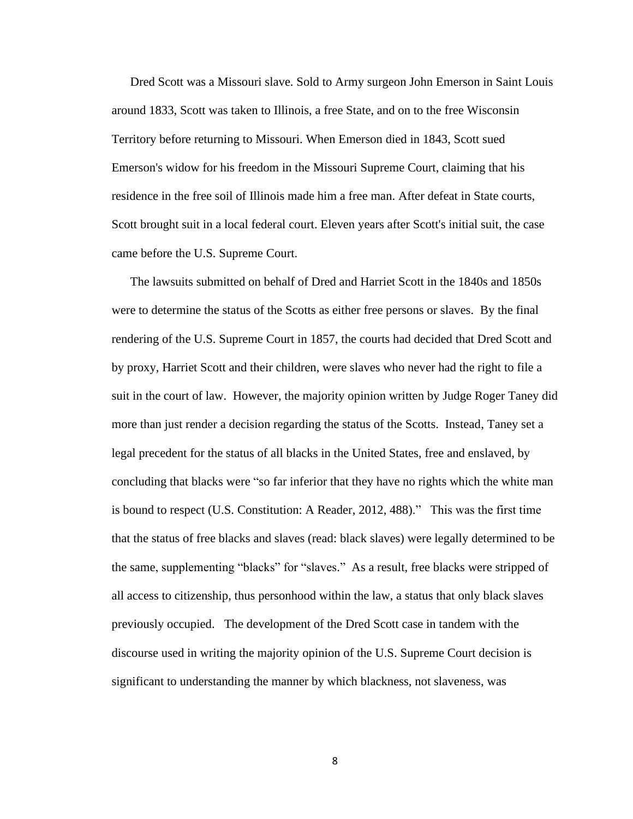Dred Scott was a Missouri slave. Sold to Army surgeon John Emerson in Saint Louis around 1833, Scott was taken to Illinois, a free State, and on to the free Wisconsin Territory before returning to Missouri. When Emerson died in 1843, Scott sued Emerson's widow for his freedom in the Missouri Supreme Court, claiming that his residence in the free soil of Illinois made him a free man. After defeat in State courts, Scott brought suit in a local federal court. Eleven years after Scott's initial suit, the case came before the U.S. Supreme Court.

The lawsuits submitted on behalf of Dred and Harriet Scott in the 1840s and 1850s were to determine the status of the Scotts as either free persons or slaves. By the final rendering of the U.S. Supreme Court in 1857, the courts had decided that Dred Scott and by proxy, Harriet Scott and their children, were slaves who never had the right to file a suit in the court of law. However, the majority opinion written by Judge Roger Taney did more than just render a decision regarding the status of the Scotts. Instead, Taney set a legal precedent for the status of all blacks in the United States, free and enslaved, by concluding that blacks were "so far inferior that they have no rights which the white man is bound to respect (U.S. Constitution: A Reader, 2012, 488)." This was the first time that the status of free blacks and slaves (read: black slaves) were legally determined to be the same, supplementing "blacks" for "slaves." As a result, free blacks were stripped of all access to citizenship, thus personhood within the law, a status that only black slaves previously occupied. The development of the Dred Scott case in tandem with the discourse used in writing the majority opinion of the U.S. Supreme Court decision is significant to understanding the manner by which blackness, not slaveness, was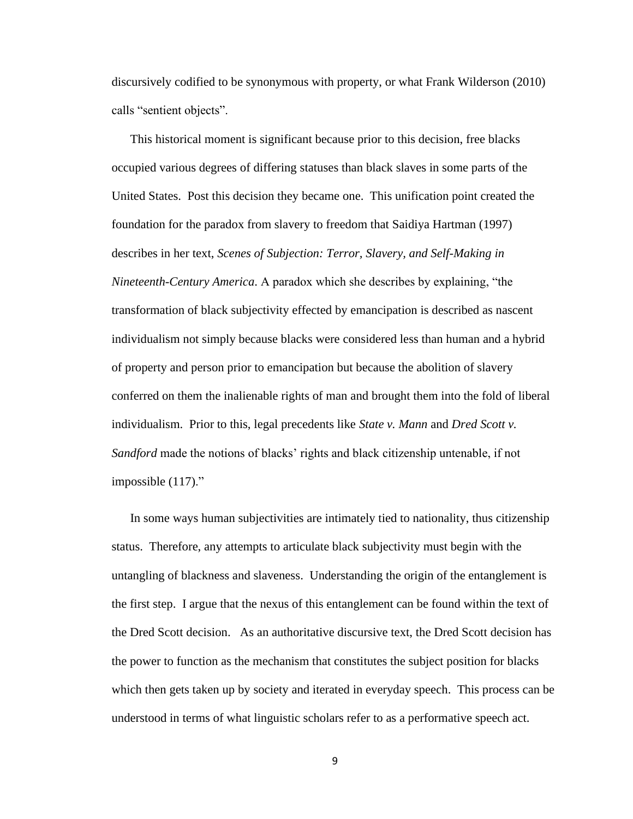discursively codified to be synonymous with property, or what Frank Wilderson (2010) calls "sentient objects".

This historical moment is significant because prior to this decision, free blacks occupied various degrees of differing statuses than black slaves in some parts of the United States. Post this decision they became one. This unification point created the foundation for the paradox from slavery to freedom that Saidiya Hartman (1997) describes in her text, *Scenes of Subjection: Terror, Slavery, and Self-Making in Nineteenth-Century America*. A paradox which she describes by explaining, "the transformation of black subjectivity effected by emancipation is described as nascent individualism not simply because blacks were considered less than human and a hybrid of property and person prior to emancipation but because the abolition of slavery conferred on them the inalienable rights of man and brought them into the fold of liberal individualism. Prior to this, legal precedents like *State v. Mann* and *Dred Scott v. Sandford* made the notions of blacks' rights and black citizenship untenable, if not impossible (117)."

In some ways human subjectivities are intimately tied to nationality, thus citizenship status. Therefore, any attempts to articulate black subjectivity must begin with the untangling of blackness and slaveness. Understanding the origin of the entanglement is the first step. I argue that the nexus of this entanglement can be found within the text of the Dred Scott decision. As an authoritative discursive text, the Dred Scott decision has the power to function as the mechanism that constitutes the subject position for blacks which then gets taken up by society and iterated in everyday speech. This process can be understood in terms of what linguistic scholars refer to as a performative speech act.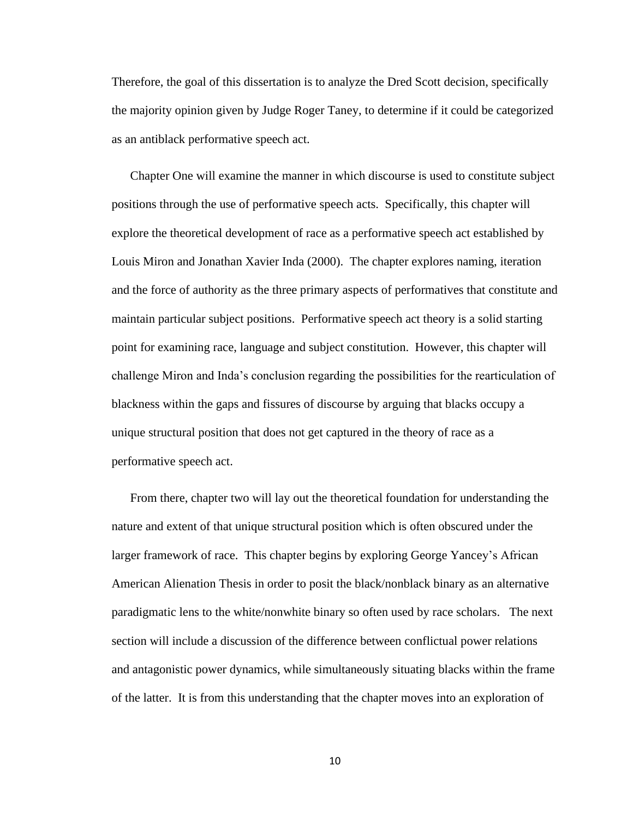Therefore, the goal of this dissertation is to analyze the Dred Scott decision, specifically the majority opinion given by Judge Roger Taney, to determine if it could be categorized as an antiblack performative speech act.

Chapter One will examine the manner in which discourse is used to constitute subject positions through the use of performative speech acts. Specifically, this chapter will explore the theoretical development of race as a performative speech act established by Louis Miron and Jonathan Xavier Inda (2000). The chapter explores naming, iteration and the force of authority as the three primary aspects of performatives that constitute and maintain particular subject positions. Performative speech act theory is a solid starting point for examining race, language and subject constitution. However, this chapter will challenge Miron and Inda's conclusion regarding the possibilities for the rearticulation of blackness within the gaps and fissures of discourse by arguing that blacks occupy a unique structural position that does not get captured in the theory of race as a performative speech act.

From there, chapter two will lay out the theoretical foundation for understanding the nature and extent of that unique structural position which is often obscured under the larger framework of race. This chapter begins by exploring George Yancey's African American Alienation Thesis in order to posit the black/nonblack binary as an alternative paradigmatic lens to the white/nonwhite binary so often used by race scholars. The next section will include a discussion of the difference between conflictual power relations and antagonistic power dynamics, while simultaneously situating blacks within the frame of the latter. It is from this understanding that the chapter moves into an exploration of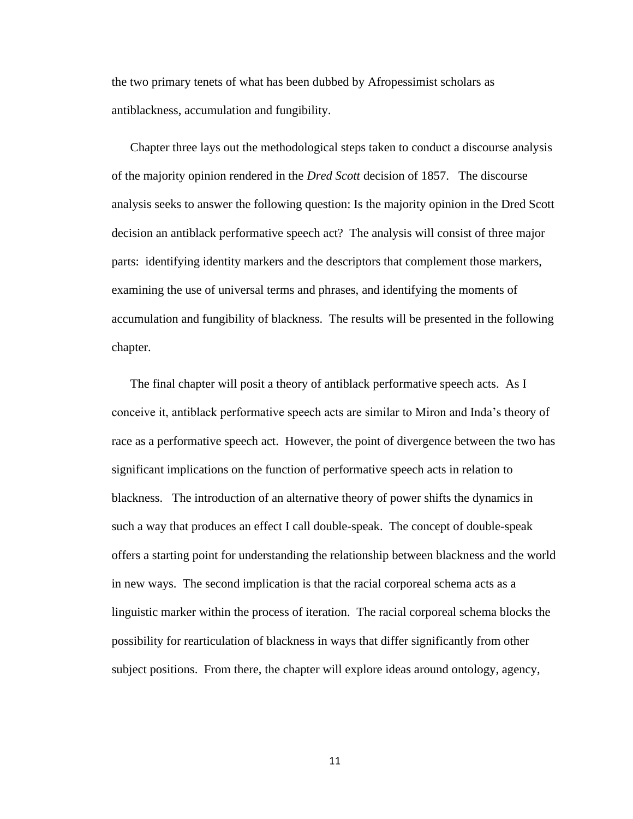the two primary tenets of what has been dubbed by Afropessimist scholars as antiblackness, accumulation and fungibility.

Chapter three lays out the methodological steps taken to conduct a discourse analysis of the majority opinion rendered in the *Dred Scott* decision of 1857. The discourse analysis seeks to answer the following question: Is the majority opinion in the Dred Scott decision an antiblack performative speech act? The analysis will consist of three major parts: identifying identity markers and the descriptors that complement those markers, examining the use of universal terms and phrases, and identifying the moments of accumulation and fungibility of blackness. The results will be presented in the following chapter.

The final chapter will posit a theory of antiblack performative speech acts. As I conceive it, antiblack performative speech acts are similar to Miron and Inda's theory of race as a performative speech act. However, the point of divergence between the two has significant implications on the function of performative speech acts in relation to blackness. The introduction of an alternative theory of power shifts the dynamics in such a way that produces an effect I call double-speak. The concept of double-speak offers a starting point for understanding the relationship between blackness and the world in new ways. The second implication is that the racial corporeal schema acts as a linguistic marker within the process of iteration. The racial corporeal schema blocks the possibility for rearticulation of blackness in ways that differ significantly from other subject positions. From there, the chapter will explore ideas around ontology, agency,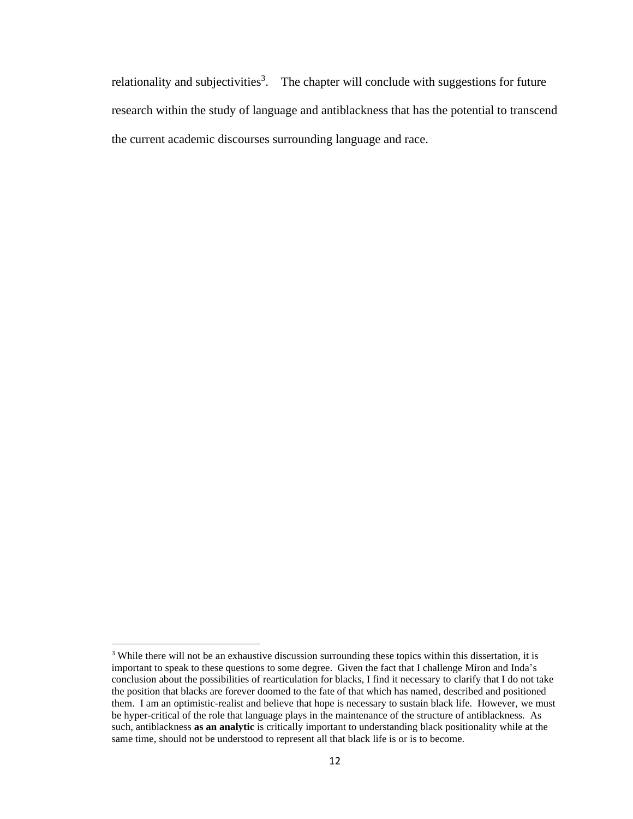relationality and subjectivities<sup>3</sup>. The chapter will conclude with suggestions for future research within the study of language and antiblackness that has the potential to transcend the current academic discourses surrounding language and race.

<sup>&</sup>lt;sup>3</sup> While there will not be an exhaustive discussion surrounding these topics within this dissertation, it is important to speak to these questions to some degree. Given the fact that I challenge Miron and Inda's conclusion about the possibilities of rearticulation for blacks, I find it necessary to clarify that I do not take the position that blacks are forever doomed to the fate of that which has named, described and positioned them. I am an optimistic-realist and believe that hope is necessary to sustain black life. However, we must be hyper-critical of the role that language plays in the maintenance of the structure of antiblackness. As such, antiblackness **as an analytic** is critically important to understanding black positionality while at the same time, should not be understood to represent all that black life is or is to become.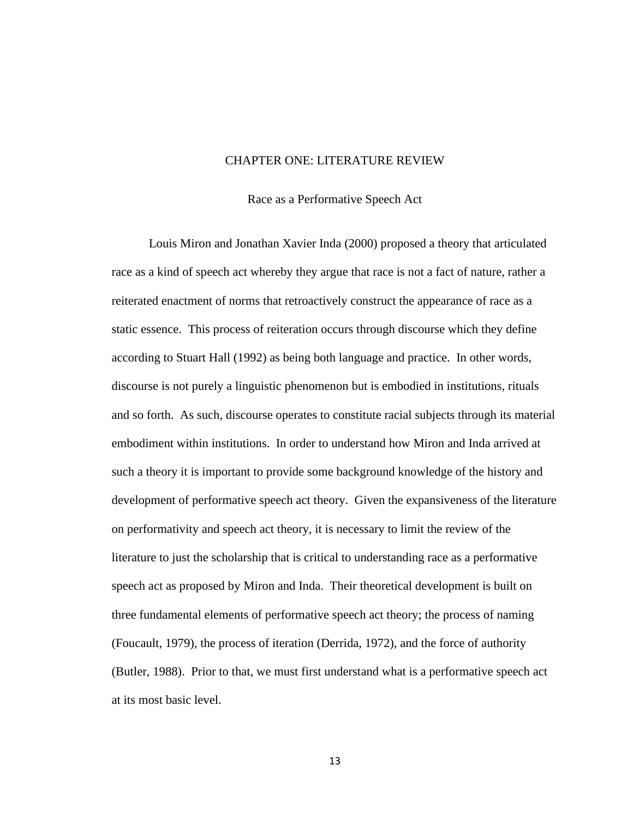#### CHAPTER ONE: LITERATURE REVIEW

Race as a Performative Speech Act

<span id="page-22-1"></span><span id="page-22-0"></span>Louis Miron and Jonathan Xavier Inda (2000) proposed a theory that articulated race as a kind of speech act whereby they argue that race is not a fact of nature, rather a reiterated enactment of norms that retroactively construct the appearance of race as a static essence. This process of reiteration occurs through discourse which they define according to Stuart Hall (1992) as being both language and practice. In other words, discourse is not purely a linguistic phenomenon but is embodied in institutions, rituals and so forth. As such, discourse operates to constitute racial subjects through its material embodiment within institutions. In order to understand how Miron and Inda arrived at such a theory it is important to provide some background knowledge of the history and development of performative speech act theory. Given the expansiveness of the literature on performativity and speech act theory, it is necessary to limit the review of the literature to just the scholarship that is critical to understanding race as a performative speech act as proposed by Miron and Inda. Their theoretical development is built on three fundamental elements of performative speech act theory; the process of naming (Foucault, 1979), the process of iteration (Derrida, 1972), and the force of authority (Butler, 1988). Prior to that, we must first understand what is a performative speech act at its most basic level.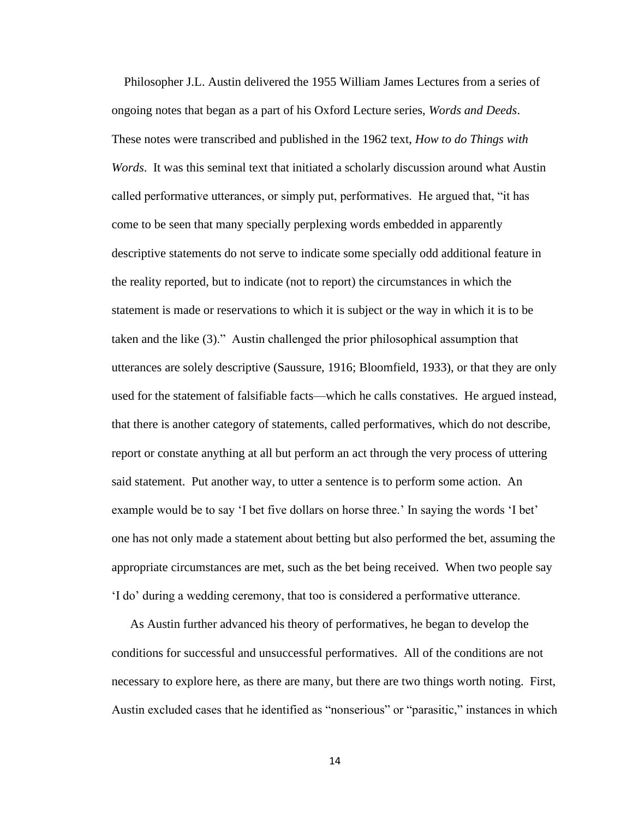Philosopher J.L. Austin delivered the 1955 William James Lectures from a series of ongoing notes that began as a part of his Oxford Lecture series, *Words and Deeds*. These notes were transcribed and published in the 1962 text, *How to do Things with Words*. It was this seminal text that initiated a scholarly discussion around what Austin called performative utterances, or simply put, performatives. He argued that, "it has come to be seen that many specially perplexing words embedded in apparently descriptive statements do not serve to indicate some specially odd additional feature in the reality reported, but to indicate (not to report) the circumstances in which the statement is made or reservations to which it is subject or the way in which it is to be taken and the like (3)." Austin challenged the prior philosophical assumption that utterances are solely descriptive (Saussure, 1916; Bloomfield, 1933), or that they are only used for the statement of falsifiable facts—which he calls constatives. He argued instead, that there is another category of statements, called performatives, which do not describe, report or constate anything at all but perform an act through the very process of uttering said statement. Put another way, to utter a sentence is to perform some action. An example would be to say 'I bet five dollars on horse three.' In saying the words 'I bet' one has not only made a statement about betting but also performed the bet, assuming the appropriate circumstances are met, such as the bet being received. When two people say 'I do' during a wedding ceremony, that too is considered a performative utterance.

As Austin further advanced his theory of performatives, he began to develop the conditions for successful and unsuccessful performatives. All of the conditions are not necessary to explore here, as there are many, but there are two things worth noting. First, Austin excluded cases that he identified as "nonserious" or "parasitic," instances in which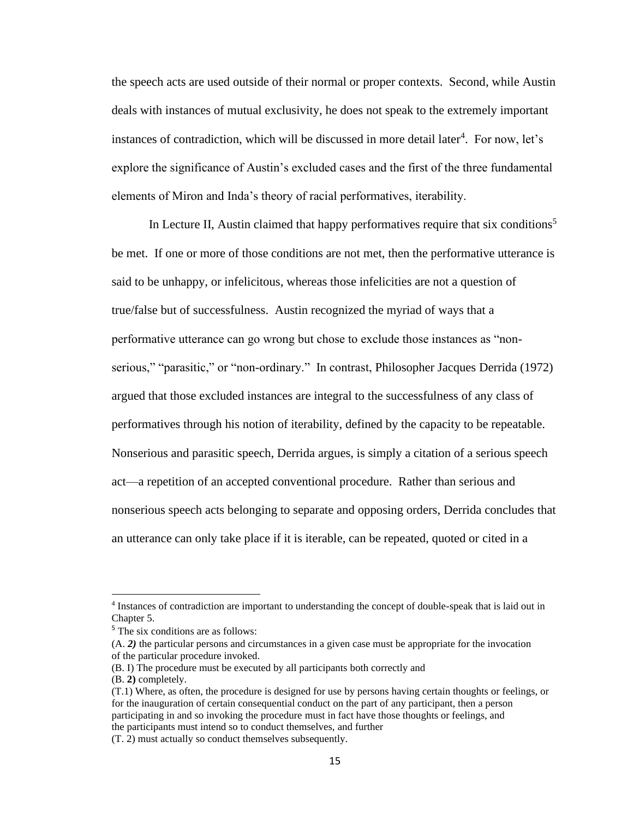the speech acts are used outside of their normal or proper contexts. Second, while Austin deals with instances of mutual exclusivity, he does not speak to the extremely important instances of contradiction, which will be discussed in more detail later<sup>4</sup>. For now, let's explore the significance of Austin's excluded cases and the first of the three fundamental elements of Miron and Inda's theory of racial performatives, iterability.

In Lecture II, Austin claimed that happy performatives require that six conditions<sup>5</sup> be met. If one or more of those conditions are not met, then the performative utterance is said to be unhappy, or infelicitous, whereas those infelicities are not a question of true/false but of successfulness. Austin recognized the myriad of ways that a performative utterance can go wrong but chose to exclude those instances as "nonserious," "parasitic," or "non-ordinary." In contrast, Philosopher Jacques Derrida (1972) argued that those excluded instances are integral to the successfulness of any class of performatives through his notion of iterability, defined by the capacity to be repeatable. Nonserious and parasitic speech, Derrida argues, is simply a citation of a serious speech act—a repetition of an accepted conventional procedure. Rather than serious and nonserious speech acts belonging to separate and opposing orders, Derrida concludes that an utterance can only take place if it is iterable, can be repeated, quoted or cited in a

(B. **2)** completely.

<sup>&</sup>lt;sup>4</sup> Instances of contradiction are important to understanding the concept of double-speak that is laid out in Chapter 5.

<sup>&</sup>lt;sup>5</sup> The six conditions are as follows:

<sup>(</sup>A. *2)* the particular persons and circumstances in a given case must be appropriate for the invocation of the particular procedure invoked.

<sup>(</sup>B. I) The procedure must be executed by all participants both correctly and

<sup>(</sup>T.1) Where, as often, the procedure is designed for use by persons having certain thoughts or feelings, or for the inauguration of certain consequential conduct on the part of any participant, then a person participating in and so invoking the procedure must in fact have those thoughts or feelings, and the participants must intend so to conduct themselves, and further

<sup>(</sup>T. 2) must actually so conduct themselves subsequently.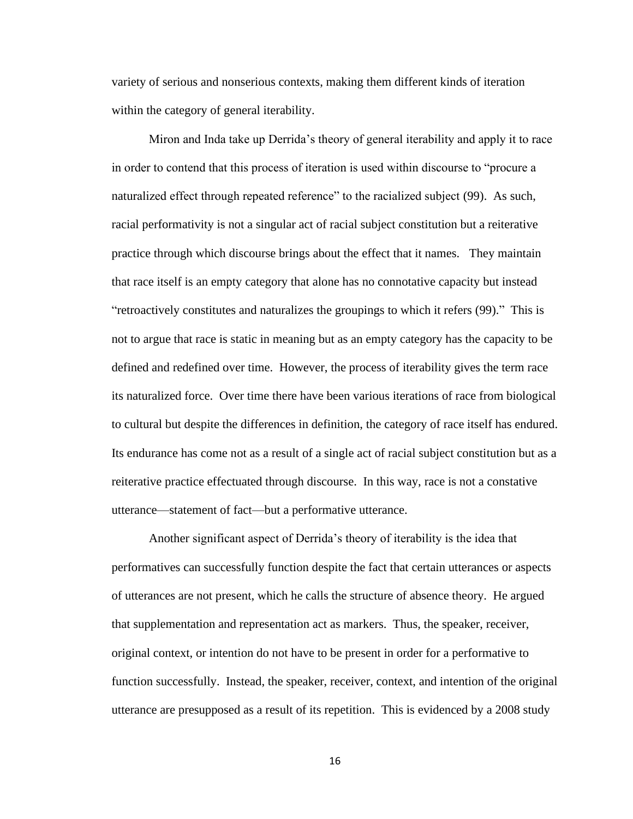variety of serious and nonserious contexts, making them different kinds of iteration within the category of general iterability.

Miron and Inda take up Derrida's theory of general iterability and apply it to race in order to contend that this process of iteration is used within discourse to "procure a naturalized effect through repeated reference" to the racialized subject (99). As such, racial performativity is not a singular act of racial subject constitution but a reiterative practice through which discourse brings about the effect that it names. They maintain that race itself is an empty category that alone has no connotative capacity but instead "retroactively constitutes and naturalizes the groupings to which it refers (99)." This is not to argue that race is static in meaning but as an empty category has the capacity to be defined and redefined over time. However, the process of iterability gives the term race its naturalized force. Over time there have been various iterations of race from biological to cultural but despite the differences in definition, the category of race itself has endured. Its endurance has come not as a result of a single act of racial subject constitution but as a reiterative practice effectuated through discourse. In this way, race is not a constative utterance—statement of fact—but a performative utterance.

Another significant aspect of Derrida's theory of iterability is the idea that performatives can successfully function despite the fact that certain utterances or aspects of utterances are not present, which he calls the structure of absence theory. He argued that supplementation and representation act as markers. Thus, the speaker, receiver, original context, or intention do not have to be present in order for a performative to function successfully. Instead, the speaker, receiver, context, and intention of the original utterance are presupposed as a result of its repetition. This is evidenced by a 2008 study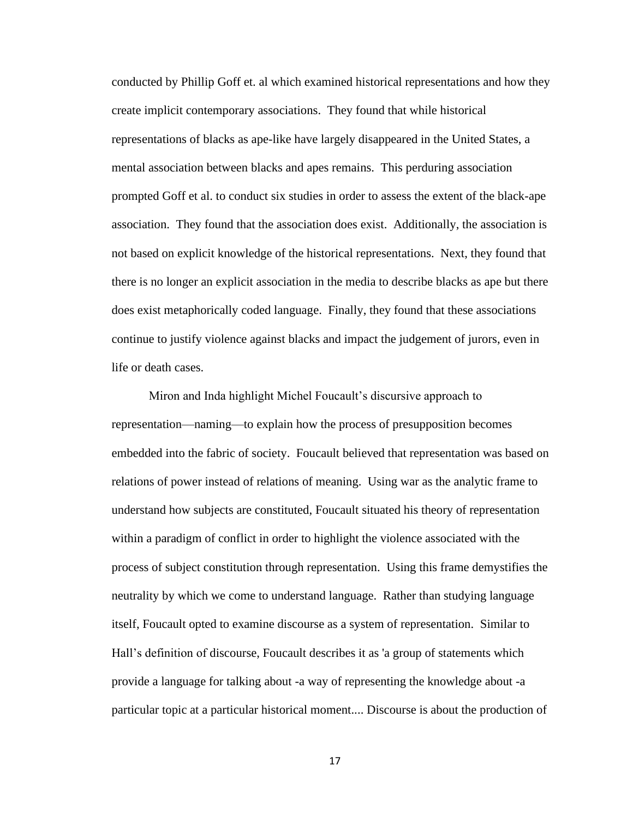conducted by Phillip Goff et. al which examined historical representations and how they create implicit contemporary associations. They found that while historical representations of blacks as ape-like have largely disappeared in the United States, a mental association between blacks and apes remains. This perduring association prompted Goff et al. to conduct six studies in order to assess the extent of the black-ape association. They found that the association does exist. Additionally, the association is not based on explicit knowledge of the historical representations. Next, they found that there is no longer an explicit association in the media to describe blacks as ape but there does exist metaphorically coded language. Finally, they found that these associations continue to justify violence against blacks and impact the judgement of jurors, even in life or death cases.

Miron and Inda highlight Michel Foucault's discursive approach to representation—naming—to explain how the process of presupposition becomes embedded into the fabric of society. Foucault believed that representation was based on relations of power instead of relations of meaning. Using war as the analytic frame to understand how subjects are constituted, Foucault situated his theory of representation within a paradigm of conflict in order to highlight the violence associated with the process of subject constitution through representation. Using this frame demystifies the neutrality by which we come to understand language. Rather than studying language itself, Foucault opted to examine discourse as a system of representation. Similar to Hall's definition of discourse, Foucault describes it as 'a group of statements which provide a language for talking about -a way of representing the knowledge about -a particular topic at a particular historical moment.... Discourse is about the production of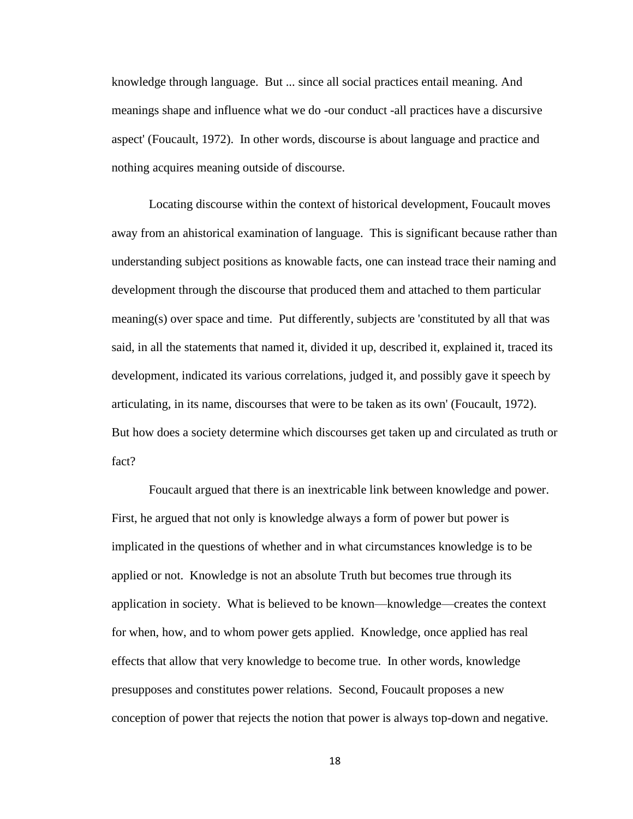knowledge through language. But ... since all social practices entail meaning. And meanings shape and influence what we do -our conduct -all practices have a discursive aspect' (Foucault, 1972). In other words, discourse is about language and practice and nothing acquires meaning outside of discourse.

Locating discourse within the context of historical development, Foucault moves away from an ahistorical examination of language. This is significant because rather than understanding subject positions as knowable facts, one can instead trace their naming and development through the discourse that produced them and attached to them particular meaning(s) over space and time. Put differently, subjects are 'constituted by all that was said, in all the statements that named it, divided it up, described it, explained it, traced its development, indicated its various correlations, judged it, and possibly gave it speech by articulating, in its name, discourses that were to be taken as its own' (Foucault, 1972). But how does a society determine which discourses get taken up and circulated as truth or fact?

Foucault argued that there is an inextricable link between knowledge and power. First, he argued that not only is knowledge always a form of power but power is implicated in the questions of whether and in what circumstances knowledge is to be applied or not. Knowledge is not an absolute Truth but becomes true through its application in society. What is believed to be known—knowledge—creates the context for when, how, and to whom power gets applied. Knowledge, once applied has real effects that allow that very knowledge to become true. In other words, knowledge presupposes and constitutes power relations. Second, Foucault proposes a new conception of power that rejects the notion that power is always top-down and negative.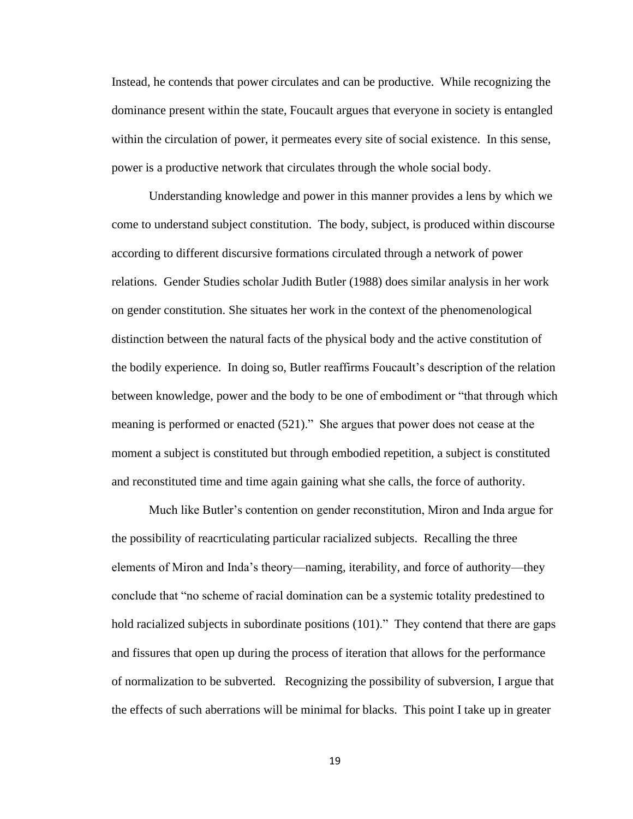Instead, he contends that power circulates and can be productive. While recognizing the dominance present within the state, Foucault argues that everyone in society is entangled within the circulation of power, it permeates every site of social existence. In this sense, power is a productive network that circulates through the whole social body.

Understanding knowledge and power in this manner provides a lens by which we come to understand subject constitution. The body, subject, is produced within discourse according to different discursive formations circulated through a network of power relations. Gender Studies scholar Judith Butler (1988) does similar analysis in her work on gender constitution. She situates her work in the context of the phenomenological distinction between the natural facts of the physical body and the active constitution of the bodily experience. In doing so, Butler reaffirms Foucault's description of the relation between knowledge, power and the body to be one of embodiment or "that through which meaning is performed or enacted (521)." She argues that power does not cease at the moment a subject is constituted but through embodied repetition, a subject is constituted and reconstituted time and time again gaining what she calls, the force of authority.

Much like Butler's contention on gender reconstitution, Miron and Inda argue for the possibility of reacrticulating particular racialized subjects. Recalling the three elements of Miron and Inda's theory—naming, iterability, and force of authority—they conclude that "no scheme of racial domination can be a systemic totality predestined to hold racialized subjects in subordinate positions (101)." They contend that there are gaps and fissures that open up during the process of iteration that allows for the performance of normalization to be subverted. Recognizing the possibility of subversion, I argue that the effects of such aberrations will be minimal for blacks. This point I take up in greater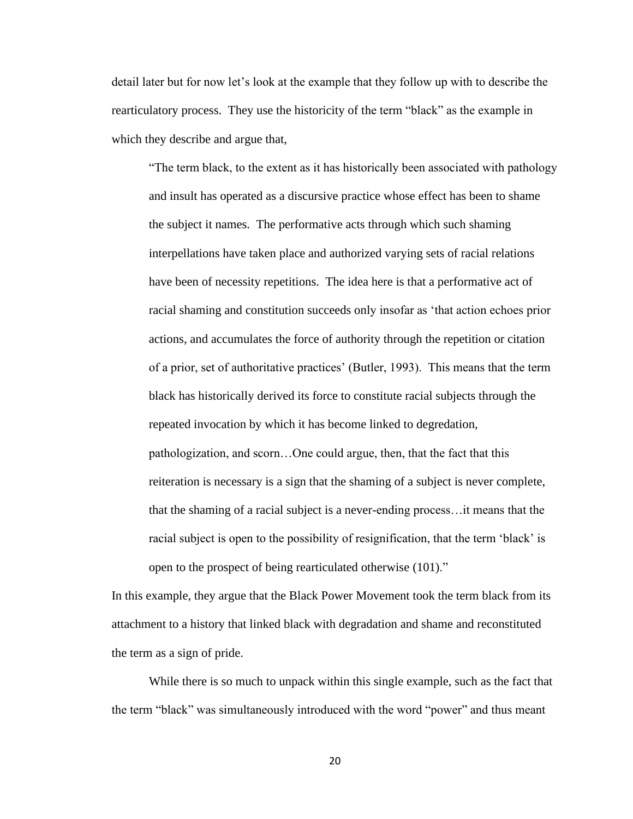detail later but for now let's look at the example that they follow up with to describe the rearticulatory process. They use the historicity of the term "black" as the example in which they describe and argue that,

"The term black, to the extent as it has historically been associated with pathology and insult has operated as a discursive practice whose effect has been to shame the subject it names. The performative acts through which such shaming interpellations have taken place and authorized varying sets of racial relations have been of necessity repetitions. The idea here is that a performative act of racial shaming and constitution succeeds only insofar as 'that action echoes prior actions, and accumulates the force of authority through the repetition or citation of a prior, set of authoritative practices' (Butler, 1993). This means that the term black has historically derived its force to constitute racial subjects through the repeated invocation by which it has become linked to degredation, pathologization, and scorn…One could argue, then, that the fact that this reiteration is necessary is a sign that the shaming of a subject is never complete, that the shaming of a racial subject is a never-ending process…it means that the racial subject is open to the possibility of resignification, that the term 'black' is open to the prospect of being rearticulated otherwise (101)."

In this example, they argue that the Black Power Movement took the term black from its attachment to a history that linked black with degradation and shame and reconstituted the term as a sign of pride.

While there is so much to unpack within this single example, such as the fact that the term "black" was simultaneously introduced with the word "power" and thus meant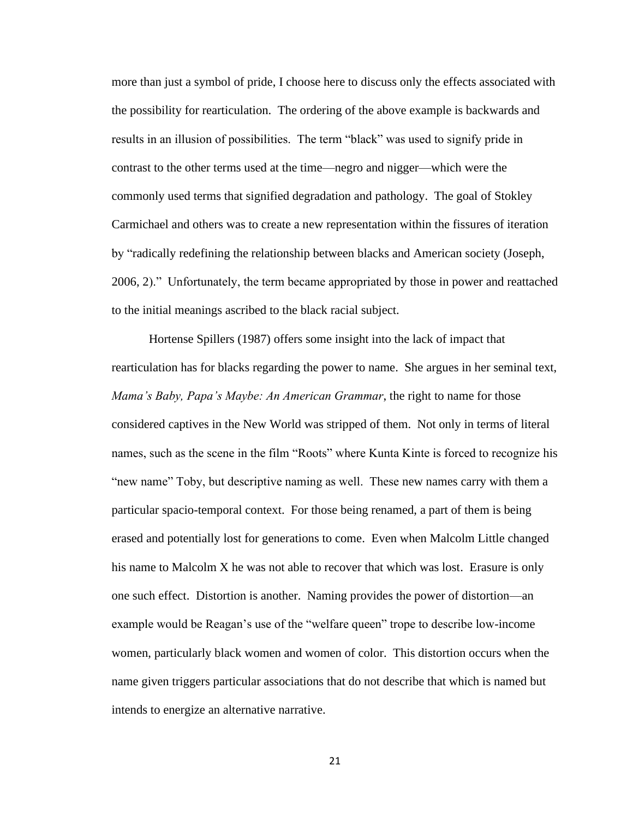more than just a symbol of pride, I choose here to discuss only the effects associated with the possibility for rearticulation. The ordering of the above example is backwards and results in an illusion of possibilities. The term "black" was used to signify pride in contrast to the other terms used at the time—negro and nigger—which were the commonly used terms that signified degradation and pathology. The goal of Stokley Carmichael and others was to create a new representation within the fissures of iteration by "radically redefining the relationship between blacks and American society (Joseph, 2006, 2)." Unfortunately, the term became appropriated by those in power and reattached to the initial meanings ascribed to the black racial subject.

Hortense Spillers (1987) offers some insight into the lack of impact that rearticulation has for blacks regarding the power to name. She argues in her seminal text, *Mama's Baby, Papa's Maybe: An American Grammar*, the right to name for those considered captives in the New World was stripped of them. Not only in terms of literal names, such as the scene in the film "Roots" where Kunta Kinte is forced to recognize his "new name" Toby, but descriptive naming as well. These new names carry with them a particular spacio-temporal context. For those being renamed, a part of them is being erased and potentially lost for generations to come. Even when Malcolm Little changed his name to Malcolm X he was not able to recover that which was lost. Erasure is only one such effect. Distortion is another. Naming provides the power of distortion—an example would be Reagan's use of the "welfare queen" trope to describe low-income women, particularly black women and women of color. This distortion occurs when the name given triggers particular associations that do not describe that which is named but intends to energize an alternative narrative.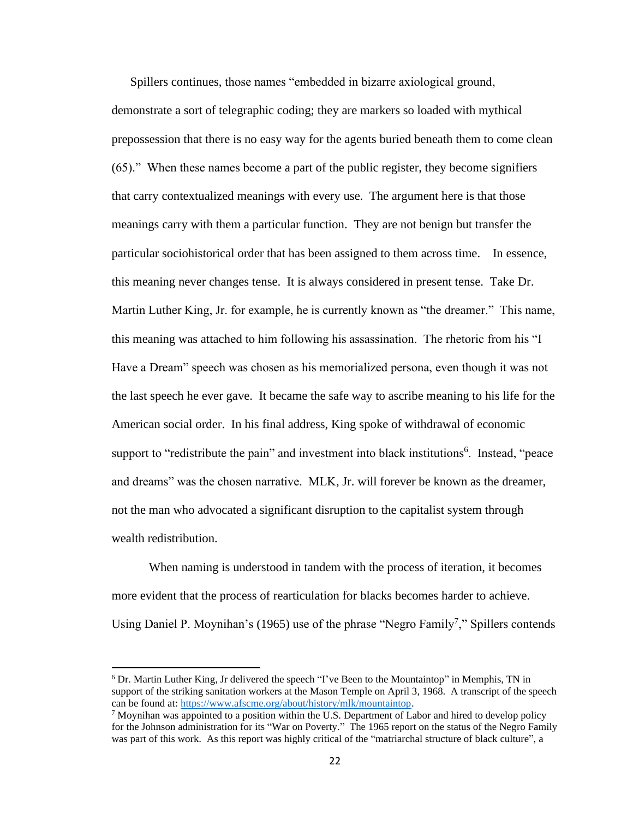Spillers continues, those names "embedded in bizarre axiological ground,

demonstrate a sort of telegraphic coding; they are markers so loaded with mythical prepossession that there is no easy way for the agents buried beneath them to come clean (65)." When these names become a part of the public register, they become signifiers that carry contextualized meanings with every use. The argument here is that those meanings carry with them a particular function. They are not benign but transfer the particular sociohistorical order that has been assigned to them across time. In essence, this meaning never changes tense. It is always considered in present tense. Take Dr. Martin Luther King, Jr. for example, he is currently known as "the dreamer." This name, this meaning was attached to him following his assassination. The rhetoric from his "I Have a Dream" speech was chosen as his memorialized persona, even though it was not the last speech he ever gave. It became the safe way to ascribe meaning to his life for the American social order. In his final address, King spoke of withdrawal of economic support to "redistribute the pain" and investment into black institutions<sup>6</sup>. Instead, "peace and dreams" was the chosen narrative. MLK, Jr. will forever be known as the dreamer, not the man who advocated a significant disruption to the capitalist system through wealth redistribution.

When naming is understood in tandem with the process of iteration, it becomes more evident that the process of rearticulation for blacks becomes harder to achieve. Using Daniel P. Moynihan's (1965) use of the phrase "Negro Family<sup>7</sup>," Spillers contends

<sup>6</sup> Dr. Martin Luther King, Jr delivered the speech "I've Been to the Mountaintop" in Memphis, TN in support of the striking sanitation workers at the Mason Temple on April 3, 1968. A transcript of the speech can be found at[: https://www.afscme.org/about/history/mlk/mountaintop.](https://www.afscme.org/about/history/mlk/mountaintop)

 $7$  Moynihan was appointed to a position within the U.S. Department of Labor and hired to develop policy for the Johnson administration for its "War on Poverty." The 1965 report on the status of the Negro Family was part of this work. As this report was highly critical of the "matriarchal structure of black culture", a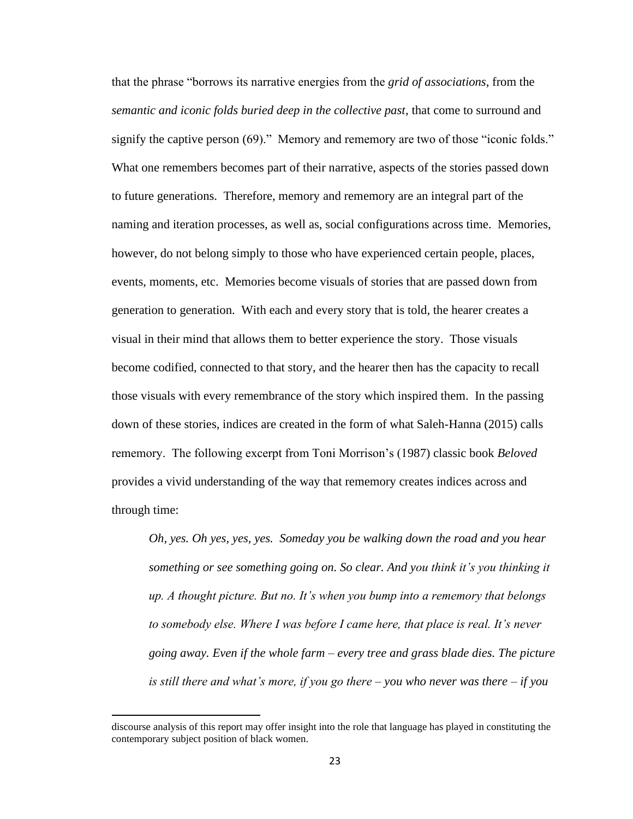that the phrase "borrows its narrative energies from the *grid of associations*, from the *semantic and iconic folds buried deep in the collective past*, that come to surround and signify the captive person (69)." Memory and rememory are two of those "iconic folds." What one remembers becomes part of their narrative, aspects of the stories passed down to future generations. Therefore, memory and rememory are an integral part of the naming and iteration processes, as well as, social configurations across time. Memories, however, do not belong simply to those who have experienced certain people, places, events, moments, etc. Memories become visuals of stories that are passed down from generation to generation. With each and every story that is told, the hearer creates a visual in their mind that allows them to better experience the story. Those visuals become codified, connected to that story, and the hearer then has the capacity to recall those visuals with every remembrance of the story which inspired them. In the passing down of these stories, indices are created in the form of what Saleh-Hanna (2015) calls rememory. The following excerpt from Toni Morrison's (1987) classic book *Beloved* provides a vivid understanding of the way that rememory creates indices across and through time:

*Oh, yes. Oh yes, yes, yes. Someday you be walking down the road and you hear something or see something going on. So clear. And you think it's you thinking it up. A thought picture. But no. It's when you bump into a rememory that belongs to somebody else. Where I was before I came here, that place is real. It's never going away. Even if the whole farm – every tree and grass blade dies. The picture is still there and what's more, if you go there – you who never was there – if you* 

discourse analysis of this report may offer insight into the role that language has played in constituting the contemporary subject position of black women.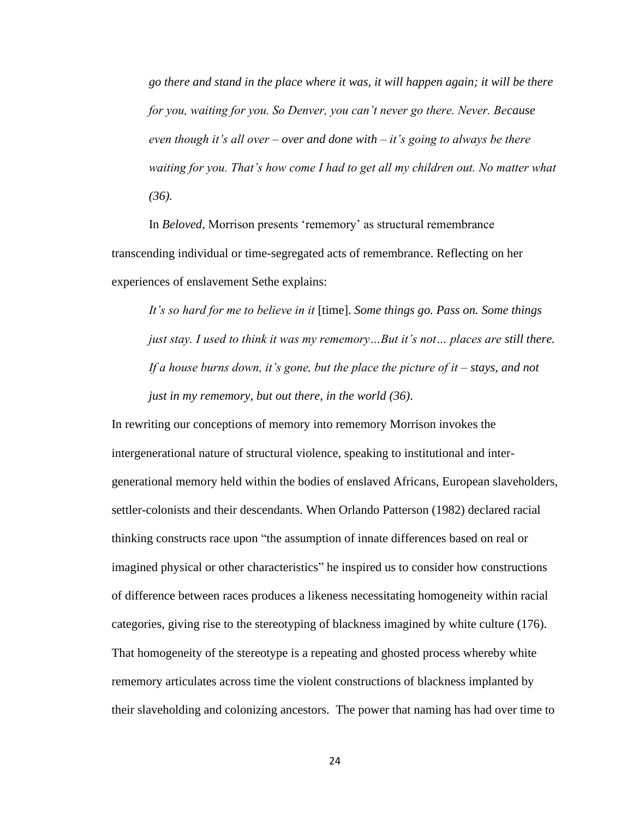*go there and stand in the place where it was, it will happen again; it will be there for you, waiting for you. So Denver, you can't never go there. Never. Because even though it's all over – over and done with – it's going to always be there waiting for you. That's how come I had to get all my children out. No matter what (36).*

In *Beloved*, Morrison presents 'rememory' as structural remembrance transcending individual or time-segregated acts of remembrance. Reflecting on her experiences of enslavement Sethe explains:

*It's so hard for me to believe in it* [time]. *Some things go. Pass on. Some things just stay. I used to think it was my rememory…But it's not… places are still there. If a house burns down, it's gone, but the place the picture of it – stays, and not just in my rememory*, *but out there, in the world (36)*.

In rewriting our conceptions of memory into rememory Morrison invokes the intergenerational nature of structural violence, speaking to institutional and intergenerational memory held within the bodies of enslaved Africans, European slaveholders, settler-colonists and their descendants. When Orlando Patterson (1982) declared racial thinking constructs race upon "the assumption of innate differences based on real or imagined physical or other characteristics" he inspired us to consider how constructions of difference between races produces a likeness necessitating homogeneity within racial categories, giving rise to the stereotyping of blackness imagined by white culture (176). That homogeneity of the stereotype is a repeating and ghosted process whereby white rememory articulates across time the violent constructions of blackness implanted by their slaveholding and colonizing ancestors. The power that naming has had over time to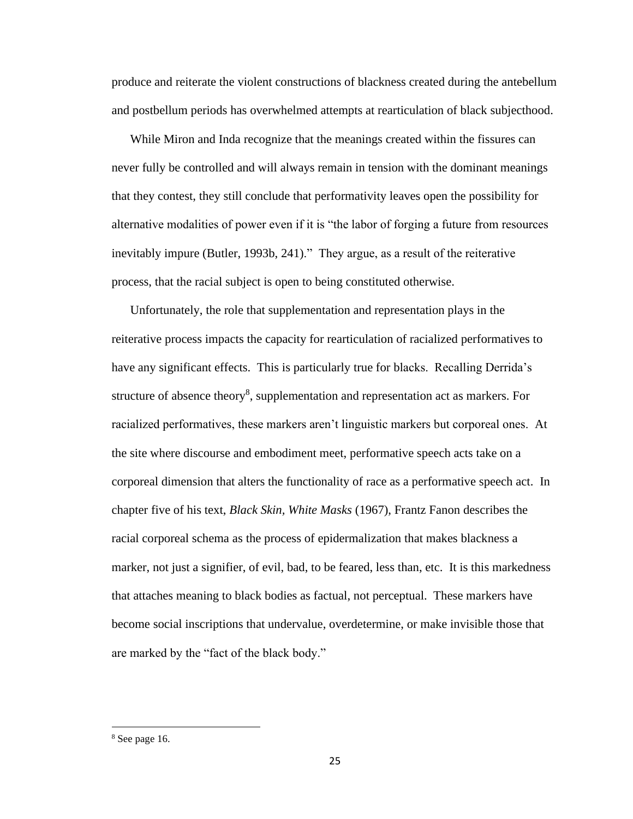produce and reiterate the violent constructions of blackness created during the antebellum and postbellum periods has overwhelmed attempts at rearticulation of black subjecthood.

While Miron and Inda recognize that the meanings created within the fissures can never fully be controlled and will always remain in tension with the dominant meanings that they contest, they still conclude that performativity leaves open the possibility for alternative modalities of power even if it is "the labor of forging a future from resources inevitably impure (Butler, 1993b, 241)." They argue, as a result of the reiterative process, that the racial subject is open to being constituted otherwise.

Unfortunately, the role that supplementation and representation plays in the reiterative process impacts the capacity for rearticulation of racialized performatives to have any significant effects. This is particularly true for blacks. Recalling Derrida's structure of absence theory<sup>8</sup>, supplementation and representation act as markers. For racialized performatives, these markers aren't linguistic markers but corporeal ones. At the site where discourse and embodiment meet, performative speech acts take on a corporeal dimension that alters the functionality of race as a performative speech act. In chapter five of his text, *Black Skin, White Masks* (1967), Frantz Fanon describes the racial corporeal schema as the process of epidermalization that makes blackness a marker, not just a signifier, of evil, bad, to be feared, less than, etc. It is this markedness that attaches meaning to black bodies as factual, not perceptual. These markers have become social inscriptions that undervalue, overdetermine, or make invisible those that are marked by the "fact of the black body."

<sup>8</sup> See page 16.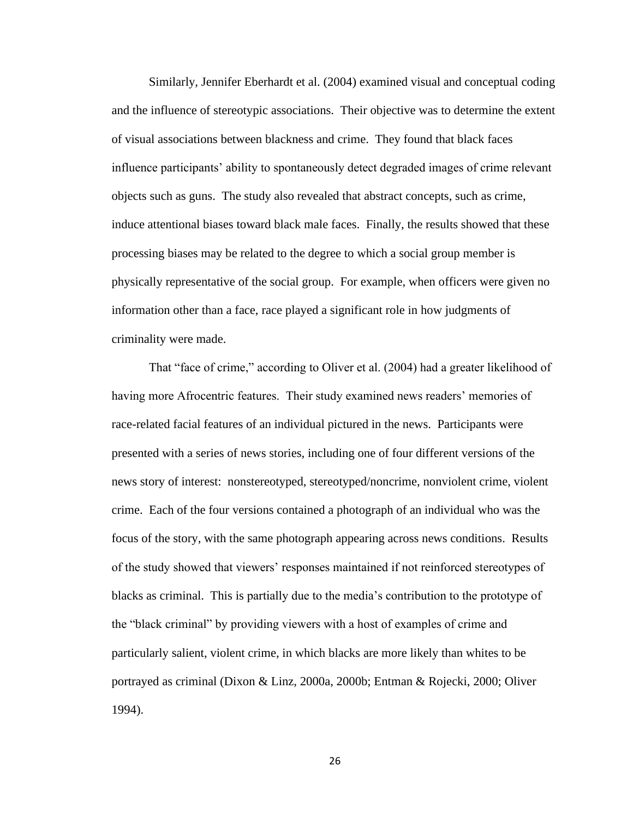Similarly, Jennifer Eberhardt et al. (2004) examined visual and conceptual coding and the influence of stereotypic associations. Their objective was to determine the extent of visual associations between blackness and crime. They found that black faces influence participants' ability to spontaneously detect degraded images of crime relevant objects such as guns. The study also revealed that abstract concepts, such as crime, induce attentional biases toward black male faces. Finally, the results showed that these processing biases may be related to the degree to which a social group member is physically representative of the social group. For example, when officers were given no information other than a face, race played a significant role in how judgments of criminality were made.

That "face of crime," according to Oliver et al. (2004) had a greater likelihood of having more Afrocentric features. Their study examined news readers' memories of race-related facial features of an individual pictured in the news. Participants were presented with a series of news stories, including one of four different versions of the news story of interest: nonstereotyped, stereotyped/noncrime, nonviolent crime, violent crime. Each of the four versions contained a photograph of an individual who was the focus of the story, with the same photograph appearing across news conditions. Results of the study showed that viewers' responses maintained if not reinforced stereotypes of blacks as criminal. This is partially due to the media's contribution to the prototype of the "black criminal" by providing viewers with a host of examples of crime and particularly salient, violent crime, in which blacks are more likely than whites to be portrayed as criminal (Dixon & Linz, 2000a, 2000b; Entman & Rojecki, 2000; Oliver 1994).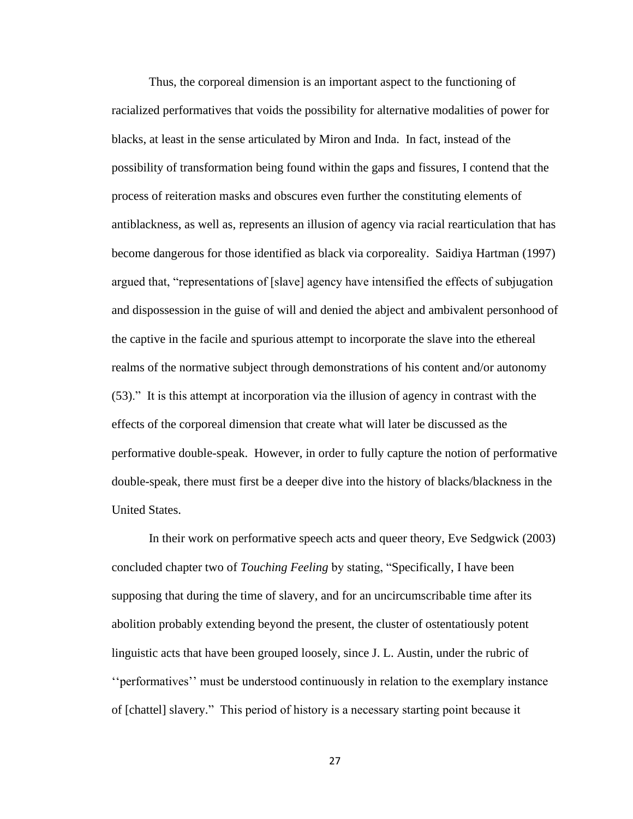Thus, the corporeal dimension is an important aspect to the functioning of racialized performatives that voids the possibility for alternative modalities of power for blacks, at least in the sense articulated by Miron and Inda. In fact, instead of the possibility of transformation being found within the gaps and fissures, I contend that the process of reiteration masks and obscures even further the constituting elements of antiblackness, as well as, represents an illusion of agency via racial rearticulation that has become dangerous for those identified as black via corporeality. Saidiya Hartman (1997) argued that, "representations of [slave] agency have intensified the effects of subjugation and dispossession in the guise of will and denied the abject and ambivalent personhood of the captive in the facile and spurious attempt to incorporate the slave into the ethereal realms of the normative subject through demonstrations of his content and/or autonomy (53)." It is this attempt at incorporation via the illusion of agency in contrast with the effects of the corporeal dimension that create what will later be discussed as the performative double-speak. However, in order to fully capture the notion of performative double-speak, there must first be a deeper dive into the history of blacks/blackness in the United States.

In their work on performative speech acts and queer theory, Eve Sedgwick (2003) concluded chapter two of *Touching Feeling* by stating, "Specifically, I have been supposing that during the time of slavery, and for an uncircumscribable time after its abolition probably extending beyond the present, the cluster of ostentatiously potent linguistic acts that have been grouped loosely, since J. L. Austin, under the rubric of ''performatives'' must be understood continuously in relation to the exemplary instance of [chattel] slavery." This period of history is a necessary starting point because it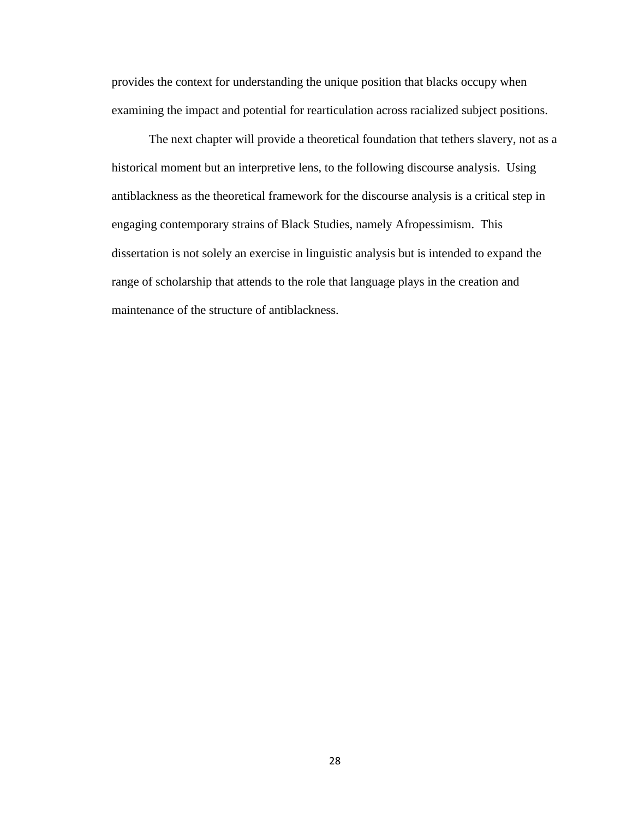provides the context for understanding the unique position that blacks occupy when examining the impact and potential for rearticulation across racialized subject positions.

The next chapter will provide a theoretical foundation that tethers slavery, not as a historical moment but an interpretive lens, to the following discourse analysis. Using antiblackness as the theoretical framework for the discourse analysis is a critical step in engaging contemporary strains of Black Studies, namely Afropessimism. This dissertation is not solely an exercise in linguistic analysis but is intended to expand the range of scholarship that attends to the role that language plays in the creation and maintenance of the structure of antiblackness.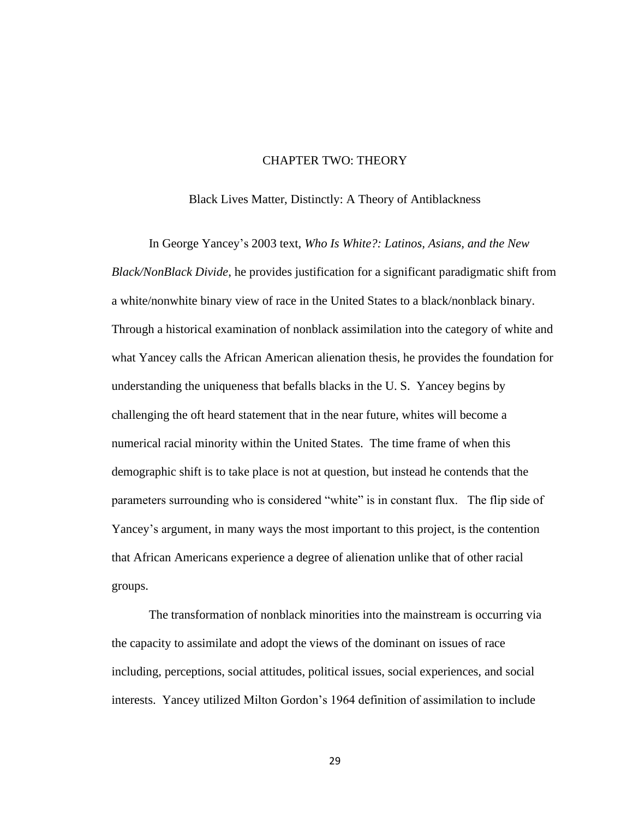## CHAPTER TWO: THEORY

Black Lives Matter, Distinctly: A Theory of Antiblackness

In George Yancey's 2003 text, *Who Is White?: Latinos, Asians, and the New Black/NonBlack Divide*, he provides justification for a significant paradigmatic shift from a white/nonwhite binary view of race in the United States to a black/nonblack binary. Through a historical examination of nonblack assimilation into the category of white and what Yancey calls the African American alienation thesis, he provides the foundation for understanding the uniqueness that befalls blacks in the U. S. Yancey begins by challenging the oft heard statement that in the near future, whites will become a numerical racial minority within the United States. The time frame of when this demographic shift is to take place is not at question, but instead he contends that the parameters surrounding who is considered "white" is in constant flux. The flip side of Yancey's argument, in many ways the most important to this project, is the contention that African Americans experience a degree of alienation unlike that of other racial groups.

The transformation of nonblack minorities into the mainstream is occurring via the capacity to assimilate and adopt the views of the dominant on issues of race including, perceptions, social attitudes, political issues, social experiences, and social interests. Yancey utilized Milton Gordon's 1964 definition of assimilation to include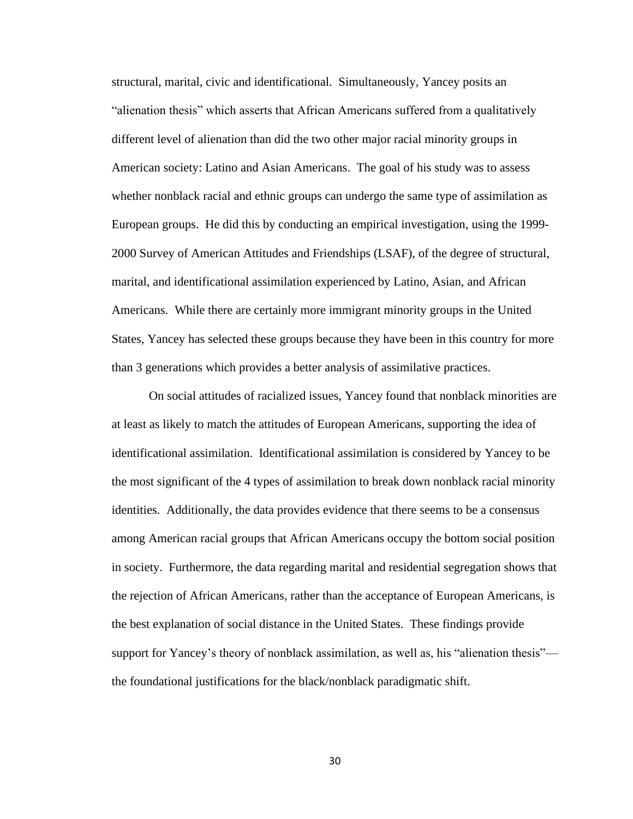structural, marital, civic and identificational. Simultaneously, Yancey posits an "alienation thesis" which asserts that African Americans suffered from a qualitatively different level of alienation than did the two other major racial minority groups in American society: Latino and Asian Americans. The goal of his study was to assess whether nonblack racial and ethnic groups can undergo the same type of assimilation as European groups. He did this by conducting an empirical investigation, using the 1999- 2000 Survey of American Attitudes and Friendships (LSAF), of the degree of structural, marital, and identificational assimilation experienced by Latino, Asian, and African Americans. While there are certainly more immigrant minority groups in the United States, Yancey has selected these groups because they have been in this country for more than 3 generations which provides a better analysis of assimilative practices.

On social attitudes of racialized issues, Yancey found that nonblack minorities are at least as likely to match the attitudes of European Americans, supporting the idea of identificational assimilation. Identificational assimilation is considered by Yancey to be the most significant of the 4 types of assimilation to break down nonblack racial minority identities. Additionally, the data provides evidence that there seems to be a consensus among American racial groups that African Americans occupy the bottom social position in society. Furthermore, the data regarding marital and residential segregation shows that the rejection of African Americans, rather than the acceptance of European Americans, is the best explanation of social distance in the United States. These findings provide support for Yancey's theory of nonblack assimilation, as well as, his "alienation thesis" the foundational justifications for the black/nonblack paradigmatic shift.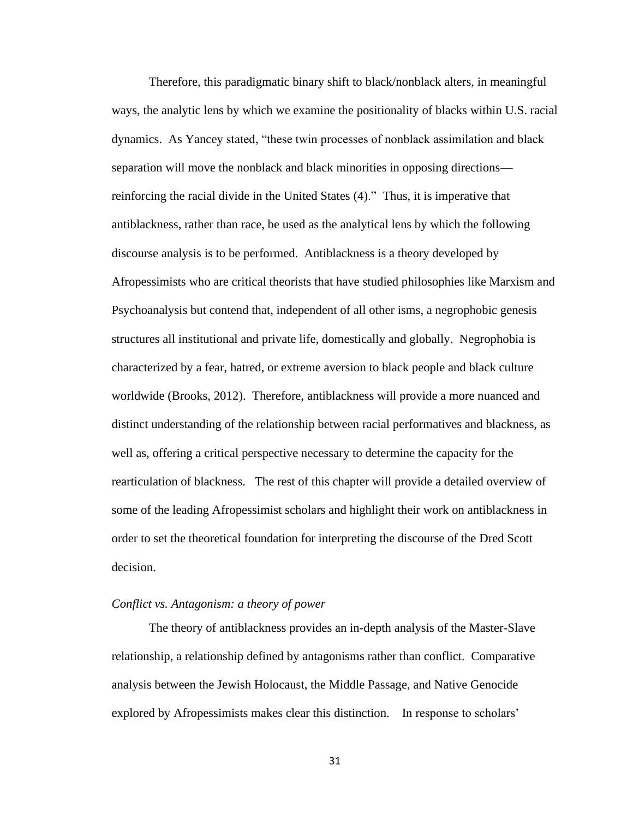Therefore, this paradigmatic binary shift to black/nonblack alters, in meaningful ways, the analytic lens by which we examine the positionality of blacks within U.S. racial dynamics. As Yancey stated, "these twin processes of nonblack assimilation and black separation will move the nonblack and black minorities in opposing directions reinforcing the racial divide in the United States (4)." Thus, it is imperative that antiblackness, rather than race, be used as the analytical lens by which the following discourse analysis is to be performed. Antiblackness is a theory developed by Afropessimists who are critical theorists that have studied philosophies like Marxism and Psychoanalysis but contend that, independent of all other isms, a negrophobic genesis structures all institutional and private life, domestically and globally. Negrophobia is characterized by a fear, hatred, or extreme aversion to black people and black culture worldwide (Brooks, 2012). Therefore, antiblackness will provide a more nuanced and distinct understanding of the relationship between racial performatives and blackness, as well as, offering a critical perspective necessary to determine the capacity for the rearticulation of blackness. The rest of this chapter will provide a detailed overview of some of the leading Afropessimist scholars and highlight their work on antiblackness in order to set the theoretical foundation for interpreting the discourse of the Dred Scott decision.

#### *Conflict vs. Antagonism: a theory of power*

The theory of antiblackness provides an in-depth analysis of the Master-Slave relationship, a relationship defined by antagonisms rather than conflict. Comparative analysis between the Jewish Holocaust, the Middle Passage, and Native Genocide explored by Afropessimists makes clear this distinction. In response to scholars'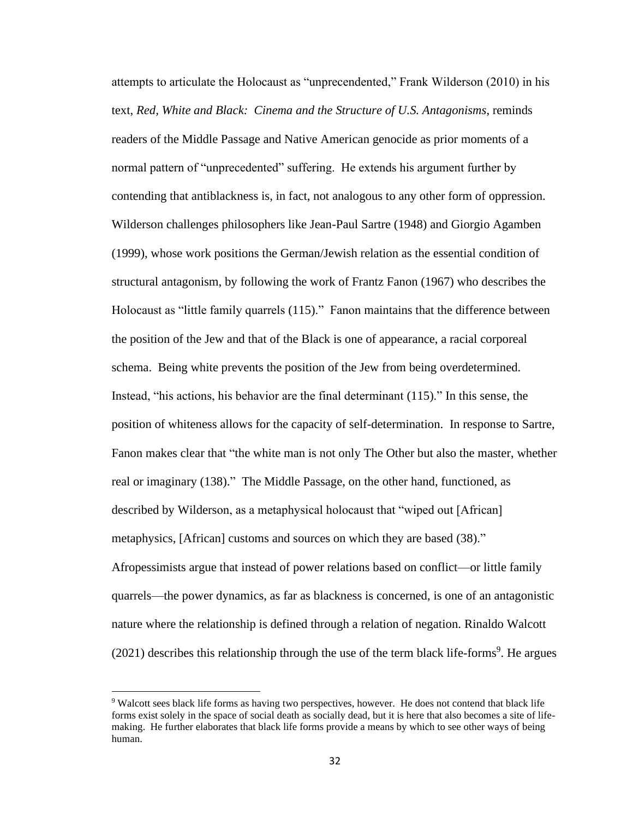attempts to articulate the Holocaust as "unprecendented," Frank Wilderson (2010) in his text, *Red, White and Black: Cinema and the Structure of U.S. Antagonisms*, reminds readers of the Middle Passage and Native American genocide as prior moments of a normal pattern of "unprecedented" suffering. He extends his argument further by contending that antiblackness is, in fact, not analogous to any other form of oppression. Wilderson challenges philosophers like Jean-Paul Sartre (1948) and Giorgio Agamben (1999), whose work positions the German/Jewish relation as the essential condition of structural antagonism, by following the work of Frantz Fanon (1967) who describes the Holocaust as "little family quarrels (115)." Fanon maintains that the difference between the position of the Jew and that of the Black is one of appearance, a racial corporeal schema. Being white prevents the position of the Jew from being overdetermined. Instead, "his actions, his behavior are the final determinant (115)." In this sense, the position of whiteness allows for the capacity of self-determination. In response to Sartre, Fanon makes clear that "the white man is not only The Other but also the master, whether real or imaginary (138)." The Middle Passage, on the other hand, functioned, as described by Wilderson, as a metaphysical holocaust that "wiped out [African] metaphysics, [African] customs and sources on which they are based (38)." Afropessimists argue that instead of power relations based on conflict—or little family quarrels—the power dynamics, as far as blackness is concerned, is one of an antagonistic nature where the relationship is defined through a relation of negation. Rinaldo Walcott  $(2021)$  describes this relationship through the use of the term black life-forms<sup>9</sup>. He argues

<sup>9</sup> Walcott sees black life forms as having two perspectives, however. He does not contend that black life forms exist solely in the space of social death as socially dead, but it is here that also becomes a site of lifemaking. He further elaborates that black life forms provide a means by which to see other ways of being human.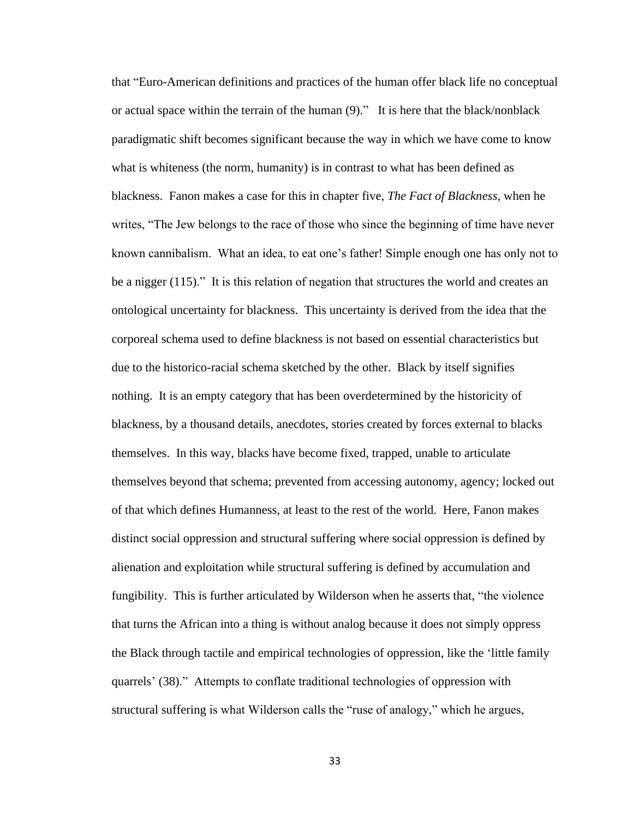that "Euro-American definitions and practices of the human offer black life no conceptual or actual space within the terrain of the human (9)." It is here that the black/nonblack paradigmatic shift becomes significant because the way in which we have come to know what is whiteness (the norm, humanity) is in contrast to what has been defined as blackness. Fanon makes a case for this in chapter five, *The Fact of Blackness*, when he writes, "The Jew belongs to the race of those who since the beginning of time have never known cannibalism. What an idea, to eat one's father! Simple enough one has only not to be a nigger (115)." It is this relation of negation that structures the world and creates an ontological uncertainty for blackness. This uncertainty is derived from the idea that the corporeal schema used to define blackness is not based on essential characteristics but due to the historico-racial schema sketched by the other. Black by itself signifies nothing. It is an empty category that has been overdetermined by the historicity of blackness, by a thousand details, anecdotes, stories created by forces external to blacks themselves. In this way, blacks have become fixed, trapped, unable to articulate themselves beyond that schema; prevented from accessing autonomy, agency; locked out of that which defines Humanness, at least to the rest of the world. Here, Fanon makes distinct social oppression and structural suffering where social oppression is defined by alienation and exploitation while structural suffering is defined by accumulation and fungibility. This is further articulated by Wilderson when he asserts that, "the violence that turns the African into a thing is without analog because it does not simply oppress the Black through tactile and empirical technologies of oppression, like the 'little family quarrels' (38)." Attempts to conflate traditional technologies of oppression with structural suffering is what Wilderson calls the "ruse of analogy," which he argues,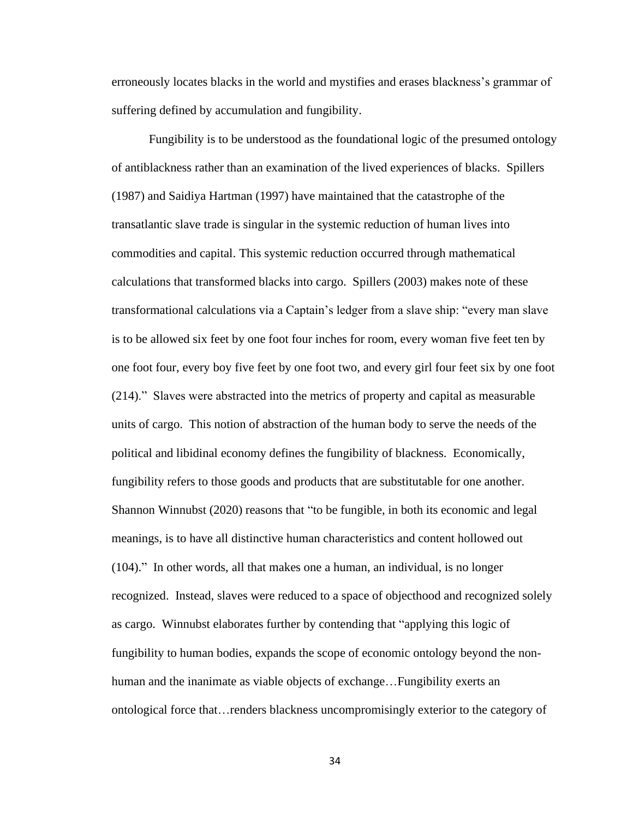erroneously locates blacks in the world and mystifies and erases blackness's grammar of suffering defined by accumulation and fungibility.

Fungibility is to be understood as the foundational logic of the presumed ontology of antiblackness rather than an examination of the lived experiences of blacks. Spillers (1987) and Saidiya Hartman (1997) have maintained that the catastrophe of the transatlantic slave trade is singular in the systemic reduction of human lives into commodities and capital. This systemic reduction occurred through mathematical calculations that transformed blacks into cargo. Spillers (2003) makes note of these transformational calculations via a Captain's ledger from a slave ship: "every man slave is to be allowed six feet by one foot four inches for room, every woman five feet ten by one foot four, every boy five feet by one foot two, and every girl four feet six by one foot (214)." Slaves were abstracted into the metrics of property and capital as measurable units of cargo. This notion of abstraction of the human body to serve the needs of the political and libidinal economy defines the fungibility of blackness. Economically, fungibility refers to those goods and products that are substitutable for one another. Shannon Winnubst (2020) reasons that "to be fungible, in both its economic and legal meanings, is to have all distinctive human characteristics and content hollowed out (104)." In other words, all that makes one a human, an individual, is no longer recognized. Instead, slaves were reduced to a space of objecthood and recognized solely as cargo. Winnubst elaborates further by contending that "applying this logic of fungibility to human bodies, expands the scope of economic ontology beyond the nonhuman and the inanimate as viable objects of exchange…Fungibility exerts an ontological force that…renders blackness uncompromisingly exterior to the category of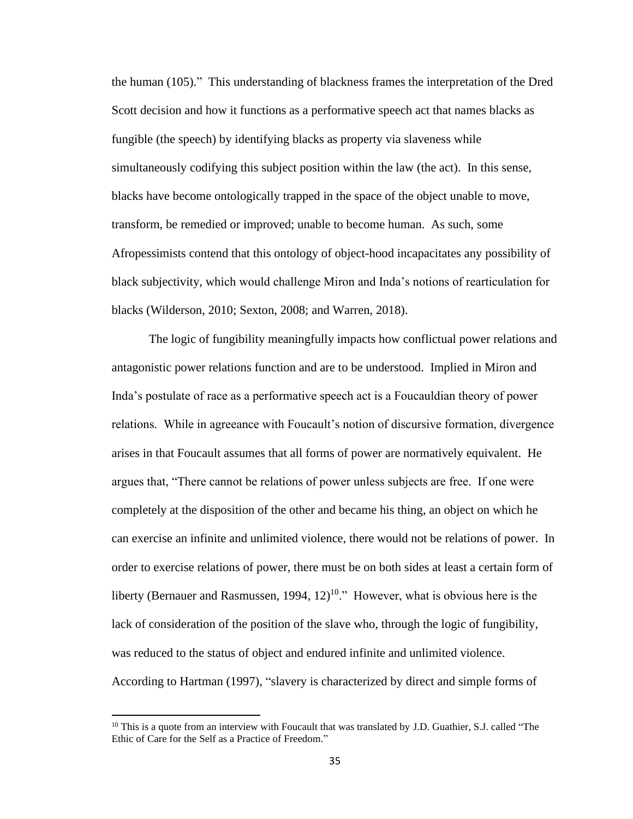the human (105)." This understanding of blackness frames the interpretation of the Dred Scott decision and how it functions as a performative speech act that names blacks as fungible (the speech) by identifying blacks as property via slaveness while simultaneously codifying this subject position within the law (the act). In this sense, blacks have become ontologically trapped in the space of the object unable to move, transform, be remedied or improved; unable to become human. As such, some Afropessimists contend that this ontology of object-hood incapacitates any possibility of black subjectivity, which would challenge Miron and Inda's notions of rearticulation for blacks (Wilderson, 2010; Sexton, 2008; and Warren, 2018).

The logic of fungibility meaningfully impacts how conflictual power relations and antagonistic power relations function and are to be understood. Implied in Miron and Inda's postulate of race as a performative speech act is a Foucauldian theory of power relations. While in agreeance with Foucault's notion of discursive formation, divergence arises in that Foucault assumes that all forms of power are normatively equivalent. He argues that, "There cannot be relations of power unless subjects are free. If one were completely at the disposition of the other and became his thing, an object on which he can exercise an infinite and unlimited violence, there would not be relations of power. In order to exercise relations of power, there must be on both sides at least a certain form of liberty (Bernauer and Rasmussen, 1994,  $12$ )<sup>10</sup>." However, what is obvious here is the lack of consideration of the position of the slave who, through the logic of fungibility, was reduced to the status of object and endured infinite and unlimited violence. According to Hartman (1997), "slavery is characterized by direct and simple forms of

 $10$  This is a quote from an interview with Foucault that was translated by J.D. Guathier, S.J. called "The Ethic of Care for the Self as a Practice of Freedom."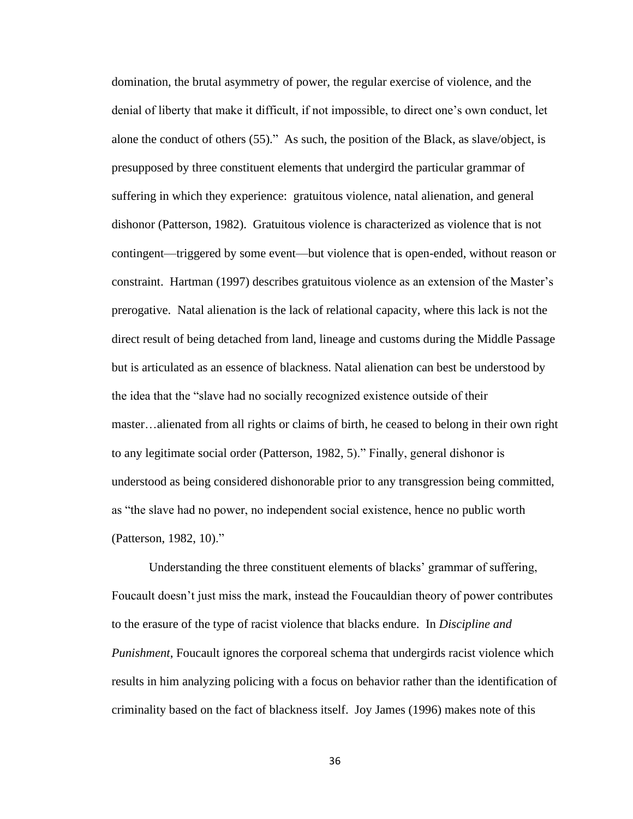domination, the brutal asymmetry of power, the regular exercise of violence, and the denial of liberty that make it difficult, if not impossible, to direct one's own conduct, let alone the conduct of others (55)." As such, the position of the Black, as slave/object, is presupposed by three constituent elements that undergird the particular grammar of suffering in which they experience: gratuitous violence, natal alienation, and general dishonor (Patterson, 1982). Gratuitous violence is characterized as violence that is not contingent—triggered by some event—but violence that is open-ended, without reason or constraint. Hartman (1997) describes gratuitous violence as an extension of the Master's prerogative. Natal alienation is the lack of relational capacity, where this lack is not the direct result of being detached from land, lineage and customs during the Middle Passage but is articulated as an essence of blackness. Natal alienation can best be understood by the idea that the "slave had no socially recognized existence outside of their master…alienated from all rights or claims of birth, he ceased to belong in their own right to any legitimate social order (Patterson, 1982, 5)." Finally, general dishonor is understood as being considered dishonorable prior to any transgression being committed, as "the slave had no power, no independent social existence, hence no public worth (Patterson, 1982, 10)."

Understanding the three constituent elements of blacks' grammar of suffering, Foucault doesn't just miss the mark, instead the Foucauldian theory of power contributes to the erasure of the type of racist violence that blacks endure. In *Discipline and Punishment*, Foucault ignores the corporeal schema that undergirds racist violence which results in him analyzing policing with a focus on behavior rather than the identification of criminality based on the fact of blackness itself. Joy James (1996) makes note of this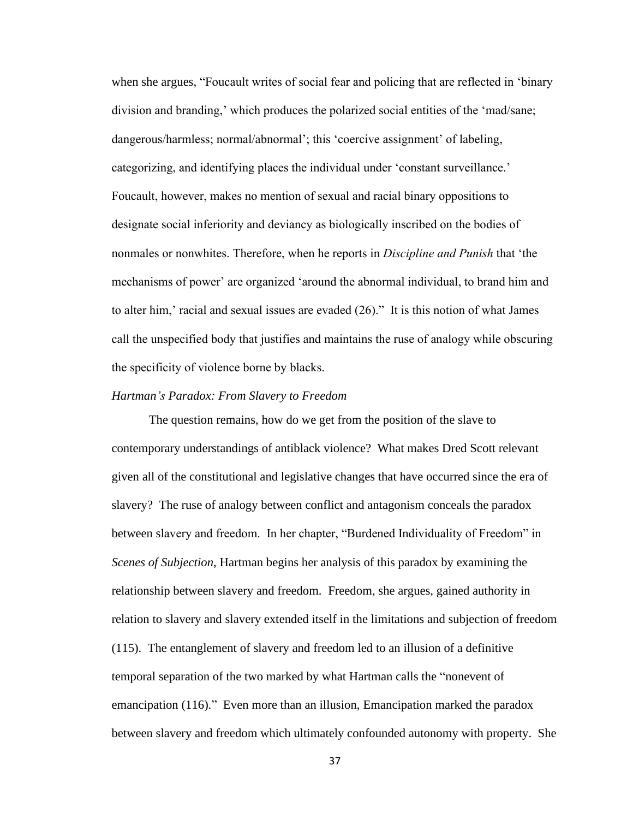when she argues, "Foucault writes of social fear and policing that are reflected in 'binary division and branding,' which produces the polarized social entities of the 'mad/sane; dangerous/harmless; normal/abnormal'; this 'coercive assignment' of labeling, categorizing, and identifying places the individual under 'constant surveillance.' Foucault, however, makes no mention of sexual and racial binary oppositions to designate social inferiority and deviancy as biologically inscribed on the bodies of nonmales or nonwhites. Therefore, when he reports in *Discipline and Punish* that 'the mechanisms of power' are organized 'around the abnormal individual, to brand him and to alter him,' racial and sexual issues are evaded  $(26)$ ." It is this notion of what James call the unspecified body that justifies and maintains the ruse of analogy while obscuring the specificity of violence borne by blacks.

#### *Hartman's Paradox: From Slavery to Freedom*

The question remains, how do we get from the position of the slave to contemporary understandings of antiblack violence? What makes Dred Scott relevant given all of the constitutional and legislative changes that have occurred since the era of slavery? The ruse of analogy between conflict and antagonism conceals the paradox between slavery and freedom. In her chapter, "Burdened Individuality of Freedom" in *Scenes of Subjection*, Hartman begins her analysis of this paradox by examining the relationship between slavery and freedom. Freedom, she argues, gained authority in relation to slavery and slavery extended itself in the limitations and subjection of freedom (115). The entanglement of slavery and freedom led to an illusion of a definitive temporal separation of the two marked by what Hartman calls the "nonevent of emancipation (116)." Even more than an illusion, Emancipation marked the paradox between slavery and freedom which ultimately confounded autonomy with property. She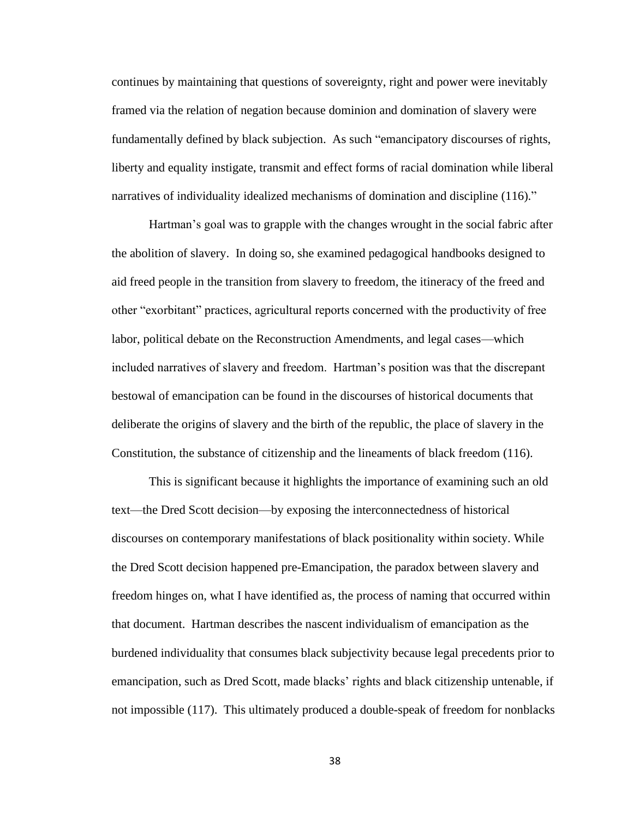continues by maintaining that questions of sovereignty, right and power were inevitably framed via the relation of negation because dominion and domination of slavery were fundamentally defined by black subjection. As such "emancipatory discourses of rights, liberty and equality instigate, transmit and effect forms of racial domination while liberal narratives of individuality idealized mechanisms of domination and discipline (116)."

Hartman's goal was to grapple with the changes wrought in the social fabric after the abolition of slavery. In doing so, she examined pedagogical handbooks designed to aid freed people in the transition from slavery to freedom, the itineracy of the freed and other "exorbitant" practices, agricultural reports concerned with the productivity of free labor, political debate on the Reconstruction Amendments, and legal cases—which included narratives of slavery and freedom. Hartman's position was that the discrepant bestowal of emancipation can be found in the discourses of historical documents that deliberate the origins of slavery and the birth of the republic, the place of slavery in the Constitution, the substance of citizenship and the lineaments of black freedom (116).

This is significant because it highlights the importance of examining such an old text—the Dred Scott decision—by exposing the interconnectedness of historical discourses on contemporary manifestations of black positionality within society. While the Dred Scott decision happened pre-Emancipation, the paradox between slavery and freedom hinges on, what I have identified as, the process of naming that occurred within that document. Hartman describes the nascent individualism of emancipation as the burdened individuality that consumes black subjectivity because legal precedents prior to emancipation, such as Dred Scott, made blacks' rights and black citizenship untenable, if not impossible (117). This ultimately produced a double-speak of freedom for nonblacks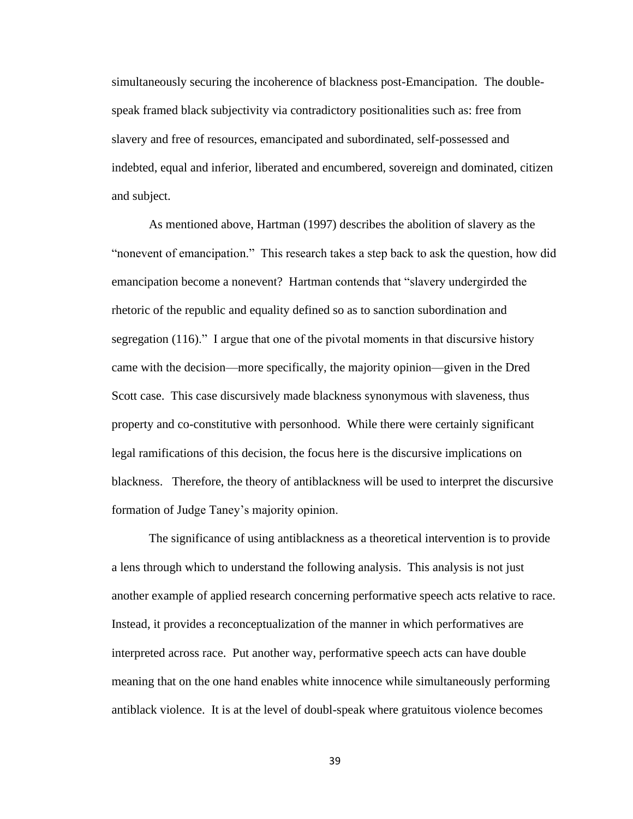simultaneously securing the incoherence of blackness post-Emancipation. The doublespeak framed black subjectivity via contradictory positionalities such as: free from slavery and free of resources, emancipated and subordinated, self-possessed and indebted, equal and inferior, liberated and encumbered, sovereign and dominated, citizen and subject.

As mentioned above, Hartman (1997) describes the abolition of slavery as the "nonevent of emancipation." This research takes a step back to ask the question, how did emancipation become a nonevent? Hartman contends that "slavery undergirded the rhetoric of the republic and equality defined so as to sanction subordination and segregation (116)." I argue that one of the pivotal moments in that discursive history came with the decision—more specifically, the majority opinion—given in the Dred Scott case. This case discursively made blackness synonymous with slaveness, thus property and co-constitutive with personhood. While there were certainly significant legal ramifications of this decision, the focus here is the discursive implications on blackness. Therefore, the theory of antiblackness will be used to interpret the discursive formation of Judge Taney's majority opinion.

The significance of using antiblackness as a theoretical intervention is to provide a lens through which to understand the following analysis. This analysis is not just another example of applied research concerning performative speech acts relative to race. Instead, it provides a reconceptualization of the manner in which performatives are interpreted across race. Put another way, performative speech acts can have double meaning that on the one hand enables white innocence while simultaneously performing antiblack violence. It is at the level of doubl-speak where gratuitous violence becomes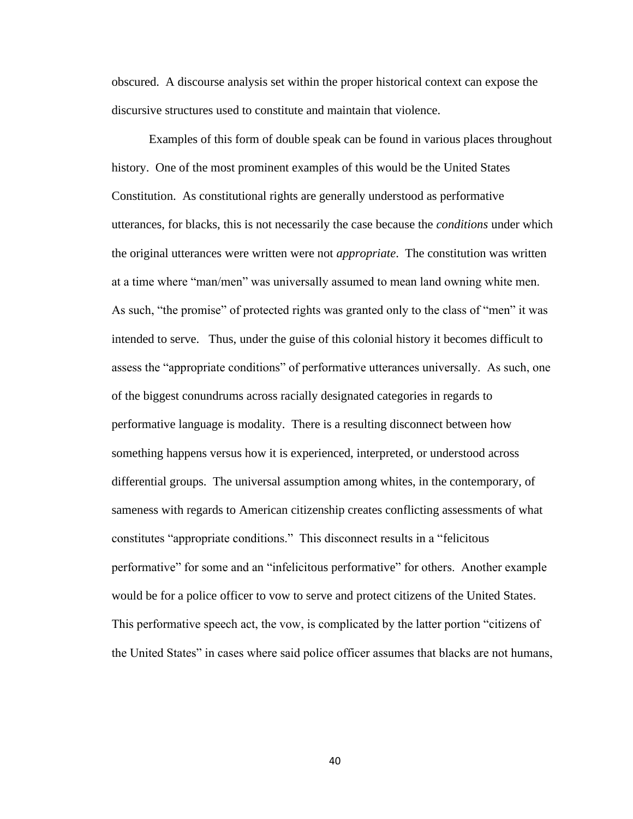obscured. A discourse analysis set within the proper historical context can expose the discursive structures used to constitute and maintain that violence.

Examples of this form of double speak can be found in various places throughout history. One of the most prominent examples of this would be the United States Constitution. As constitutional rights are generally understood as performative utterances, for blacks, this is not necessarily the case because the *conditions* under which the original utterances were written were not *appropriate*. The constitution was written at a time where "man/men" was universally assumed to mean land owning white men. As such, "the promise" of protected rights was granted only to the class of "men" it was intended to serve. Thus, under the guise of this colonial history it becomes difficult to assess the "appropriate conditions" of performative utterances universally. As such, one of the biggest conundrums across racially designated categories in regards to performative language is modality. There is a resulting disconnect between how something happens versus how it is experienced, interpreted, or understood across differential groups. The universal assumption among whites, in the contemporary, of sameness with regards to American citizenship creates conflicting assessments of what constitutes "appropriate conditions." This disconnect results in a "felicitous performative" for some and an "infelicitous performative" for others. Another example would be for a police officer to vow to serve and protect citizens of the United States. This performative speech act, the vow, is complicated by the latter portion "citizens of the United States" in cases where said police officer assumes that blacks are not humans,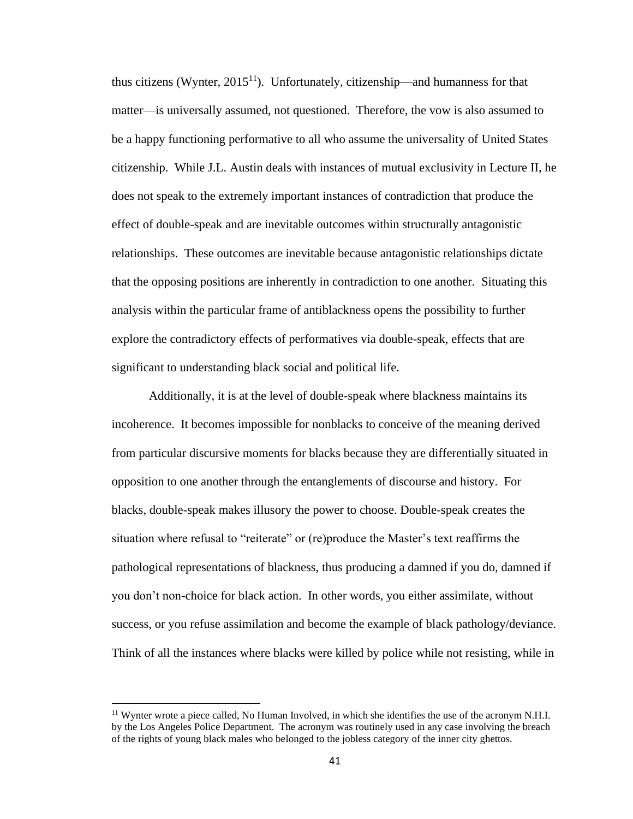thus citizens (Wynter,  $2015<sup>11</sup>$ ). Unfortunately, citizenship—and humanness for that matter—is universally assumed, not questioned. Therefore, the vow is also assumed to be a happy functioning performative to all who assume the universality of United States citizenship. While J.L. Austin deals with instances of mutual exclusivity in Lecture II, he does not speak to the extremely important instances of contradiction that produce the effect of double-speak and are inevitable outcomes within structurally antagonistic relationships. These outcomes are inevitable because antagonistic relationships dictate that the opposing positions are inherently in contradiction to one another. Situating this analysis within the particular frame of antiblackness opens the possibility to further explore the contradictory effects of performatives via double-speak, effects that are significant to understanding black social and political life.

Additionally, it is at the level of double-speak where blackness maintains its incoherence. It becomes impossible for nonblacks to conceive of the meaning derived from particular discursive moments for blacks because they are differentially situated in opposition to one another through the entanglements of discourse and history. For blacks, double-speak makes illusory the power to choose. Double-speak creates the situation where refusal to "reiterate" or (re)produce the Master's text reaffirms the pathological representations of blackness, thus producing a damned if you do, damned if you don't non-choice for black action. In other words, you either assimilate, without success, or you refuse assimilation and become the example of black pathology/deviance. Think of all the instances where blacks were killed by police while not resisting, while in

<sup>&</sup>lt;sup>11</sup> Wynter wrote a piece called, No Human Involved, in which she identifies the use of the acronym N.H.I. by the Los Angeles Police Department. The acronym was routinely used in any case involving the breach of the rights of young black males who belonged to the jobless category of the inner city ghettos.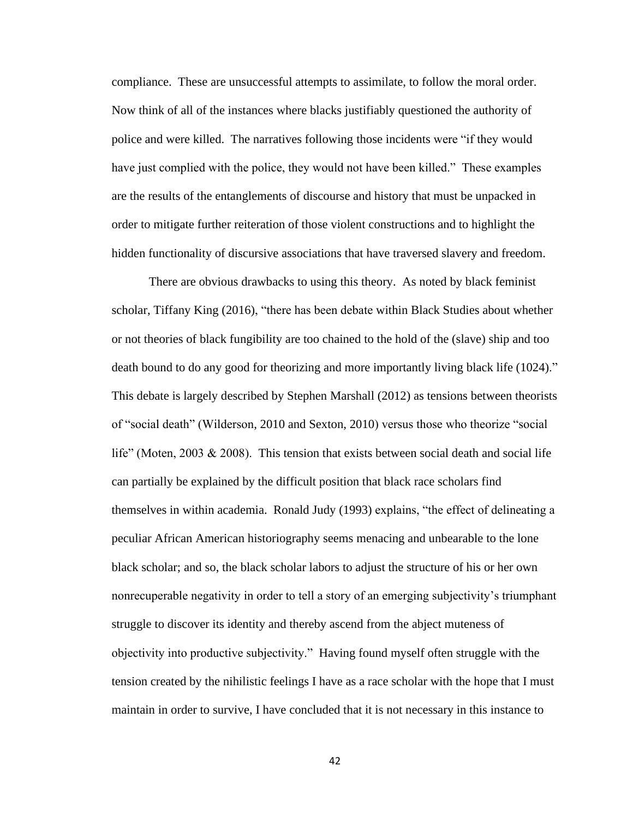compliance. These are unsuccessful attempts to assimilate, to follow the moral order. Now think of all of the instances where blacks justifiably questioned the authority of police and were killed. The narratives following those incidents were "if they would have just complied with the police, they would not have been killed." These examples are the results of the entanglements of discourse and history that must be unpacked in order to mitigate further reiteration of those violent constructions and to highlight the hidden functionality of discursive associations that have traversed slavery and freedom.

There are obvious drawbacks to using this theory. As noted by black feminist scholar, Tiffany King (2016), "there has been debate within Black Studies about whether or not theories of black fungibility are too chained to the hold of the (slave) ship and too death bound to do any good for theorizing and more importantly living black life (1024)." This debate is largely described by Stephen Marshall (2012) as tensions between theorists of "social death" (Wilderson, 2010 and Sexton, 2010) versus those who theorize "social life" (Moten, 2003  $\&$  2008). This tension that exists between social death and social life can partially be explained by the difficult position that black race scholars find themselves in within academia. Ronald Judy (1993) explains, "the effect of delineating a peculiar African American historiography seems menacing and unbearable to the lone black scholar; and so, the black scholar labors to adjust the structure of his or her own nonrecuperable negativity in order to tell a story of an emerging subjectivity's triumphant struggle to discover its identity and thereby ascend from the abject muteness of objectivity into productive subjectivity." Having found myself often struggle with the tension created by the nihilistic feelings I have as a race scholar with the hope that I must maintain in order to survive, I have concluded that it is not necessary in this instance to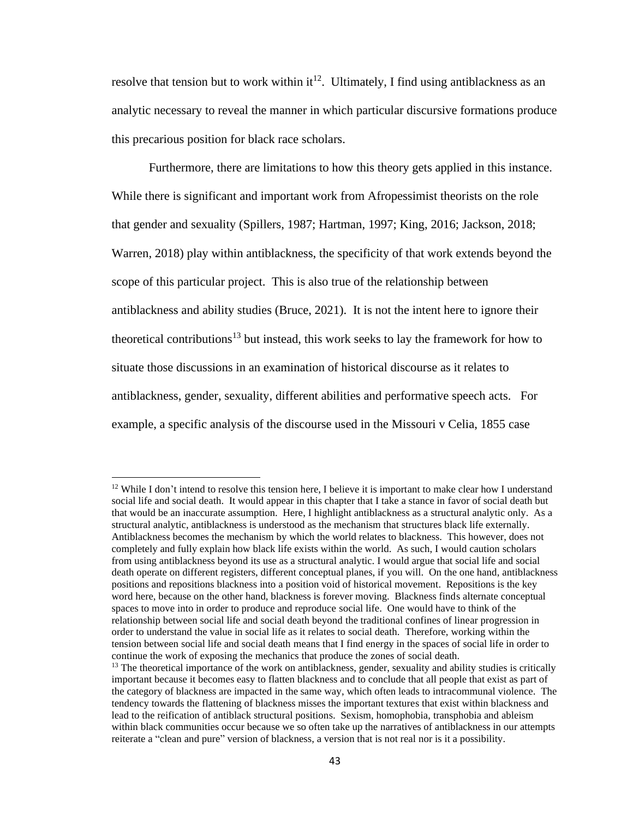resolve that tension but to work within it<sup>12</sup>. Ultimately, I find using antiblackness as an analytic necessary to reveal the manner in which particular discursive formations produce this precarious position for black race scholars.

Furthermore, there are limitations to how this theory gets applied in this instance. While there is significant and important work from Afropessimist theorists on the role that gender and sexuality (Spillers, 1987; Hartman, 1997; King, 2016; Jackson, 2018; Warren, 2018) play within antiblackness, the specificity of that work extends beyond the scope of this particular project. This is also true of the relationship between antiblackness and ability studies (Bruce, 2021). It is not the intent here to ignore their theoretical contributions<sup>13</sup> but instead, this work seeks to lay the framework for how to situate those discussions in an examination of historical discourse as it relates to antiblackness, gender, sexuality, different abilities and performative speech acts. For example, a specific analysis of the discourse used in the Missouri v Celia, 1855 case

 $12$  While I don't intend to resolve this tension here. I believe it is important to make clear how I understand social life and social death. It would appear in this chapter that I take a stance in favor of social death but that would be an inaccurate assumption. Here, I highlight antiblackness as a structural analytic only. As a structural analytic, antiblackness is understood as the mechanism that structures black life externally. Antiblackness becomes the mechanism by which the world relates to blackness. This however, does not completely and fully explain how black life exists within the world. As such, I would caution scholars from using antiblackness beyond its use as a structural analytic. I would argue that social life and social death operate on different registers, different conceptual planes, if you will. On the one hand, antiblackness positions and repositions blackness into a position void of historical movement. Repositions is the key word here, because on the other hand, blackness is forever moving. Blackness finds alternate conceptual spaces to move into in order to produce and reproduce social life. One would have to think of the relationship between social life and social death beyond the traditional confines of linear progression in order to understand the value in social life as it relates to social death. Therefore, working within the tension between social life and social death means that I find energy in the spaces of social life in order to continue the work of exposing the mechanics that produce the zones of social death.

 $<sup>13</sup>$  The theoretical importance of the work on antiblackness, gender, sexuality and ability studies is critically</sup> important because it becomes easy to flatten blackness and to conclude that all people that exist as part of the category of blackness are impacted in the same way, which often leads to intracommunal violence. The tendency towards the flattening of blackness misses the important textures that exist within blackness and lead to the reification of antiblack structural positions. Sexism, homophobia, transphobia and ableism within black communities occur because we so often take up the narratives of antiblackness in our attempts reiterate a "clean and pure" version of blackness, a version that is not real nor is it a possibility.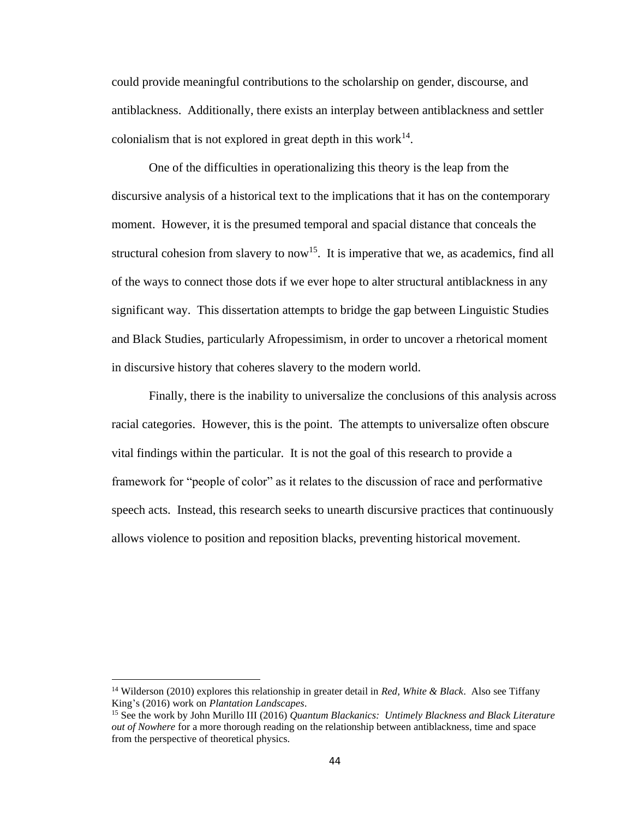could provide meaningful contributions to the scholarship on gender, discourse, and antiblackness. Additionally, there exists an interplay between antiblackness and settler colonialism that is not explored in great depth in this work $^{14}$ .

One of the difficulties in operationalizing this theory is the leap from the discursive analysis of a historical text to the implications that it has on the contemporary moment. However, it is the presumed temporal and spacial distance that conceals the structural cohesion from slavery to now<sup>15</sup>. It is imperative that we, as academics, find all of the ways to connect those dots if we ever hope to alter structural antiblackness in any significant way. This dissertation attempts to bridge the gap between Linguistic Studies and Black Studies, particularly Afropessimism, in order to uncover a rhetorical moment in discursive history that coheres slavery to the modern world.

Finally, there is the inability to universalize the conclusions of this analysis across racial categories. However, this is the point. The attempts to universalize often obscure vital findings within the particular. It is not the goal of this research to provide a framework for "people of color" as it relates to the discussion of race and performative speech acts. Instead, this research seeks to unearth discursive practices that continuously allows violence to position and reposition blacks, preventing historical movement.

<sup>14</sup> Wilderson (2010) explores this relationship in greater detail in *Red, White & Black*. Also see Tiffany King's (2016) work on *Plantation Landscapes*.

<sup>15</sup> See the work by John Murillo III (2016) *Quantum Blackanics: Untimely Blackness and Black Literature out of Nowhere* for a more thorough reading on the relationship between antiblackness, time and space from the perspective of theoretical physics.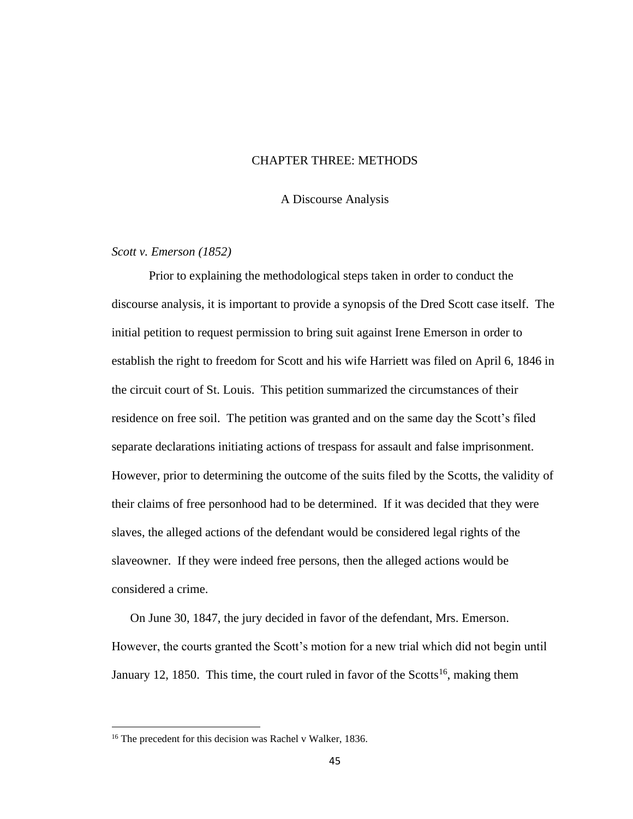## CHAPTER THREE: METHODS

A Discourse Analysis

#### *Scott v. Emerson (1852)*

Prior to explaining the methodological steps taken in order to conduct the discourse analysis, it is important to provide a synopsis of the Dred Scott case itself. The initial petition to request permission to bring suit against Irene Emerson in order to establish the right to freedom for Scott and his wife Harriett was filed on April 6, 1846 in the circuit court of St. Louis. This petition summarized the circumstances of their residence on free soil. The petition was granted and on the same day the Scott's filed separate declarations initiating actions of trespass for assault and false imprisonment. However, prior to determining the outcome of the suits filed by the Scotts, the validity of their claims of free personhood had to be determined. If it was decided that they were slaves, the alleged actions of the defendant would be considered legal rights of the slaveowner. If they were indeed free persons, then the alleged actions would be considered a crime.

On June 30, 1847, the jury decided in favor of the defendant, Mrs. Emerson. However, the courts granted the Scott's motion for a new trial which did not begin until January 12, 1850. This time, the court ruled in favor of the Scotts<sup>16</sup>, making them

<sup>&</sup>lt;sup>16</sup> The precedent for this decision was Rachel v Walker, 1836.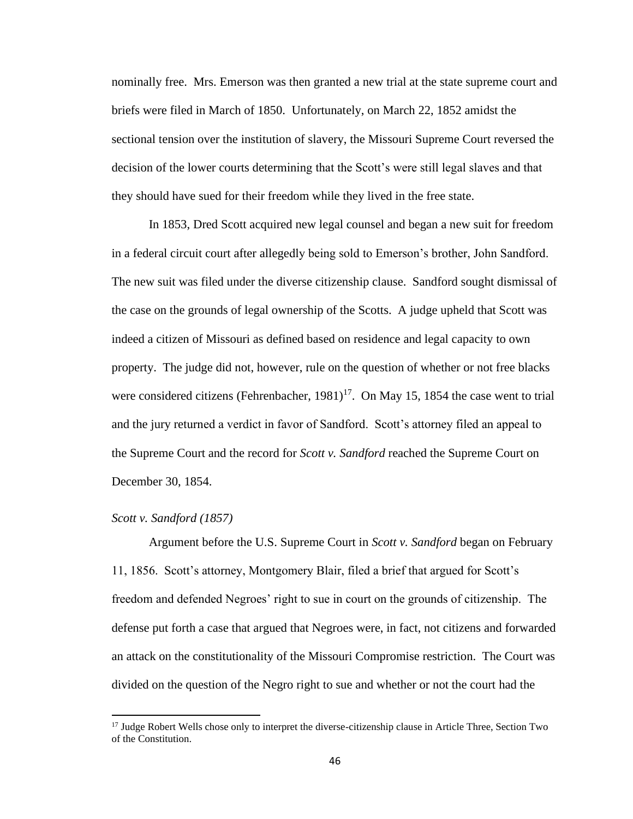nominally free. Mrs. Emerson was then granted a new trial at the state supreme court and briefs were filed in March of 1850. Unfortunately, on March 22, 1852 amidst the sectional tension over the institution of slavery, the Missouri Supreme Court reversed the decision of the lower courts determining that the Scott's were still legal slaves and that they should have sued for their freedom while they lived in the free state.

In 1853, Dred Scott acquired new legal counsel and began a new suit for freedom in a federal circuit court after allegedly being sold to Emerson's brother, John Sandford. The new suit was filed under the diverse citizenship clause. Sandford sought dismissal of the case on the grounds of legal ownership of the Scotts. A judge upheld that Scott was indeed a citizen of Missouri as defined based on residence and legal capacity to own property. The judge did not, however, rule on the question of whether or not free blacks were considered citizens (Fehrenbacher,  $1981$ )<sup>17</sup>. On May 15, 1854 the case went to trial and the jury returned a verdict in favor of Sandford. Scott's attorney filed an appeal to the Supreme Court and the record for *Scott v. Sandford* reached the Supreme Court on December 30, 1854.

### *Scott v. Sandford (1857)*

Argument before the U.S. Supreme Court in *Scott v. Sandford* began on February 11, 1856. Scott's attorney, Montgomery Blair, filed a brief that argued for Scott's freedom and defended Negroes' right to sue in court on the grounds of citizenship. The defense put forth a case that argued that Negroes were, in fact, not citizens and forwarded an attack on the constitutionality of the Missouri Compromise restriction. The Court was divided on the question of the Negro right to sue and whether or not the court had the

<sup>&</sup>lt;sup>17</sup> Judge Robert Wells chose only to interpret the diverse-citizenship clause in Article Three, Section Two of the Constitution.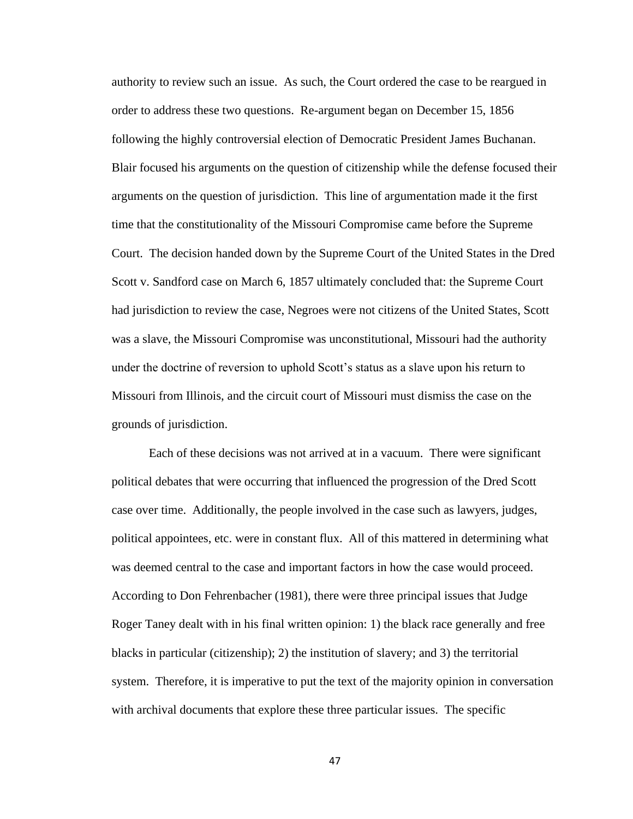authority to review such an issue. As such, the Court ordered the case to be reargued in order to address these two questions. Re-argument began on December 15, 1856 following the highly controversial election of Democratic President James Buchanan. Blair focused his arguments on the question of citizenship while the defense focused their arguments on the question of jurisdiction. This line of argumentation made it the first time that the constitutionality of the Missouri Compromise came before the Supreme Court. The decision handed down by the Supreme Court of the United States in the Dred Scott v. Sandford case on March 6, 1857 ultimately concluded that: the Supreme Court had jurisdiction to review the case, Negroes were not citizens of the United States, Scott was a slave, the Missouri Compromise was unconstitutional, Missouri had the authority under the doctrine of reversion to uphold Scott's status as a slave upon his return to Missouri from Illinois, and the circuit court of Missouri must dismiss the case on the grounds of jurisdiction.

Each of these decisions was not arrived at in a vacuum. There were significant political debates that were occurring that influenced the progression of the Dred Scott case over time. Additionally, the people involved in the case such as lawyers, judges, political appointees, etc. were in constant flux. All of this mattered in determining what was deemed central to the case and important factors in how the case would proceed. According to Don Fehrenbacher (1981), there were three principal issues that Judge Roger Taney dealt with in his final written opinion: 1) the black race generally and free blacks in particular (citizenship); 2) the institution of slavery; and 3) the territorial system. Therefore, it is imperative to put the text of the majority opinion in conversation with archival documents that explore these three particular issues. The specific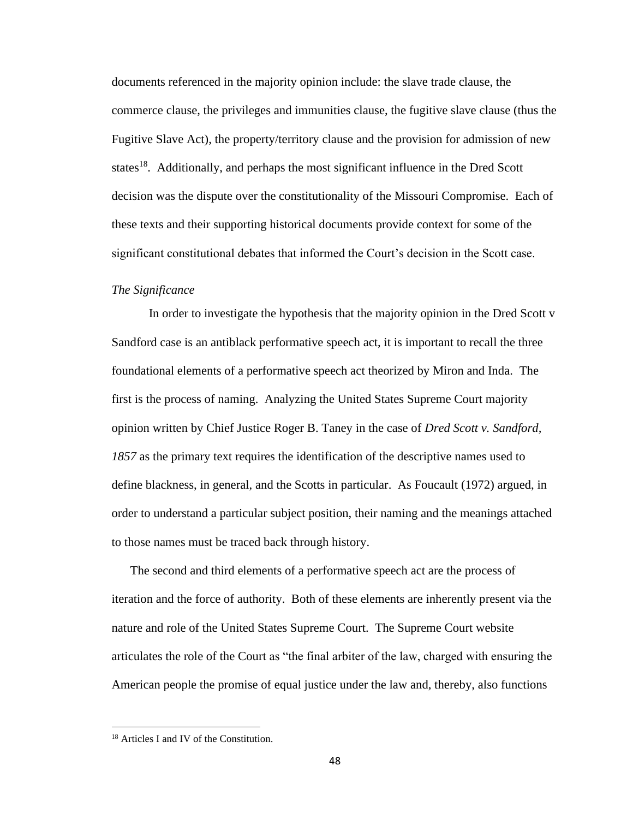documents referenced in the majority opinion include: the slave trade clause, the commerce clause, the privileges and immunities clause, the fugitive slave clause (thus the Fugitive Slave Act), the property/territory clause and the provision for admission of new states<sup>18</sup>. Additionally, and perhaps the most significant influence in the Dred Scott decision was the dispute over the constitutionality of the Missouri Compromise. Each of these texts and their supporting historical documents provide context for some of the significant constitutional debates that informed the Court's decision in the Scott case.

## *The Significance*

In order to investigate the hypothesis that the majority opinion in the Dred Scott v Sandford case is an antiblack performative speech act, it is important to recall the three foundational elements of a performative speech act theorized by Miron and Inda. The first is the process of naming. Analyzing the United States Supreme Court majority opinion written by Chief Justice Roger B. Taney in the case of *Dred Scott v. Sandford, 1857* as the primary text requires the identification of the descriptive names used to define blackness, in general, and the Scotts in particular. As Foucault (1972) argued, in order to understand a particular subject position, their naming and the meanings attached to those names must be traced back through history.

The second and third elements of a performative speech act are the process of iteration and the force of authority. Both of these elements are inherently present via the nature and role of the United States Supreme Court. The Supreme Court website articulates the role of the Court as "the final arbiter of the law, charged with ensuring the American people the promise of equal justice under the law and, thereby, also functions

<sup>18</sup> Articles I and IV of the Constitution.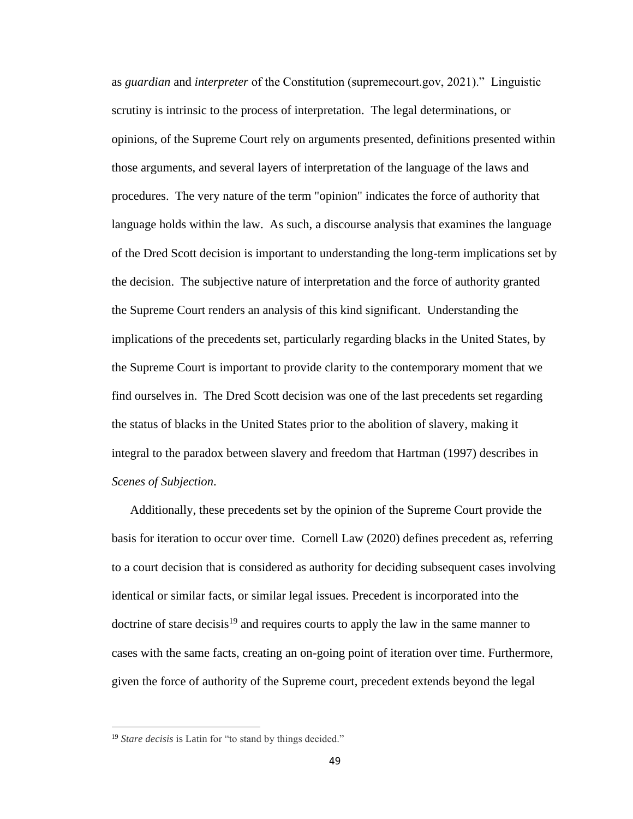as *guardian* and *interpreter* of the Constitution (supremecourt.gov, 2021)." Linguistic scrutiny is intrinsic to the process of interpretation. The legal determinations, or opinions, of the Supreme Court rely on arguments presented, definitions presented within those arguments, and several layers of interpretation of the language of the laws and procedures. The very nature of the term "opinion" indicates the force of authority that language holds within the law. As such, a discourse analysis that examines the language of the Dred Scott decision is important to understanding the long-term implications set by the decision. The subjective nature of interpretation and the force of authority granted the Supreme Court renders an analysis of this kind significant. Understanding the implications of the precedents set, particularly regarding blacks in the United States, by the Supreme Court is important to provide clarity to the contemporary moment that we find ourselves in. The Dred Scott decision was one of the last precedents set regarding the status of blacks in the United States prior to the abolition of slavery, making it integral to the paradox between slavery and freedom that Hartman (1997) describes in *Scenes of Subjection*.

Additionally, these precedents set by the opinion of the Supreme Court provide the basis for iteration to occur over time. Cornell Law (2020) defines precedent as, referring to a court decision that is considered as authority for deciding subsequent cases involving identical or similar facts, or similar legal issues. Precedent is incorporated into the doctrine of stare decisis<sup>19</sup> and requires courts to apply the law in the same manner to cases with the same facts, creating an on-going point of iteration over time. Furthermore, given the force of authority of the Supreme court, precedent extends beyond the legal

<sup>&</sup>lt;sup>19</sup> Stare decisis is Latin for "to stand by things decided."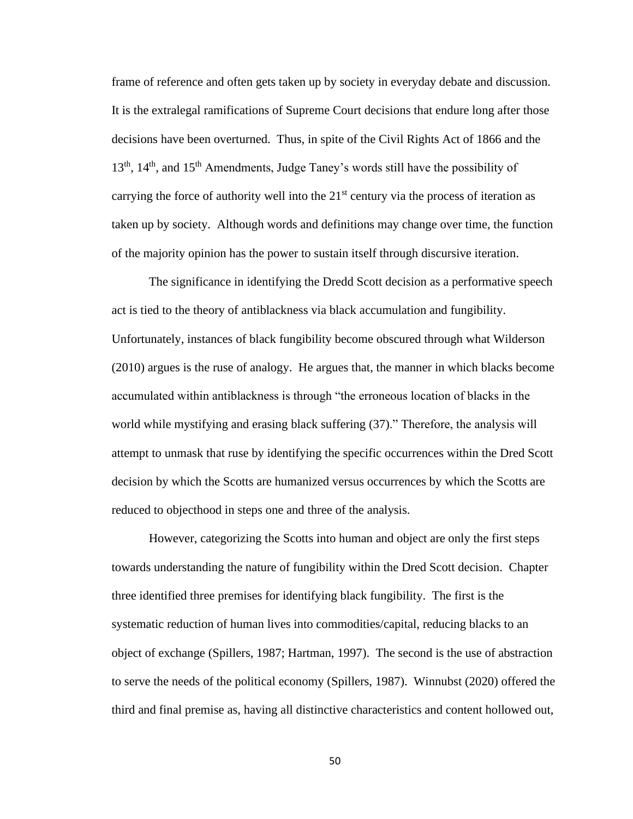frame of reference and often gets taken up by society in everyday debate and discussion. It is the extralegal ramifications of Supreme Court decisions that endure long after those decisions have been overturned. Thus, in spite of the Civil Rights Act of 1866 and the  $13<sup>th</sup>$ ,  $14<sup>th</sup>$ , and  $15<sup>th</sup>$  Amendments, Judge Taney's words still have the possibility of carrying the force of authority well into the  $21<sup>st</sup>$  century via the process of iteration as taken up by society. Although words and definitions may change over time, the function of the majority opinion has the power to sustain itself through discursive iteration.

The significance in identifying the Dredd Scott decision as a performative speech act is tied to the theory of antiblackness via black accumulation and fungibility. Unfortunately, instances of black fungibility become obscured through what Wilderson (2010) argues is the ruse of analogy. He argues that, the manner in which blacks become accumulated within antiblackness is through "the erroneous location of blacks in the world while mystifying and erasing black suffering (37)." Therefore, the analysis will attempt to unmask that ruse by identifying the specific occurrences within the Dred Scott decision by which the Scotts are humanized versus occurrences by which the Scotts are reduced to objecthood in steps one and three of the analysis.

However, categorizing the Scotts into human and object are only the first steps towards understanding the nature of fungibility within the Dred Scott decision. Chapter three identified three premises for identifying black fungibility. The first is the systematic reduction of human lives into commodities/capital, reducing blacks to an object of exchange (Spillers, 1987; Hartman, 1997). The second is the use of abstraction to serve the needs of the political economy (Spillers, 1987). Winnubst (2020) offered the third and final premise as, having all distinctive characteristics and content hollowed out,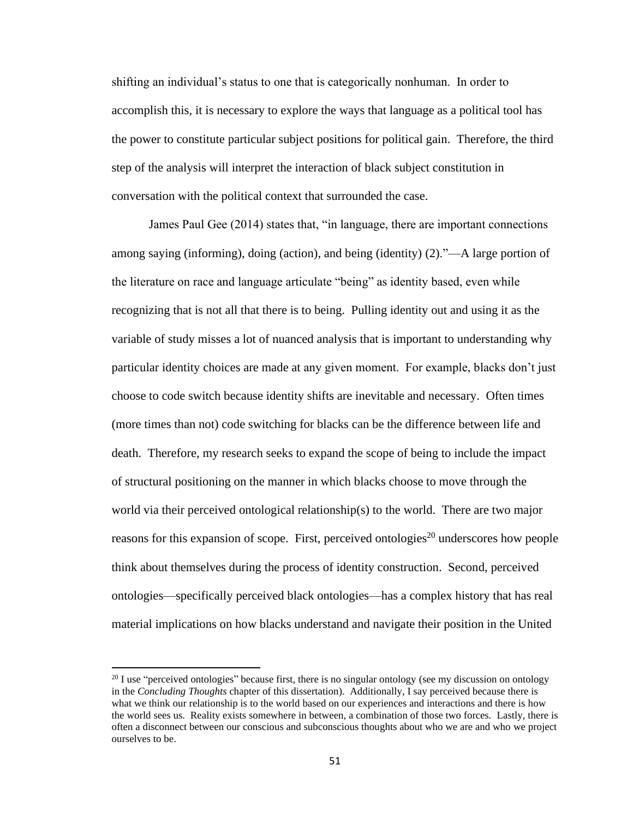shifting an individual's status to one that is categorically nonhuman. In order to accomplish this, it is necessary to explore the ways that language as a political tool has the power to constitute particular subject positions for political gain. Therefore, the third step of the analysis will interpret the interaction of black subject constitution in conversation with the political context that surrounded the case.

James Paul Gee (2014) states that, "in language, there are important connections among saying (informing), doing (action), and being (identity) (2)."—A large portion of the literature on race and language articulate "being" as identity based, even while recognizing that is not all that there is to being. Pulling identity out and using it as the variable of study misses a lot of nuanced analysis that is important to understanding why particular identity choices are made at any given moment. For example, blacks don't just choose to code switch because identity shifts are inevitable and necessary. Often times (more times than not) code switching for blacks can be the difference between life and death. Therefore, my research seeks to expand the scope of being to include the impact of structural positioning on the manner in which blacks choose to move through the world via their perceived ontological relationship(s) to the world. There are two major reasons for this expansion of scope. First, perceived ontologies<sup>20</sup> underscores how people think about themselves during the process of identity construction. Second, perceived ontologies—specifically perceived black ontologies—has a complex history that has real material implications on how blacks understand and navigate their position in the United

<sup>&</sup>lt;sup>20</sup> I use "perceived ontologies" because first, there is no singular ontology (see my discussion on ontology in the *Concluding Thoughts* chapter of this dissertation). Additionally, I say perceived because there is what we think our relationship is to the world based on our experiences and interactions and there is how the world sees us. Reality exists somewhere in between, a combination of those two forces. Lastly, there is often a disconnect between our conscious and subconscious thoughts about who we are and who we project ourselves to be.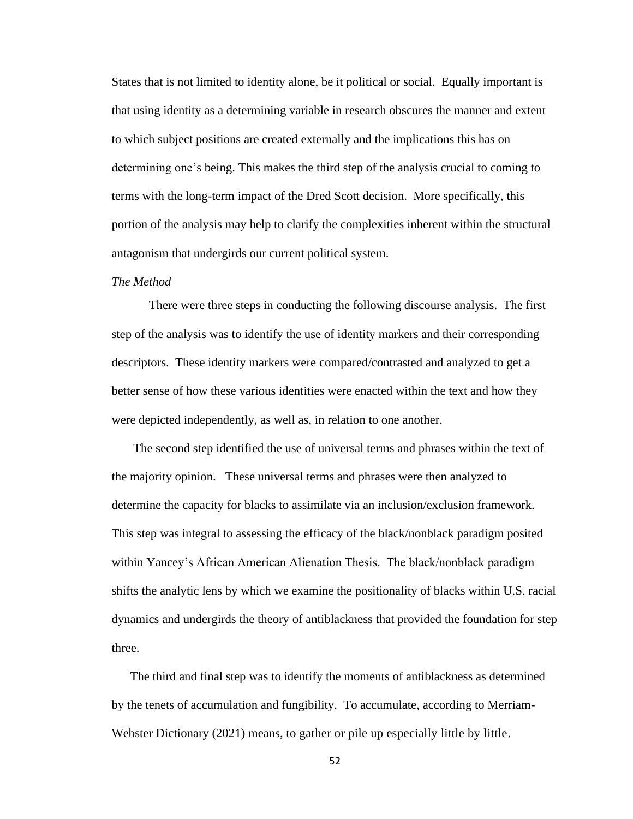States that is not limited to identity alone, be it political or social. Equally important is that using identity as a determining variable in research obscures the manner and extent to which subject positions are created externally and the implications this has on determining one's being. This makes the third step of the analysis crucial to coming to terms with the long-term impact of the Dred Scott decision. More specifically, this portion of the analysis may help to clarify the complexities inherent within the structural antagonism that undergirds our current political system.

#### *The Method*

There were three steps in conducting the following discourse analysis. The first step of the analysis was to identify the use of identity markers and their corresponding descriptors. These identity markers were compared/contrasted and analyzed to get a better sense of how these various identities were enacted within the text and how they were depicted independently, as well as, in relation to one another.

The second step identified the use of universal terms and phrases within the text of the majority opinion. These universal terms and phrases were then analyzed to determine the capacity for blacks to assimilate via an inclusion/exclusion framework. This step was integral to assessing the efficacy of the black/nonblack paradigm posited within Yancey's African American Alienation Thesis. The black/nonblack paradigm shifts the analytic lens by which we examine the positionality of blacks within U.S. racial dynamics and undergirds the theory of antiblackness that provided the foundation for step three.

The third and final step was to identify the moments of antiblackness as determined by the tenets of accumulation and fungibility. To accumulate, according to Merriam-Webster Dictionary (2021) means, to gather or pile up especially little by little.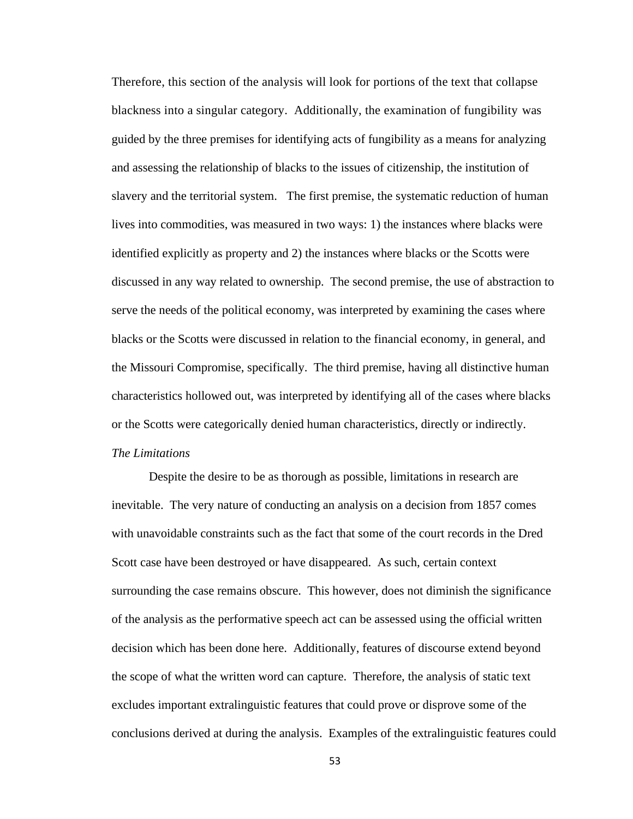Therefore, this section of the analysis will look for portions of the text that collapse blackness into a singular category. Additionally, the examination of fungibility was guided by the three premises for identifying acts of fungibility as a means for analyzing and assessing the relationship of blacks to the issues of citizenship, the institution of slavery and the territorial system. The first premise, the systematic reduction of human lives into commodities, was measured in two ways: 1) the instances where blacks were identified explicitly as property and 2) the instances where blacks or the Scotts were discussed in any way related to ownership. The second premise, the use of abstraction to serve the needs of the political economy, was interpreted by examining the cases where blacks or the Scotts were discussed in relation to the financial economy, in general, and the Missouri Compromise, specifically. The third premise, having all distinctive human characteristics hollowed out, was interpreted by identifying all of the cases where blacks or the Scotts were categorically denied human characteristics, directly or indirectly. *The Limitations*

Despite the desire to be as thorough as possible, limitations in research are inevitable. The very nature of conducting an analysis on a decision from 1857 comes with unavoidable constraints such as the fact that some of the court records in the Dred Scott case have been destroyed or have disappeared. As such, certain context surrounding the case remains obscure. This however, does not diminish the significance of the analysis as the performative speech act can be assessed using the official written decision which has been done here. Additionally, features of discourse extend beyond the scope of what the written word can capture. Therefore, the analysis of static text excludes important extralinguistic features that could prove or disprove some of the conclusions derived at during the analysis. Examples of the extralinguistic features could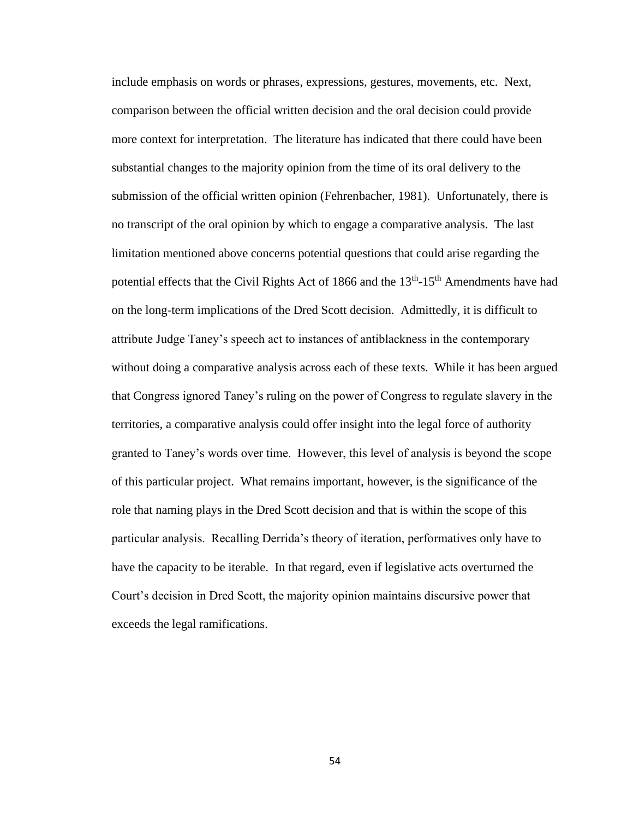include emphasis on words or phrases, expressions, gestures, movements, etc. Next, comparison between the official written decision and the oral decision could provide more context for interpretation. The literature has indicated that there could have been substantial changes to the majority opinion from the time of its oral delivery to the submission of the official written opinion (Fehrenbacher, 1981). Unfortunately, there is no transcript of the oral opinion by which to engage a comparative analysis. The last limitation mentioned above concerns potential questions that could arise regarding the potential effects that the Civil Rights Act of 1866 and the 13<sup>th</sup>-15<sup>th</sup> Amendments have had on the long-term implications of the Dred Scott decision. Admittedly, it is difficult to attribute Judge Taney's speech act to instances of antiblackness in the contemporary without doing a comparative analysis across each of these texts. While it has been argued that Congress ignored Taney's ruling on the power of Congress to regulate slavery in the territories, a comparative analysis could offer insight into the legal force of authority granted to Taney's words over time. However, this level of analysis is beyond the scope of this particular project. What remains important, however, is the significance of the role that naming plays in the Dred Scott decision and that is within the scope of this particular analysis. Recalling Derrida's theory of iteration, performatives only have to have the capacity to be iterable. In that regard, even if legislative acts overturned the Court's decision in Dred Scott, the majority opinion maintains discursive power that exceeds the legal ramifications.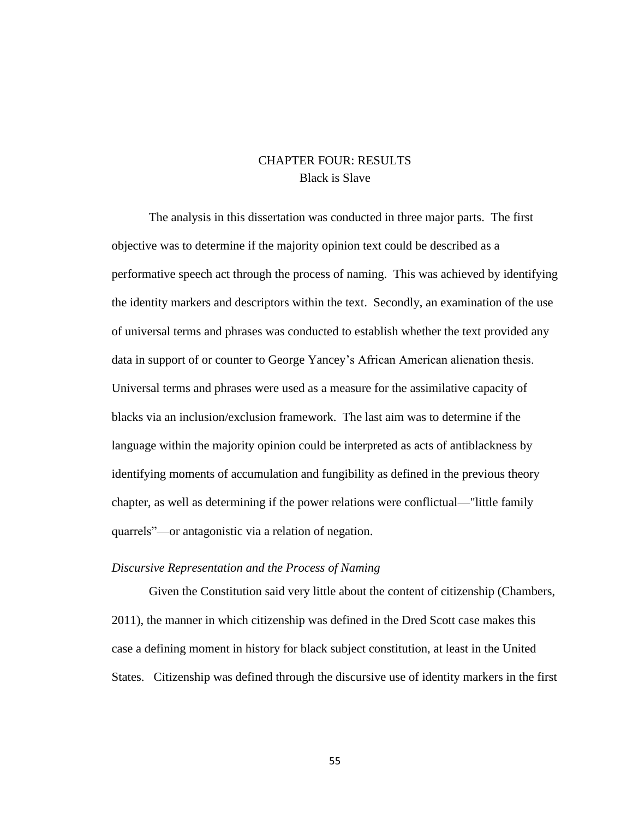# CHAPTER FOUR: RESULTS Black is Slave

The analysis in this dissertation was conducted in three major parts. The first objective was to determine if the majority opinion text could be described as a performative speech act through the process of naming. This was achieved by identifying the identity markers and descriptors within the text. Secondly, an examination of the use of universal terms and phrases was conducted to establish whether the text provided any data in support of or counter to George Yancey's African American alienation thesis. Universal terms and phrases were used as a measure for the assimilative capacity of blacks via an inclusion/exclusion framework. The last aim was to determine if the language within the majority opinion could be interpreted as acts of antiblackness by identifying moments of accumulation and fungibility as defined in the previous theory chapter, as well as determining if the power relations were conflictual—"little family quarrels"—or antagonistic via a relation of negation.

#### *Discursive Representation and the Process of Naming*

Given the Constitution said very little about the content of citizenship (Chambers, 2011), the manner in which citizenship was defined in the Dred Scott case makes this case a defining moment in history for black subject constitution, at least in the United States. Citizenship was defined through the discursive use of identity markers in the first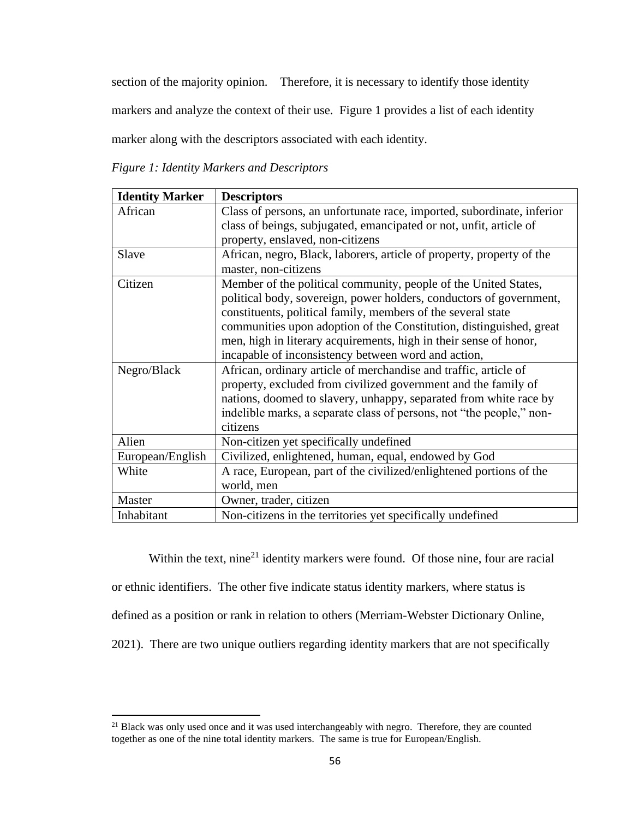section of the majority opinion. Therefore, it is necessary to identify those identity

markers and analyze the context of their use. Figure 1 provides a list of each identity

marker along with the descriptors associated with each identity.

*Figure 1: Identity Markers and Descriptors*

| <b>Identity Marker</b> | <b>Descriptors</b>                                                     |  |  |
|------------------------|------------------------------------------------------------------------|--|--|
| African                | Class of persons, an unfortunate race, imported, subordinate, inferior |  |  |
|                        | class of beings, subjugated, emancipated or not, unfit, article of     |  |  |
|                        | property, enslaved, non-citizens                                       |  |  |
| Slave                  | African, negro, Black, laborers, article of property, property of the  |  |  |
|                        | master, non-citizens                                                   |  |  |
| Citizen                | Member of the political community, people of the United States,        |  |  |
|                        | political body, sovereign, power holders, conductors of government,    |  |  |
|                        | constituents, political family, members of the several state           |  |  |
|                        | communities upon adoption of the Constitution, distinguished, great    |  |  |
|                        | men, high in literary acquirements, high in their sense of honor,      |  |  |
|                        | incapable of inconsistency between word and action,                    |  |  |
| Negro/Black            | African, ordinary article of merchandise and traffic, article of       |  |  |
|                        | property, excluded from civilized government and the family of         |  |  |
|                        | nations, doomed to slavery, unhappy, separated from white race by      |  |  |
|                        | indelible marks, a separate class of persons, not "the people," non-   |  |  |
|                        | citizens                                                               |  |  |
| Alien                  | Non-citizen yet specifically undefined                                 |  |  |
| European/English       | Civilized, enlightened, human, equal, endowed by God                   |  |  |
| White                  | A race, European, part of the civilized/enlightened portions of the    |  |  |
|                        | world, men                                                             |  |  |
| Master                 | Owner, trader, citizen                                                 |  |  |
| Inhabitant             | Non-citizens in the territories yet specifically undefined             |  |  |

Within the text, nine<sup>21</sup> identity markers were found. Of those nine, four are racial or ethnic identifiers. The other five indicate status identity markers, where status is defined as a position or rank in relation to others (Merriam-Webster Dictionary Online, 2021). There are two unique outliers regarding identity markers that are not specifically

<sup>&</sup>lt;sup>21</sup> Black was only used once and it was used interchangeably with negro. Therefore, they are counted together as one of the nine total identity markers. The same is true for European/English.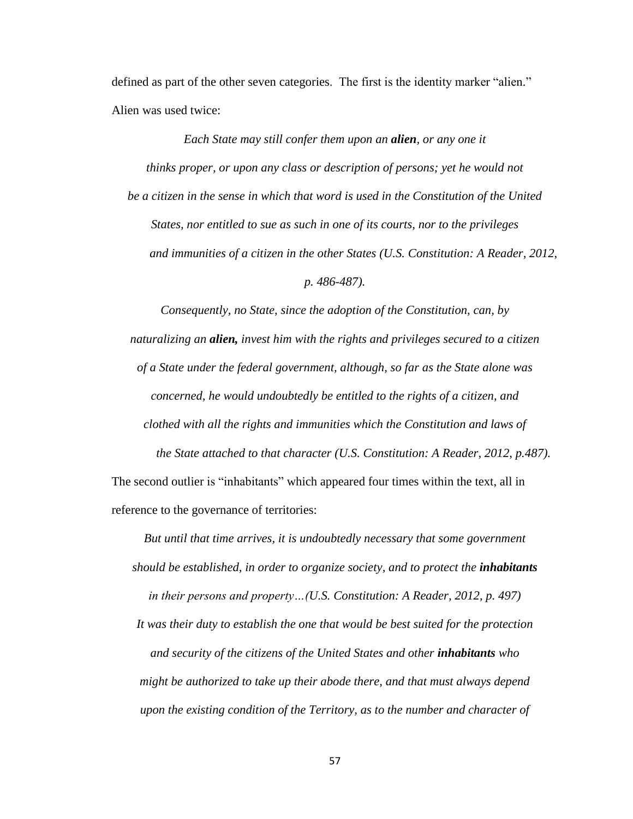defined as part of the other seven categories. The first is the identity marker "alien." Alien was used twice:

*Each State may still confer them upon an alien, or any one it thinks proper, or upon any class or description of persons; yet he would not be a citizen in the sense in which that word is used in the Constitution of the United States, nor entitled to sue as such in one of its courts, nor to the privileges and immunities of a citizen in the other States (U.S. Constitution: A Reader, 2012*, *p. 486-487).*

*Consequently, no State, since the adoption of the Constitution, can, by naturalizing an alien, invest him with the rights and privileges secured to a citizen of a State under the federal government, although, so far as the State alone was concerned, he would undoubtedly be entitled to the rights of a citizen, and clothed with all the rights and immunities which the Constitution and laws of the State attached to that character (U.S. Constitution: A Reader, 2012*, *p.487).*

The second outlier is "inhabitants" which appeared four times within the text, all in reference to the governance of territories:

*But until that time arrives, it is undoubtedly necessary that some government should be established, in order to organize society, and to protect the inhabitants in their persons and property…(U.S. Constitution: A Reader, 2012, p. 497) It was their duty to establish the one that would be best suited for the protection and security of the citizens of the United States and other inhabitants who might be authorized to take up their abode there, and that must always depend upon the existing condition of the Territory, as to the number and character of*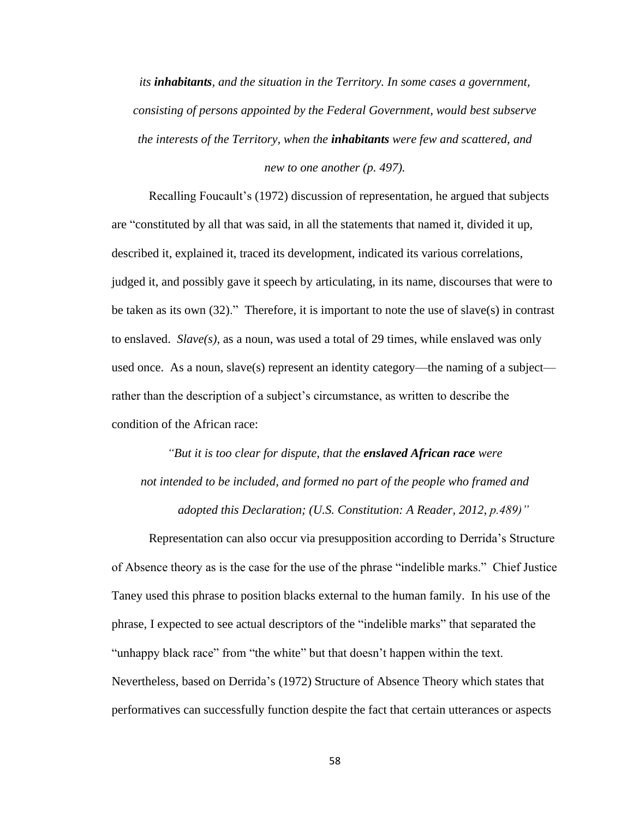*its inhabitants, and the situation in the Territory. In some cases a government, consisting of persons appointed by the Federal Government, would best subserve the interests of the Territory, when the inhabitants were few and scattered, and new to one another (p. 497).*

Recalling Foucault's (1972) discussion of representation, he argued that subjects are "constituted by all that was said, in all the statements that named it, divided it up, described it, explained it, traced its development, indicated its various correlations, judged it, and possibly gave it speech by articulating, in its name, discourses that were to be taken as its own (32)." Therefore, it is important to note the use of slave(s) in contrast to enslaved. *Slave(s),* as a noun, was used a total of 29 times, while enslaved was only used once. As a noun, slave(s) represent an identity category—the naming of a subject rather than the description of a subject's circumstance, as written to describe the condition of the African race:

*"But it is too clear for dispute, that the enslaved African race were not intended to be included, and formed no part of the people who framed and adopted this Declaration; (U.S. Constitution: A Reader, 2012*, *p.489)"*

Representation can also occur via presupposition according to Derrida's Structure of Absence theory as is the case for the use of the phrase "indelible marks." Chief Justice Taney used this phrase to position blacks external to the human family. In his use of the phrase, I expected to see actual descriptors of the "indelible marks" that separated the "unhappy black race" from "the white" but that doesn't happen within the text. Nevertheless, based on Derrida's (1972) Structure of Absence Theory which states that performatives can successfully function despite the fact that certain utterances or aspects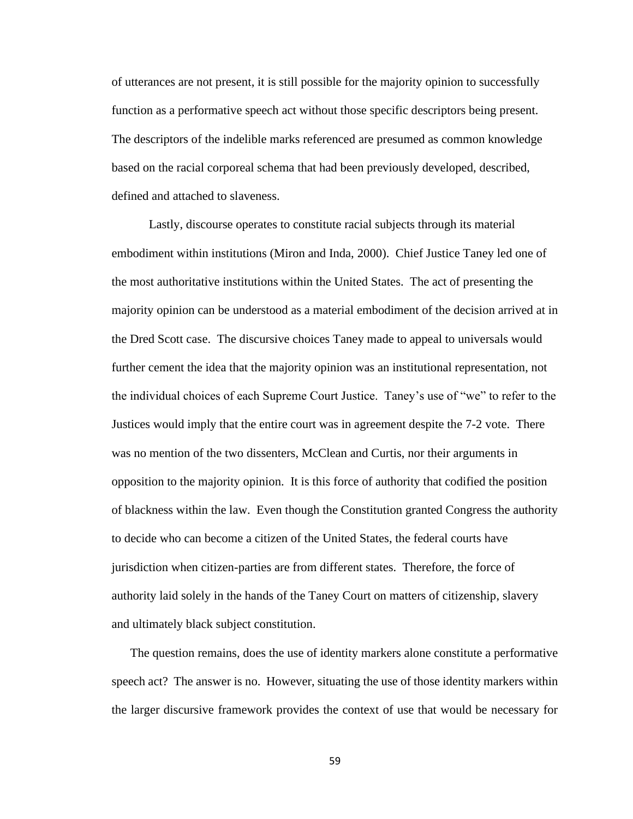of utterances are not present, it is still possible for the majority opinion to successfully function as a performative speech act without those specific descriptors being present. The descriptors of the indelible marks referenced are presumed as common knowledge based on the racial corporeal schema that had been previously developed, described, defined and attached to slaveness.

Lastly, discourse operates to constitute racial subjects through its material embodiment within institutions (Miron and Inda, 2000). Chief Justice Taney led one of the most authoritative institutions within the United States. The act of presenting the majority opinion can be understood as a material embodiment of the decision arrived at in the Dred Scott case. The discursive choices Taney made to appeal to universals would further cement the idea that the majority opinion was an institutional representation, not the individual choices of each Supreme Court Justice. Taney's use of "we" to refer to the Justices would imply that the entire court was in agreement despite the 7-2 vote. There was no mention of the two dissenters, McClean and Curtis, nor their arguments in opposition to the majority opinion. It is this force of authority that codified the position of blackness within the law. Even though the Constitution granted Congress the authority to decide who can become a citizen of the United States, the federal courts have jurisdiction when citizen-parties are from different states. Therefore, the force of authority laid solely in the hands of the Taney Court on matters of citizenship, slavery and ultimately black subject constitution.

The question remains, does the use of identity markers alone constitute a performative speech act? The answer is no. However, situating the use of those identity markers within the larger discursive framework provides the context of use that would be necessary for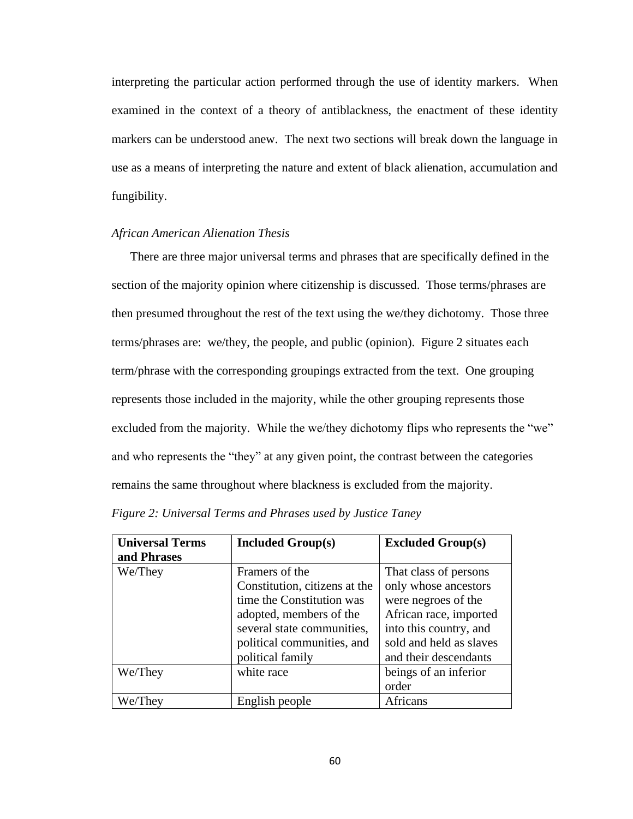interpreting the particular action performed through the use of identity markers. When examined in the context of a theory of antiblackness, the enactment of these identity markers can be understood anew. The next two sections will break down the language in use as a means of interpreting the nature and extent of black alienation, accumulation and fungibility.

## *African American Alienation Thesis*

There are three major universal terms and phrases that are specifically defined in the section of the majority opinion where citizenship is discussed. Those terms/phrases are then presumed throughout the rest of the text using the we/they dichotomy. Those three terms/phrases are: we/they, the people, and public (opinion). Figure 2 situates each term/phrase with the corresponding groupings extracted from the text. One grouping represents those included in the majority, while the other grouping represents those excluded from the majority. While the we/they dichotomy flips who represents the "we" and who represents the "they" at any given point, the contrast between the categories remains the same throughout where blackness is excluded from the majority.

| <b>Universal Terms</b><br>and Phrases | <b>Included Group(s)</b>                                                                                                                                                                | <b>Excluded Group(s)</b>                                                                                                                                                     |
|---------------------------------------|-----------------------------------------------------------------------------------------------------------------------------------------------------------------------------------------|------------------------------------------------------------------------------------------------------------------------------------------------------------------------------|
| We/They                               | Framers of the<br>Constitution, citizens at the<br>time the Constitution was<br>adopted, members of the<br>several state communities,<br>political communities, and<br>political family | That class of persons<br>only whose ancestors<br>were negroes of the<br>African race, imported<br>into this country, and<br>sold and held as slaves<br>and their descendants |
| We/They                               | white race                                                                                                                                                                              | beings of an inferior<br>order                                                                                                                                               |
| We/They                               | English people                                                                                                                                                                          | Africans                                                                                                                                                                     |

| Figure 2: Universal Terms and Phrases used by Justice Taney |  |  |  |
|-------------------------------------------------------------|--|--|--|
|-------------------------------------------------------------|--|--|--|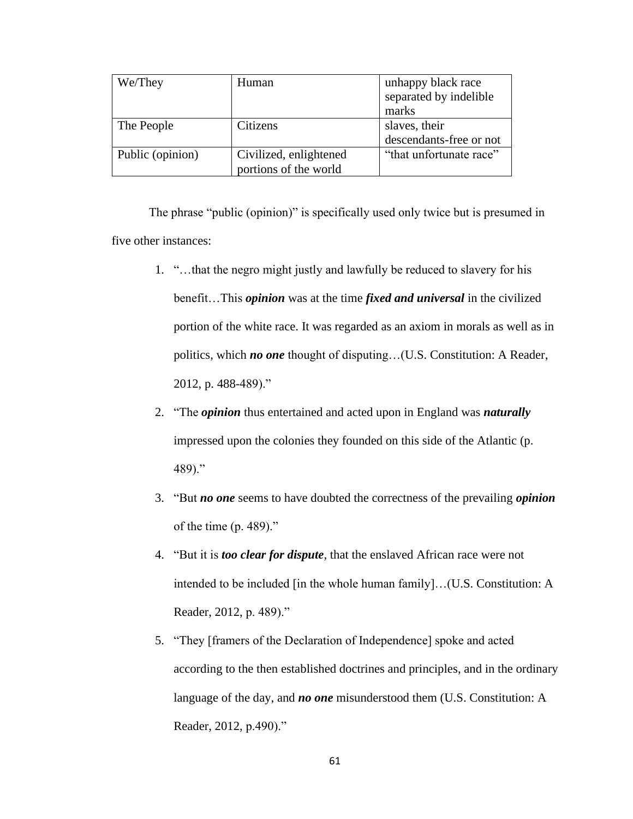| We/They          | Human                  | unhappy black race      |  |
|------------------|------------------------|-------------------------|--|
|                  |                        | separated by indelible  |  |
|                  |                        | marks                   |  |
| The People       | Citizens               | slaves, their           |  |
|                  |                        | descendants-free or not |  |
| Public (opinion) | Civilized, enlightened | "that unfortunate race" |  |
|                  | portions of the world  |                         |  |

The phrase "public (opinion)" is specifically used only twice but is presumed in five other instances:

- 1. "…that the negro might justly and lawfully be reduced to slavery for his benefit…This *opinion* was at the time *fixed and universal* in the civilized portion of the white race. It was regarded as an axiom in morals as well as in politics, which *no one* thought of disputing…(U.S. Constitution: A Reader, 2012, p. 488-489)."
- 2. "The *opinion* thus entertained and acted upon in England was *naturally* impressed upon the colonies they founded on this side of the Atlantic (p. 489)."
- 3. "But *no one* seems to have doubted the correctness of the prevailing *opinion* of the time (p. 489)."
- 4. "But it is *too clear for dispute*, that the enslaved African race were not intended to be included [in the whole human family]…(U.S. Constitution: A Reader, 2012, p. 489)."
- 5. "They [framers of the Declaration of Independence] spoke and acted according to the then established doctrines and principles, and in the ordinary language of the day, and *no one* misunderstood them (U.S. Constitution: A Reader, 2012, p.490)."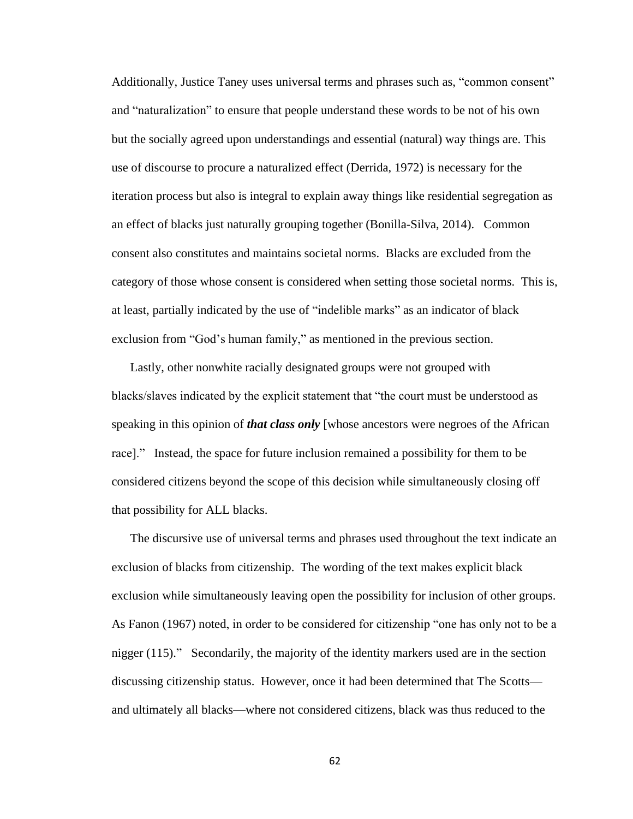Additionally, Justice Taney uses universal terms and phrases such as, "common consent" and "naturalization" to ensure that people understand these words to be not of his own but the socially agreed upon understandings and essential (natural) way things are. This use of discourse to procure a naturalized effect (Derrida, 1972) is necessary for the iteration process but also is integral to explain away things like residential segregation as an effect of blacks just naturally grouping together (Bonilla-Silva, 2014). Common consent also constitutes and maintains societal norms. Blacks are excluded from the category of those whose consent is considered when setting those societal norms. This is, at least, partially indicated by the use of "indelible marks" as an indicator of black exclusion from "God's human family," as mentioned in the previous section.

Lastly, other nonwhite racially designated groups were not grouped with blacks/slaves indicated by the explicit statement that "the court must be understood as speaking in this opinion of *that class only* [whose ancestors were negroes of the African race]." Instead, the space for future inclusion remained a possibility for them to be considered citizens beyond the scope of this decision while simultaneously closing off that possibility for ALL blacks.

The discursive use of universal terms and phrases used throughout the text indicate an exclusion of blacks from citizenship. The wording of the text makes explicit black exclusion while simultaneously leaving open the possibility for inclusion of other groups. As Fanon (1967) noted, in order to be considered for citizenship "one has only not to be a nigger (115)." Secondarily, the majority of the identity markers used are in the section discussing citizenship status. However, once it had been determined that The Scotts and ultimately all blacks—where not considered citizens, black was thus reduced to the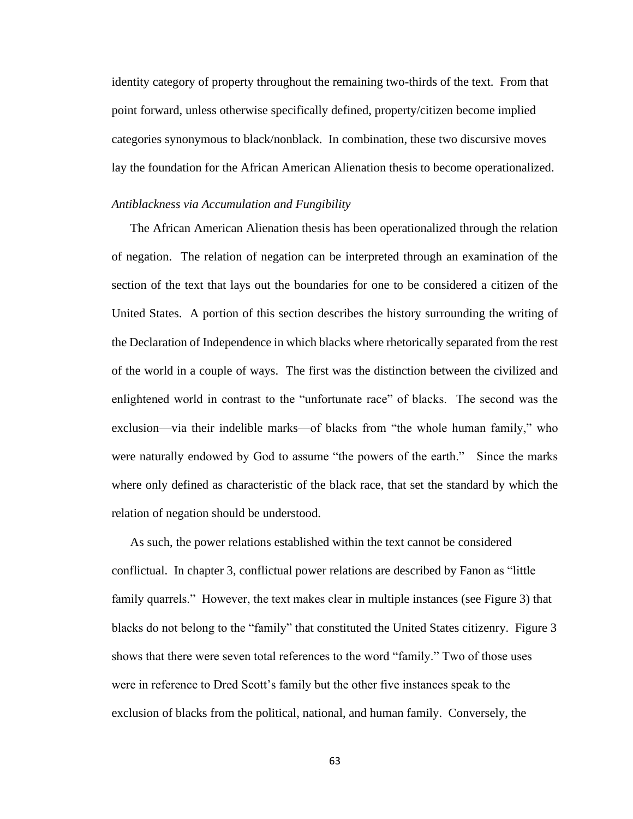identity category of property throughout the remaining two-thirds of the text. From that point forward, unless otherwise specifically defined, property/citizen become implied categories synonymous to black/nonblack. In combination, these two discursive moves lay the foundation for the African American Alienation thesis to become operationalized.

### *Antiblackness via Accumulation and Fungibility*

The African American Alienation thesis has been operationalized through the relation of negation. The relation of negation can be interpreted through an examination of the section of the text that lays out the boundaries for one to be considered a citizen of the United States. A portion of this section describes the history surrounding the writing of the Declaration of Independence in which blacks where rhetorically separated from the rest of the world in a couple of ways. The first was the distinction between the civilized and enlightened world in contrast to the "unfortunate race" of blacks. The second was the exclusion—via their indelible marks—of blacks from "the whole human family," who were naturally endowed by God to assume "the powers of the earth." Since the marks where only defined as characteristic of the black race, that set the standard by which the relation of negation should be understood.

As such, the power relations established within the text cannot be considered conflictual. In chapter 3, conflictual power relations are described by Fanon as "little family quarrels." However, the text makes clear in multiple instances (see Figure 3) that blacks do not belong to the "family" that constituted the United States citizenry. Figure 3 shows that there were seven total references to the word "family." Two of those uses were in reference to Dred Scott's family but the other five instances speak to the exclusion of blacks from the political, national, and human family. Conversely, the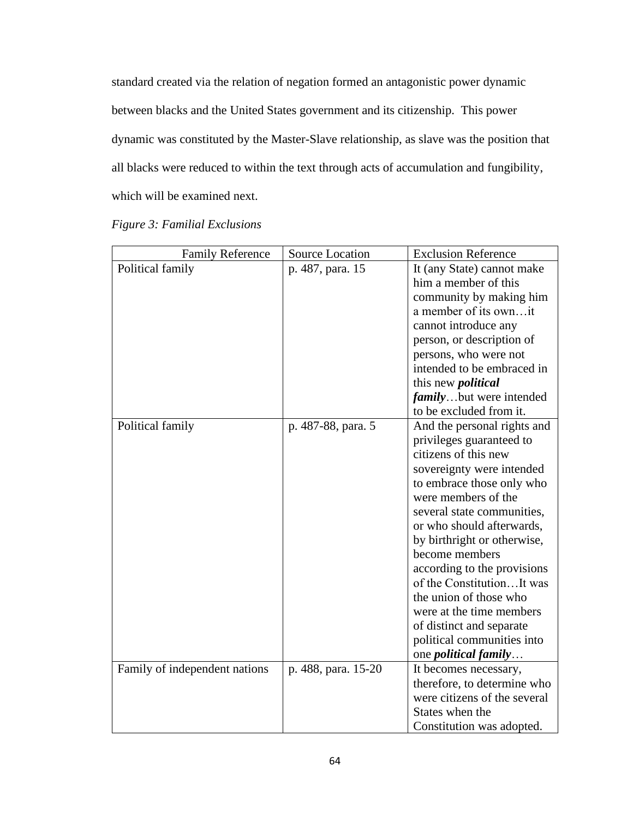standard created via the relation of negation formed an antagonistic power dynamic between blacks and the United States government and its citizenship. This power dynamic was constituted by the Master-Slave relationship, as slave was the position that all blacks were reduced to within the text through acts of accumulation and fungibility, which will be examined next.

| <b>Family Reference</b>       | Source Location     | <b>Exclusion Reference</b>      |
|-------------------------------|---------------------|---------------------------------|
| Political family              | p. 487, para. 15    | It (any State) cannot make      |
|                               |                     | him a member of this            |
|                               |                     | community by making him         |
|                               |                     | a member of its ownit           |
|                               |                     | cannot introduce any            |
|                               |                     | person, or description of       |
|                               |                     | persons, who were not           |
|                               |                     | intended to be embraced in      |
|                               |                     | this new <i>political</i>       |
|                               |                     | <i>family</i> but were intended |
|                               |                     | to be excluded from it.         |
| Political family              | p. 487-88, para. 5  | And the personal rights and     |
|                               |                     | privileges guaranteed to        |
|                               |                     | citizens of this new            |
|                               |                     | sovereignty were intended       |
|                               |                     | to embrace those only who       |
|                               |                     | were members of the             |
|                               |                     | several state communities,      |
|                               |                     | or who should afterwards,       |
|                               |                     | by birthright or otherwise,     |
|                               |                     | become members                  |
|                               |                     | according to the provisions     |
|                               |                     | of the ConstitutionIt was       |
|                               |                     | the union of those who          |
|                               |                     | were at the time members        |
|                               |                     | of distinct and separate        |
|                               |                     | political communities into      |
|                               |                     | one <i>political family</i>     |
| Family of independent nations | p. 488, para. 15-20 | It becomes necessary,           |
|                               |                     | therefore, to determine who     |
|                               |                     | were citizens of the several    |
|                               |                     | States when the                 |
|                               |                     | Constitution was adopted.       |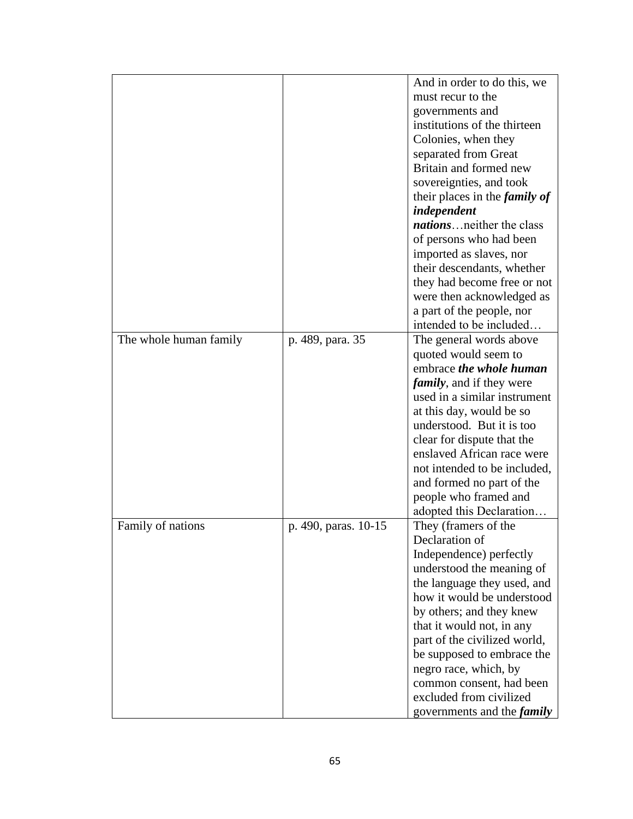|                        |                      | And in order to do this, we          |
|------------------------|----------------------|--------------------------------------|
|                        |                      | must recur to the                    |
|                        |                      | governments and                      |
|                        |                      | institutions of the thirteen         |
|                        |                      | Colonies, when they                  |
|                        |                      | separated from Great                 |
|                        |                      | Britain and formed new               |
|                        |                      | sovereignties, and took              |
|                        |                      | their places in the <i>family of</i> |
|                        |                      | independent                          |
|                        |                      | <i>nations</i> neither the class     |
|                        |                      | of persons who had been              |
|                        |                      | imported as slaves, nor              |
|                        |                      | their descendants, whether           |
|                        |                      | they had become free or not          |
|                        |                      | were then acknowledged as            |
|                        |                      | a part of the people, nor            |
|                        |                      | intended to be included              |
| The whole human family | p. 489, para. 35     | The general words above              |
|                        |                      | quoted would seem to                 |
|                        |                      | embrace <i>the whole human</i>       |
|                        |                      | <i>family</i> , and if they were     |
|                        |                      | used in a similar instrument         |
|                        |                      | at this day, would be so             |
|                        |                      | understood. But it is too            |
|                        |                      | clear for dispute that the           |
|                        |                      | enslaved African race were           |
|                        |                      | not intended to be included,         |
|                        |                      | and formed no part of the            |
|                        |                      | people who framed and                |
|                        |                      | adopted this Declaration             |
| Family of nations      | p. 490, paras. 10-15 | They (framers of the                 |
|                        |                      | Declaration of                       |
|                        |                      | Independence) perfectly              |
|                        |                      | understood the meaning of            |
|                        |                      | the language they used, and          |
|                        |                      | how it would be understood           |
|                        |                      | by others; and they knew             |
|                        |                      | that it would not, in any            |
|                        |                      | part of the civilized world,         |
|                        |                      | be supposed to embrace the           |
|                        |                      | negro race, which, by                |
|                        |                      | common consent, had been             |
|                        |                      | excluded from civilized              |
|                        |                      | governments and the <i>family</i>    |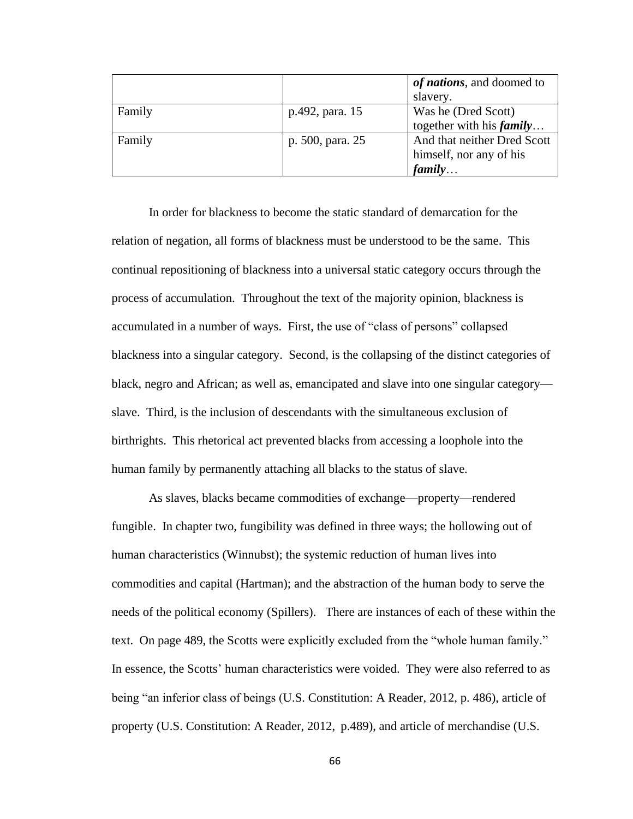|        |                  | of nations, and doomed to   |
|--------|------------------|-----------------------------|
|        |                  | slavery.                    |
| Family | p.492, para. 15  | Was he (Dred Scott)         |
|        |                  | together with his $family$  |
| Family | p. 500, para. 25 | And that neither Dred Scott |
|        |                  | himself, nor any of his     |
|        |                  | family                      |

In order for blackness to become the static standard of demarcation for the relation of negation, all forms of blackness must be understood to be the same. This continual repositioning of blackness into a universal static category occurs through the process of accumulation. Throughout the text of the majority opinion, blackness is accumulated in a number of ways. First, the use of "class of persons" collapsed blackness into a singular category. Second, is the collapsing of the distinct categories of black, negro and African; as well as, emancipated and slave into one singular category slave. Third, is the inclusion of descendants with the simultaneous exclusion of birthrights. This rhetorical act prevented blacks from accessing a loophole into the human family by permanently attaching all blacks to the status of slave.

As slaves, blacks became commodities of exchange—property—rendered fungible. In chapter two, fungibility was defined in three ways; the hollowing out of human characteristics (Winnubst); the systemic reduction of human lives into commodities and capital (Hartman); and the abstraction of the human body to serve the needs of the political economy (Spillers). There are instances of each of these within the text. On page 489, the Scotts were explicitly excluded from the "whole human family." In essence, the Scotts' human characteristics were voided. They were also referred to as being "an inferior class of beings (U.S. Constitution: A Reader, 2012, p. 486), article of property (U.S. Constitution: A Reader, 2012, p.489), and article of merchandise (U.S.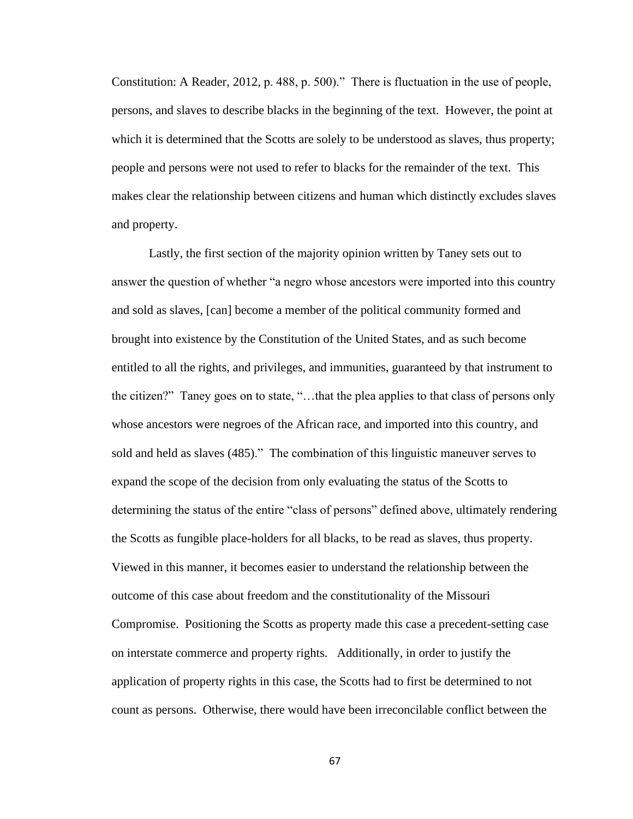Constitution: A Reader, 2012, p. 488, p. 500)." There is fluctuation in the use of people, persons, and slaves to describe blacks in the beginning of the text. However, the point at which it is determined that the Scotts are solely to be understood as slaves, thus property; people and persons were not used to refer to blacks for the remainder of the text. This makes clear the relationship between citizens and human which distinctly excludes slaves and property.

Lastly, the first section of the majority opinion written by Taney sets out to answer the question of whether "a negro whose ancestors were imported into this country and sold as slaves, [can] become a member of the political community formed and brought into existence by the Constitution of the United States, and as such become entitled to all the rights, and privileges, and immunities, guaranteed by that instrument to the citizen?" Taney goes on to state, "…that the plea applies to that class of persons only whose ancestors were negroes of the African race, and imported into this country, and sold and held as slaves (485)." The combination of this linguistic maneuver serves to expand the scope of the decision from only evaluating the status of the Scotts to determining the status of the entire "class of persons" defined above, ultimately rendering the Scotts as fungible place-holders for all blacks, to be read as slaves, thus property. Viewed in this manner, it becomes easier to understand the relationship between the outcome of this case about freedom and the constitutionality of the Missouri Compromise. Positioning the Scotts as property made this case a precedent-setting case on interstate commerce and property rights. Additionally, in order to justify the application of property rights in this case, the Scotts had to first be determined to not count as persons. Otherwise, there would have been irreconcilable conflict between the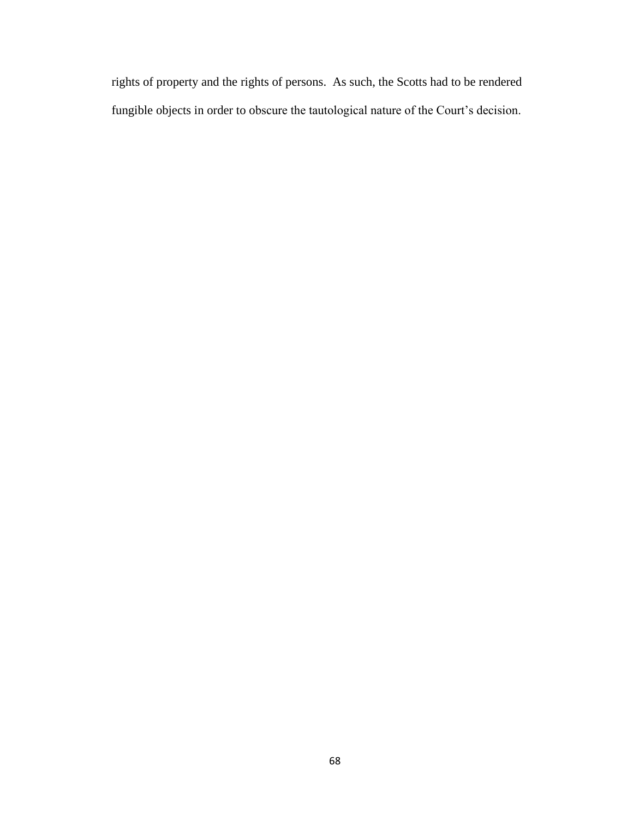rights of property and the rights of persons. As such, the Scotts had to be rendered fungible objects in order to obscure the tautological nature of the Court's decision.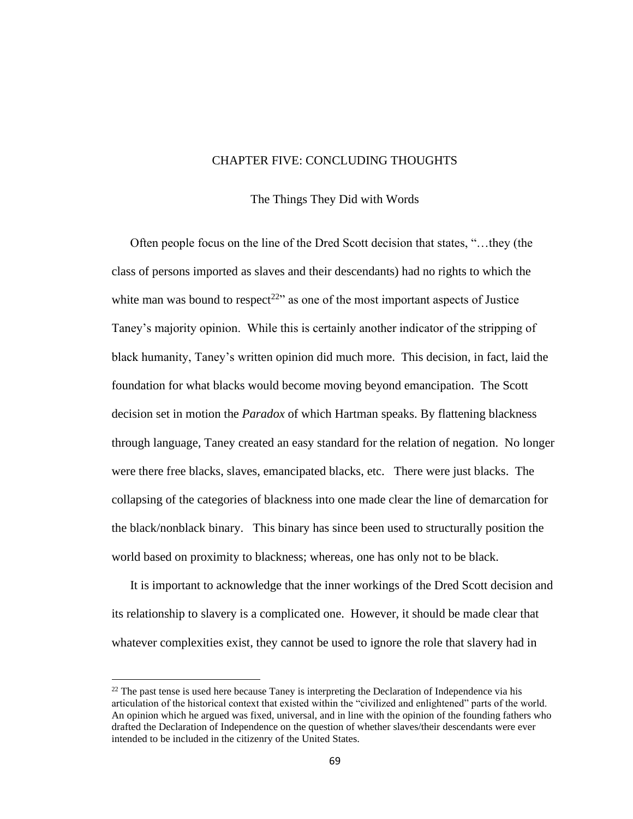### CHAPTER FIVE: CONCLUDING THOUGHTS

### The Things They Did with Words

Often people focus on the line of the Dred Scott decision that states, "…they (the class of persons imported as slaves and their descendants) had no rights to which the white man was bound to respect<sup>22</sup> as one of the most important aspects of Justice Taney's majority opinion. While this is certainly another indicator of the stripping of black humanity, Taney's written opinion did much more. This decision, in fact, laid the foundation for what blacks would become moving beyond emancipation. The Scott decision set in motion the *Paradox* of which Hartman speaks. By flattening blackness through language, Taney created an easy standard for the relation of negation. No longer were there free blacks, slaves, emancipated blacks, etc. There were just blacks. The collapsing of the categories of blackness into one made clear the line of demarcation for the black/nonblack binary. This binary has since been used to structurally position the world based on proximity to blackness; whereas, one has only not to be black.

It is important to acknowledge that the inner workings of the Dred Scott decision and its relationship to slavery is a complicated one. However, it should be made clear that whatever complexities exist, they cannot be used to ignore the role that slavery had in

 $22$  The past tense is used here because Taney is interpreting the Declaration of Independence via his articulation of the historical context that existed within the "civilized and enlightened" parts of the world. An opinion which he argued was fixed, universal, and in line with the opinion of the founding fathers who drafted the Declaration of Independence on the question of whether slaves/their descendants were ever intended to be included in the citizenry of the United States.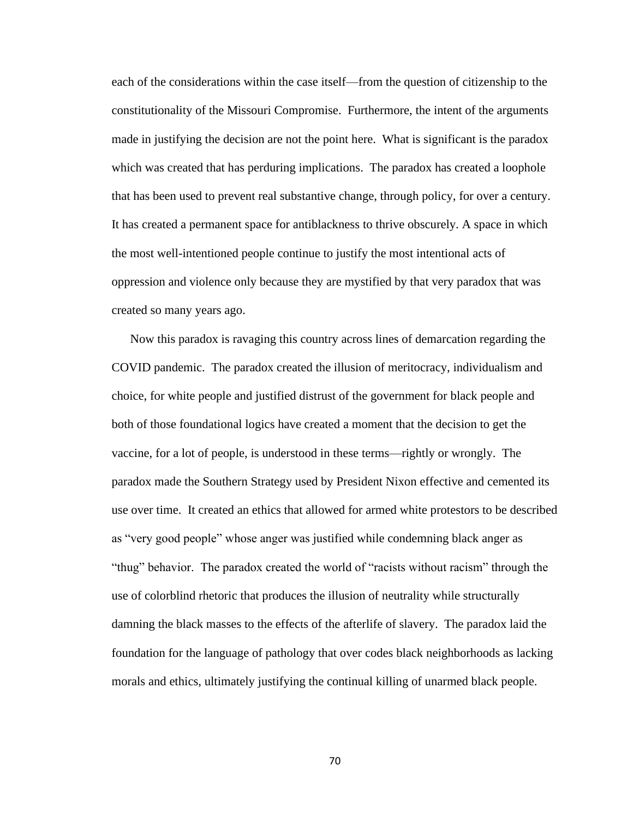each of the considerations within the case itself—from the question of citizenship to the constitutionality of the Missouri Compromise. Furthermore, the intent of the arguments made in justifying the decision are not the point here. What is significant is the paradox which was created that has perduring implications. The paradox has created a loophole that has been used to prevent real substantive change, through policy, for over a century. It has created a permanent space for antiblackness to thrive obscurely. A space in which the most well-intentioned people continue to justify the most intentional acts of oppression and violence only because they are mystified by that very paradox that was created so many years ago.

Now this paradox is ravaging this country across lines of demarcation regarding the COVID pandemic. The paradox created the illusion of meritocracy, individualism and choice, for white people and justified distrust of the government for black people and both of those foundational logics have created a moment that the decision to get the vaccine, for a lot of people, is understood in these terms—rightly or wrongly. The paradox made the Southern Strategy used by President Nixon effective and cemented its use over time. It created an ethics that allowed for armed white protestors to be described as "very good people" whose anger was justified while condemning black anger as "thug" behavior. The paradox created the world of "racists without racism" through the use of colorblind rhetoric that produces the illusion of neutrality while structurally damning the black masses to the effects of the afterlife of slavery. The paradox laid the foundation for the language of pathology that over codes black neighborhoods as lacking morals and ethics, ultimately justifying the continual killing of unarmed black people.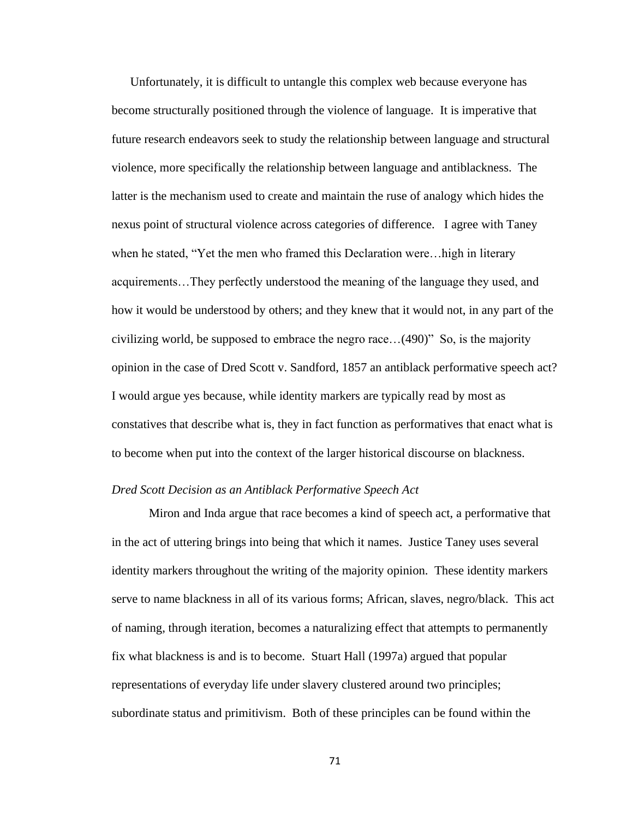Unfortunately, it is difficult to untangle this complex web because everyone has become structurally positioned through the violence of language. It is imperative that future research endeavors seek to study the relationship between language and structural violence, more specifically the relationship between language and antiblackness. The latter is the mechanism used to create and maintain the ruse of analogy which hides the nexus point of structural violence across categories of difference. I agree with Taney when he stated, "Yet the men who framed this Declaration were…high in literary acquirements…They perfectly understood the meaning of the language they used, and how it would be understood by others; and they knew that it would not, in any part of the civilizing world, be supposed to embrace the negro race…(490)" So, is the majority opinion in the case of Dred Scott v. Sandford, 1857 an antiblack performative speech act? I would argue yes because, while identity markers are typically read by most as constatives that describe what is, they in fact function as performatives that enact what is to become when put into the context of the larger historical discourse on blackness.

### *Dred Scott Decision as an Antiblack Performative Speech Act*

Miron and Inda argue that race becomes a kind of speech act, a performative that in the act of uttering brings into being that which it names. Justice Taney uses several identity markers throughout the writing of the majority opinion. These identity markers serve to name blackness in all of its various forms; African, slaves, negro/black. This act of naming, through iteration, becomes a naturalizing effect that attempts to permanently fix what blackness is and is to become. Stuart Hall (1997a) argued that popular representations of everyday life under slavery clustered around two principles; subordinate status and primitivism. Both of these principles can be found within the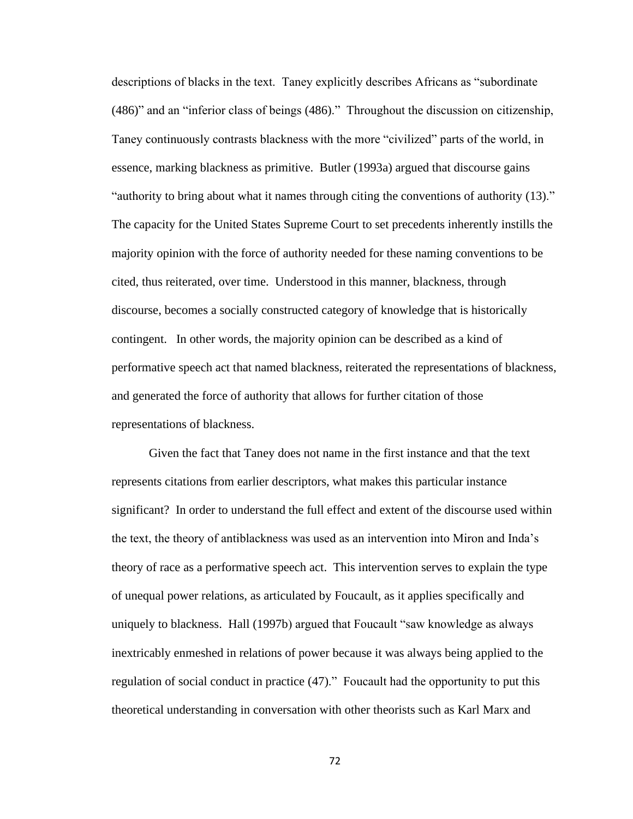descriptions of blacks in the text. Taney explicitly describes Africans as "subordinate (486)" and an "inferior class of beings (486)." Throughout the discussion on citizenship, Taney continuously contrasts blackness with the more "civilized" parts of the world, in essence, marking blackness as primitive. Butler (1993a) argued that discourse gains "authority to bring about what it names through citing the conventions of authority (13)." The capacity for the United States Supreme Court to set precedents inherently instills the majority opinion with the force of authority needed for these naming conventions to be cited, thus reiterated, over time. Understood in this manner, blackness, through discourse, becomes a socially constructed category of knowledge that is historically contingent. In other words, the majority opinion can be described as a kind of performative speech act that named blackness, reiterated the representations of blackness, and generated the force of authority that allows for further citation of those representations of blackness.

Given the fact that Taney does not name in the first instance and that the text represents citations from earlier descriptors, what makes this particular instance significant? In order to understand the full effect and extent of the discourse used within the text, the theory of antiblackness was used as an intervention into Miron and Inda's theory of race as a performative speech act. This intervention serves to explain the type of unequal power relations, as articulated by Foucault, as it applies specifically and uniquely to blackness. Hall (1997b) argued that Foucault "saw knowledge as always inextricably enmeshed in relations of power because it was always being applied to the regulation of social conduct in practice (47)." Foucault had the opportunity to put this theoretical understanding in conversation with other theorists such as Karl Marx and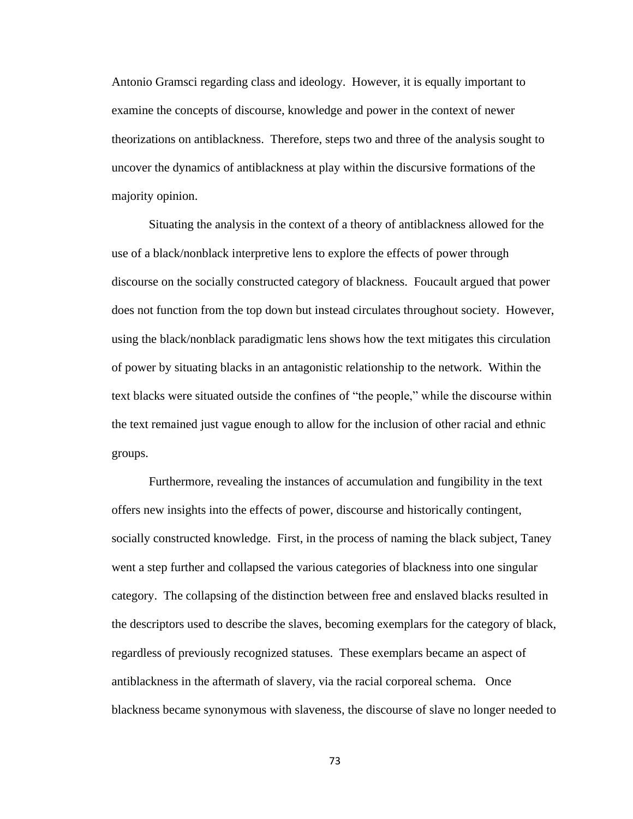Antonio Gramsci regarding class and ideology. However, it is equally important to examine the concepts of discourse, knowledge and power in the context of newer theorizations on antiblackness. Therefore, steps two and three of the analysis sought to uncover the dynamics of antiblackness at play within the discursive formations of the majority opinion.

Situating the analysis in the context of a theory of antiblackness allowed for the use of a black/nonblack interpretive lens to explore the effects of power through discourse on the socially constructed category of blackness. Foucault argued that power does not function from the top down but instead circulates throughout society. However, using the black/nonblack paradigmatic lens shows how the text mitigates this circulation of power by situating blacks in an antagonistic relationship to the network. Within the text blacks were situated outside the confines of "the people," while the discourse within the text remained just vague enough to allow for the inclusion of other racial and ethnic groups.

Furthermore, revealing the instances of accumulation and fungibility in the text offers new insights into the effects of power, discourse and historically contingent, socially constructed knowledge. First, in the process of naming the black subject, Taney went a step further and collapsed the various categories of blackness into one singular category. The collapsing of the distinction between free and enslaved blacks resulted in the descriptors used to describe the slaves, becoming exemplars for the category of black, regardless of previously recognized statuses. These exemplars became an aspect of antiblackness in the aftermath of slavery, via the racial corporeal schema. Once blackness became synonymous with slaveness, the discourse of slave no longer needed to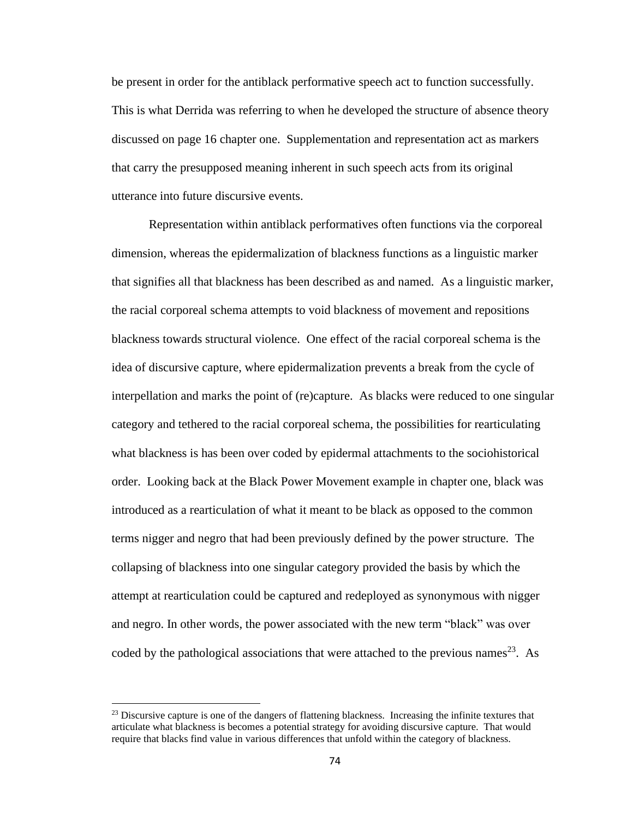be present in order for the antiblack performative speech act to function successfully. This is what Derrida was referring to when he developed the structure of absence theory discussed on page 16 chapter one. Supplementation and representation act as markers that carry the presupposed meaning inherent in such speech acts from its original utterance into future discursive events.

Representation within antiblack performatives often functions via the corporeal dimension, whereas the epidermalization of blackness functions as a linguistic marker that signifies all that blackness has been described as and named. As a linguistic marker, the racial corporeal schema attempts to void blackness of movement and repositions blackness towards structural violence. One effect of the racial corporeal schema is the idea of discursive capture, where epidermalization prevents a break from the cycle of interpellation and marks the point of (re)capture. As blacks were reduced to one singular category and tethered to the racial corporeal schema, the possibilities for rearticulating what blackness is has been over coded by epidermal attachments to the sociohistorical order. Looking back at the Black Power Movement example in chapter one, black was introduced as a rearticulation of what it meant to be black as opposed to the common terms nigger and negro that had been previously defined by the power structure. The collapsing of blackness into one singular category provided the basis by which the attempt at rearticulation could be captured and redeployed as synonymous with nigger and negro. In other words, the power associated with the new term "black" was over coded by the pathological associations that were attached to the previous names<sup>23</sup>. As

<sup>&</sup>lt;sup>23</sup> Discursive capture is one of the dangers of flattening blackness. Increasing the infinite textures that articulate what blackness is becomes a potential strategy for avoiding discursive capture. That would require that blacks find value in various differences that unfold within the category of blackness.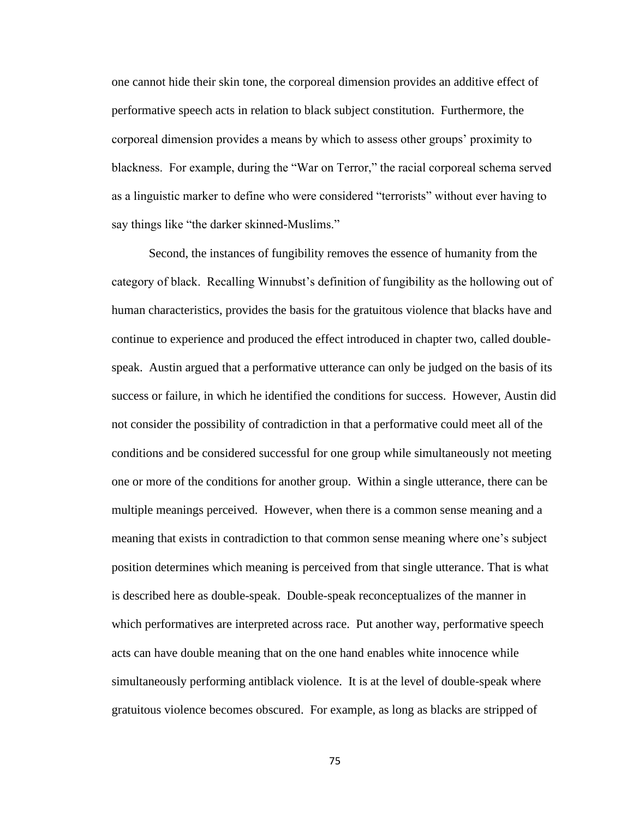one cannot hide their skin tone, the corporeal dimension provides an additive effect of performative speech acts in relation to black subject constitution. Furthermore, the corporeal dimension provides a means by which to assess other groups' proximity to blackness. For example, during the "War on Terror," the racial corporeal schema served as a linguistic marker to define who were considered "terrorists" without ever having to say things like "the darker skinned-Muslims."

Second, the instances of fungibility removes the essence of humanity from the category of black. Recalling Winnubst's definition of fungibility as the hollowing out of human characteristics, provides the basis for the gratuitous violence that blacks have and continue to experience and produced the effect introduced in chapter two, called doublespeak. Austin argued that a performative utterance can only be judged on the basis of its success or failure, in which he identified the conditions for success. However, Austin did not consider the possibility of contradiction in that a performative could meet all of the conditions and be considered successful for one group while simultaneously not meeting one or more of the conditions for another group. Within a single utterance, there can be multiple meanings perceived. However, when there is a common sense meaning and a meaning that exists in contradiction to that common sense meaning where one's subject position determines which meaning is perceived from that single utterance. That is what is described here as double-speak. Double-speak reconceptualizes of the manner in which performatives are interpreted across race. Put another way, performative speech acts can have double meaning that on the one hand enables white innocence while simultaneously performing antiblack violence. It is at the level of double-speak where gratuitous violence becomes obscured. For example, as long as blacks are stripped of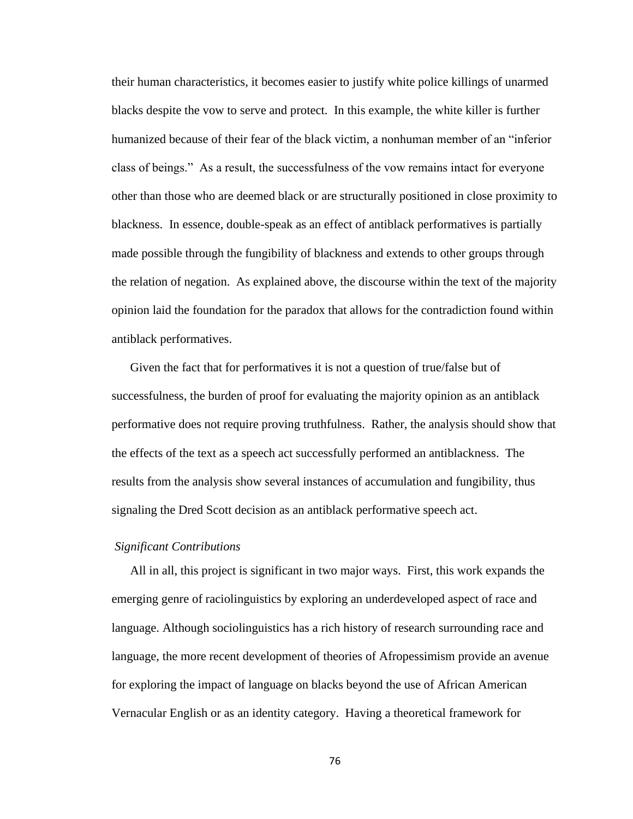their human characteristics, it becomes easier to justify white police killings of unarmed blacks despite the vow to serve and protect. In this example, the white killer is further humanized because of their fear of the black victim, a nonhuman member of an "inferior class of beings." As a result, the successfulness of the vow remains intact for everyone other than those who are deemed black or are structurally positioned in close proximity to blackness. In essence, double-speak as an effect of antiblack performatives is partially made possible through the fungibility of blackness and extends to other groups through the relation of negation. As explained above, the discourse within the text of the majority opinion laid the foundation for the paradox that allows for the contradiction found within antiblack performatives.

Given the fact that for performatives it is not a question of true/false but of successfulness, the burden of proof for evaluating the majority opinion as an antiblack performative does not require proving truthfulness. Rather, the analysis should show that the effects of the text as a speech act successfully performed an antiblackness. The results from the analysis show several instances of accumulation and fungibility, thus signaling the Dred Scott decision as an antiblack performative speech act.

### *Significant Contributions*

All in all, this project is significant in two major ways. First, this work expands the emerging genre of raciolinguistics by exploring an underdeveloped aspect of race and language. Although sociolinguistics has a rich history of research surrounding race and language, the more recent development of theories of Afropessimism provide an avenue for exploring the impact of language on blacks beyond the use of African American Vernacular English or as an identity category. Having a theoretical framework for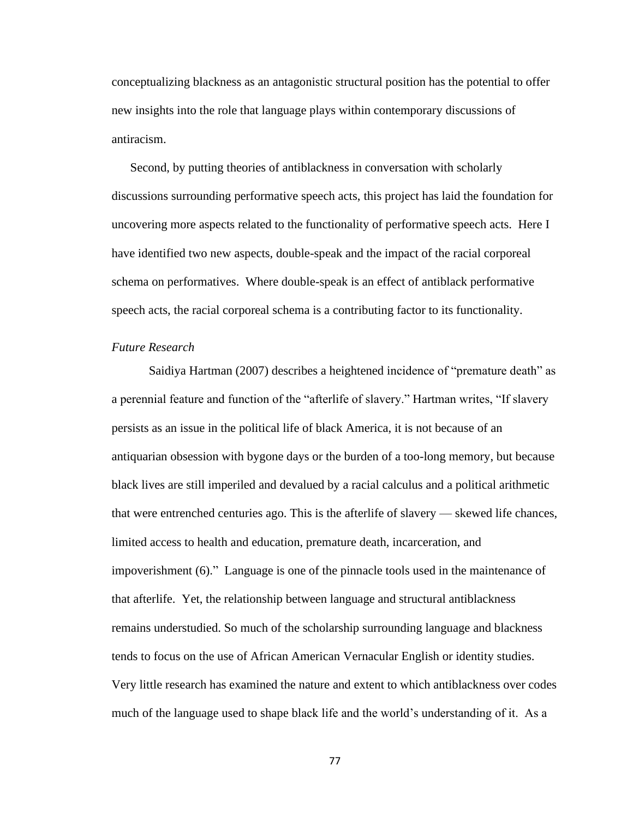conceptualizing blackness as an antagonistic structural position has the potential to offer new insights into the role that language plays within contemporary discussions of antiracism.

Second, by putting theories of antiblackness in conversation with scholarly discussions surrounding performative speech acts, this project has laid the foundation for uncovering more aspects related to the functionality of performative speech acts. Here I have identified two new aspects, double-speak and the impact of the racial corporeal schema on performatives. Where double-speak is an effect of antiblack performative speech acts, the racial corporeal schema is a contributing factor to its functionality.

### *Future Research*

Saidiya Hartman (2007) describes a heightened incidence of "premature death" as a perennial feature and function of the "afterlife of slavery." Hartman writes, "If slavery persists as an issue in the political life of black America, it is not because of an antiquarian obsession with bygone days or the burden of a too-long memory, but because black lives are still imperiled and devalued by a racial calculus and a political arithmetic that were entrenched centuries ago. This is the afterlife of slavery — skewed life chances, limited access to health and education, premature death, incarceration, and impoverishment (6)." Language is one of the pinnacle tools used in the maintenance of that afterlife. Yet, the relationship between language and structural antiblackness remains understudied. So much of the scholarship surrounding language and blackness tends to focus on the use of African American Vernacular English or identity studies. Very little research has examined the nature and extent to which antiblackness over codes much of the language used to shape black life and the world's understanding of it. As a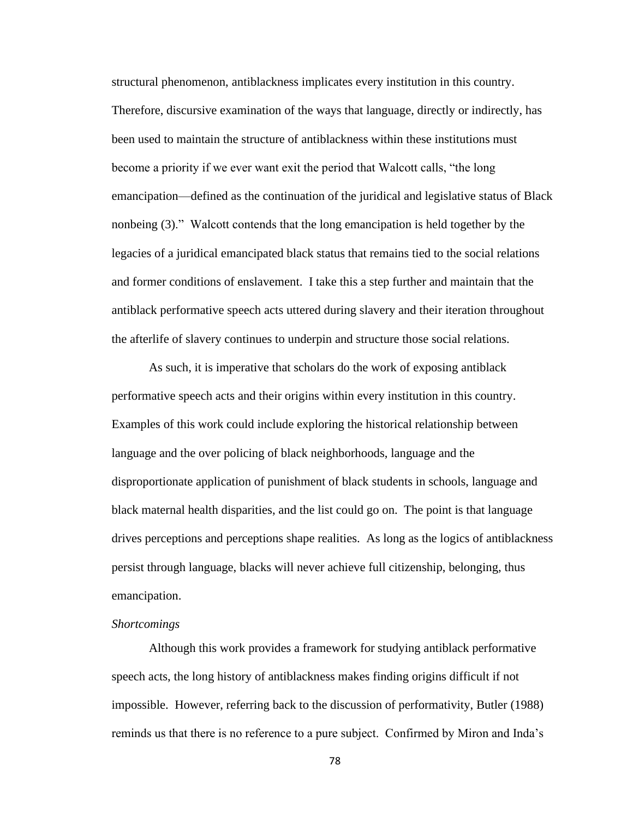structural phenomenon, antiblackness implicates every institution in this country. Therefore, discursive examination of the ways that language, directly or indirectly, has been used to maintain the structure of antiblackness within these institutions must become a priority if we ever want exit the period that Walcott calls, "the long emancipation—defined as the continuation of the juridical and legislative status of Black nonbeing (3)." Walcott contends that the long emancipation is held together by the legacies of a juridical emancipated black status that remains tied to the social relations and former conditions of enslavement. I take this a step further and maintain that the antiblack performative speech acts uttered during slavery and their iteration throughout the afterlife of slavery continues to underpin and structure those social relations.

As such, it is imperative that scholars do the work of exposing antiblack performative speech acts and their origins within every institution in this country. Examples of this work could include exploring the historical relationship between language and the over policing of black neighborhoods, language and the disproportionate application of punishment of black students in schools, language and black maternal health disparities, and the list could go on. The point is that language drives perceptions and perceptions shape realities. As long as the logics of antiblackness persist through language, blacks will never achieve full citizenship, belonging, thus emancipation.

### *Shortcomings*

Although this work provides a framework for studying antiblack performative speech acts, the long history of antiblackness makes finding origins difficult if not impossible. However, referring back to the discussion of performativity, Butler (1988) reminds us that there is no reference to a pure subject. Confirmed by Miron and Inda's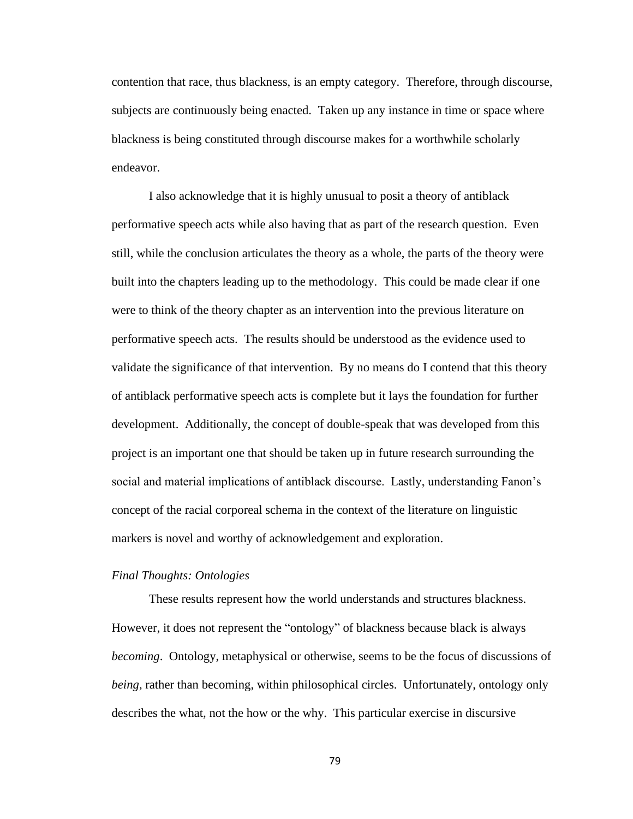contention that race, thus blackness, is an empty category. Therefore, through discourse, subjects are continuously being enacted. Taken up any instance in time or space where blackness is being constituted through discourse makes for a worthwhile scholarly endeavor.

I also acknowledge that it is highly unusual to posit a theory of antiblack performative speech acts while also having that as part of the research question. Even still, while the conclusion articulates the theory as a whole, the parts of the theory were built into the chapters leading up to the methodology. This could be made clear if one were to think of the theory chapter as an intervention into the previous literature on performative speech acts. The results should be understood as the evidence used to validate the significance of that intervention. By no means do I contend that this theory of antiblack performative speech acts is complete but it lays the foundation for further development. Additionally, the concept of double-speak that was developed from this project is an important one that should be taken up in future research surrounding the social and material implications of antiblack discourse. Lastly, understanding Fanon's concept of the racial corporeal schema in the context of the literature on linguistic markers is novel and worthy of acknowledgement and exploration.

### *Final Thoughts: Ontologies*

These results represent how the world understands and structures blackness. However, it does not represent the "ontology" of blackness because black is always *becoming*. Ontology, metaphysical or otherwise, seems to be the focus of discussions of *being,* rather than becoming, within philosophical circles. Unfortunately, ontology only describes the what, not the how or the why. This particular exercise in discursive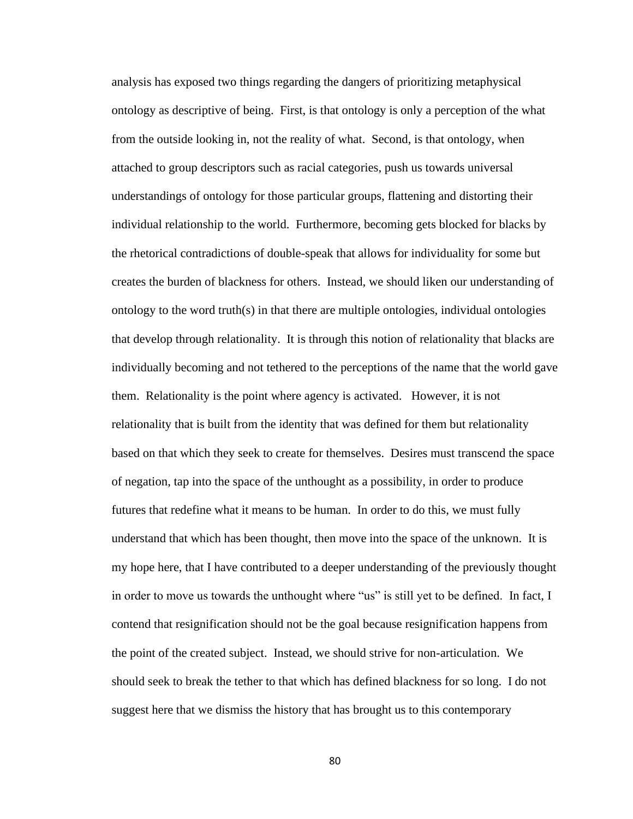analysis has exposed two things regarding the dangers of prioritizing metaphysical ontology as descriptive of being. First, is that ontology is only a perception of the what from the outside looking in, not the reality of what. Second, is that ontology, when attached to group descriptors such as racial categories, push us towards universal understandings of ontology for those particular groups, flattening and distorting their individual relationship to the world. Furthermore, becoming gets blocked for blacks by the rhetorical contradictions of double-speak that allows for individuality for some but creates the burden of blackness for others. Instead, we should liken our understanding of ontology to the word truth(s) in that there are multiple ontologies, individual ontologies that develop through relationality. It is through this notion of relationality that blacks are individually becoming and not tethered to the perceptions of the name that the world gave them. Relationality is the point where agency is activated. However, it is not relationality that is built from the identity that was defined for them but relationality based on that which they seek to create for themselves. Desires must transcend the space of negation, tap into the space of the unthought as a possibility, in order to produce futures that redefine what it means to be human. In order to do this, we must fully understand that which has been thought, then move into the space of the unknown. It is my hope here, that I have contributed to a deeper understanding of the previously thought in order to move us towards the unthought where "us" is still yet to be defined. In fact, I contend that resignification should not be the goal because resignification happens from the point of the created subject. Instead, we should strive for non-articulation. We should seek to break the tether to that which has defined blackness for so long. I do not suggest here that we dismiss the history that has brought us to this contemporary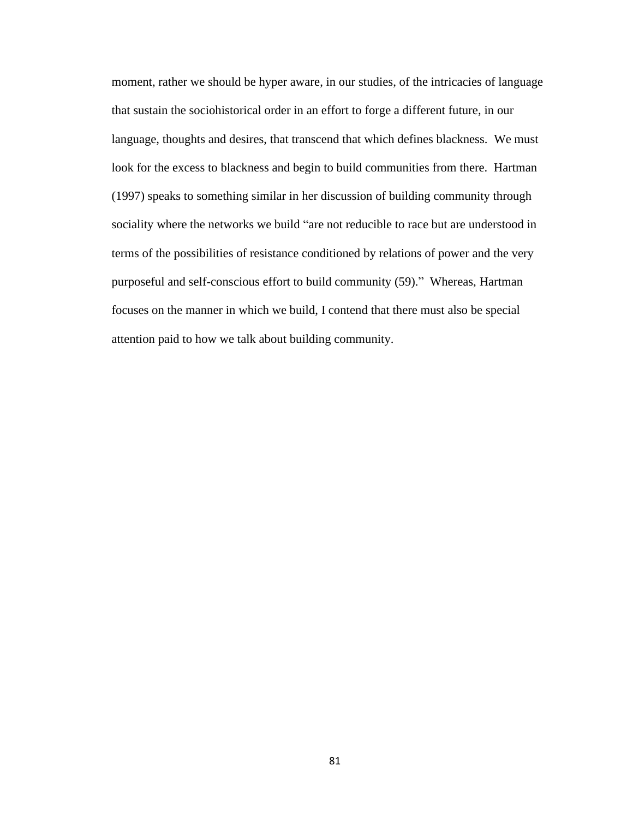moment, rather we should be hyper aware, in our studies, of the intricacies of language that sustain the sociohistorical order in an effort to forge a different future, in our language, thoughts and desires, that transcend that which defines blackness. We must look for the excess to blackness and begin to build communities from there. Hartman (1997) speaks to something similar in her discussion of building community through sociality where the networks we build "are not reducible to race but are understood in terms of the possibilities of resistance conditioned by relations of power and the very purposeful and self-conscious effort to build community (59)." Whereas, Hartman focuses on the manner in which we build, I contend that there must also be special attention paid to how we talk about building community.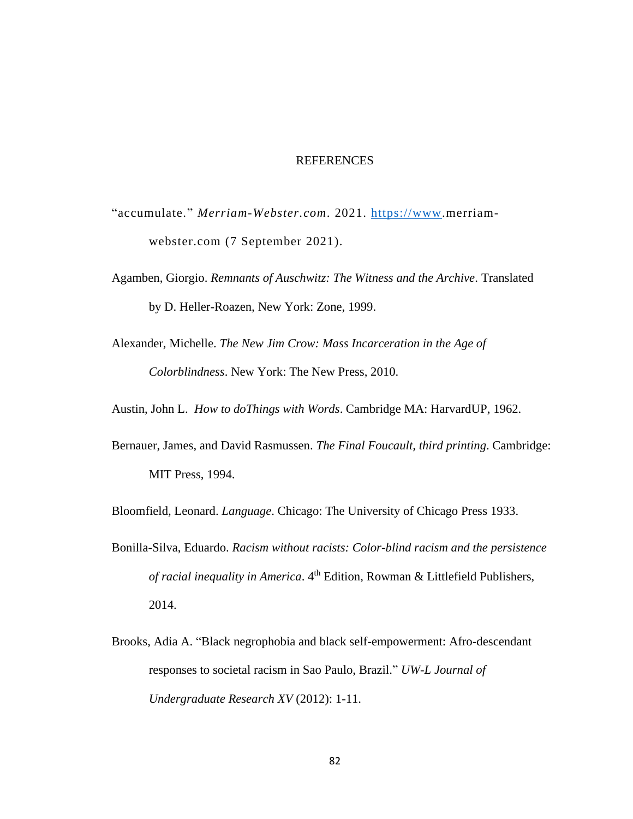### **REFERENCES**

- "accumulate." *Merriam-Webster.com*. 2021. [https://www.](https://www/)merriamwebster.com (7 September 2021).
- Agamben, Giorgio. *Remnants of Auschwitz: The Witness and the Archive*. Translated by D. Heller-Roazen*,* New York: Zone, 1999.
- Alexander, Michelle. *The New Jim Crow: Mass Incarceration in the Age of Colorblindness*. New York: The New Press, 2010.

Austin, John L. *How to doThings with Words*. Cambridge MA: HarvardUP, 1962.

Bernauer, James, and David Rasmussen. *The Final Foucault, third printing*. Cambridge: MIT Press, 1994.

Bloomfield, Leonard. *Language*. Chicago: The University of Chicago Press 1933.

- Bonilla-Silva, Eduardo. *Racism without racists: Color-blind racism and the persistence of racial inequality in America*. 4 th Edition, Rowman & Littlefield Publishers, 2014.
- Brooks, Adia A. "Black negrophobia and black self-empowerment: Afro-descendant responses to societal racism in Sao Paulo, Brazil." *UW-L Journal of Undergraduate Research XV* (2012): 1-11.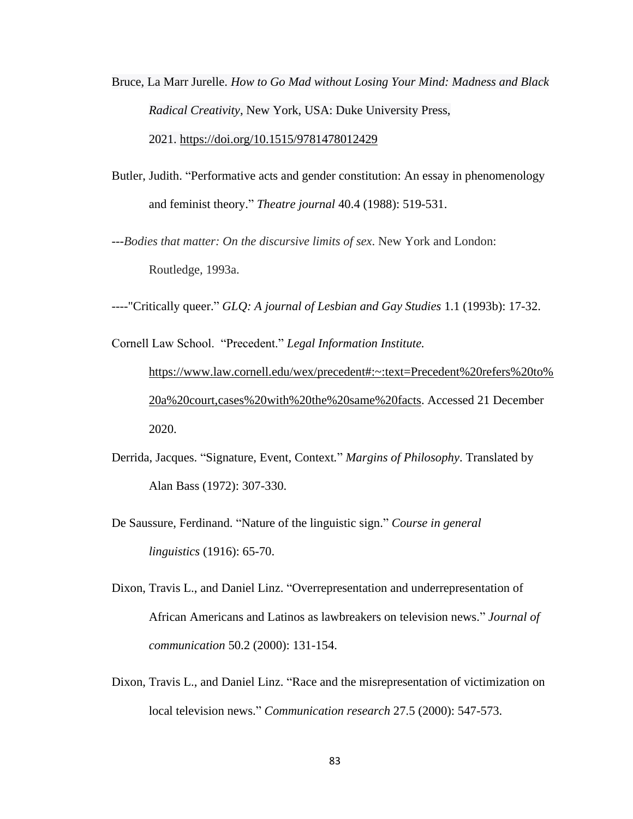- Bruce, La Marr Jurelle. *How to Go Mad without Losing Your Mind: Madness and Black Radical Creativity*, New York, USA: Duke University Press, 2021. <https://doi.org/10.1515/9781478012429>
- Butler, Judith. "Performative acts and gender constitution: An essay in phenomenology and feminist theory." *Theatre journal* 40.4 (1988): 519-531.
- ---*Bodies that matter: On the discursive limits of sex*. New York and London: Routledge*,* 1993a.
- ----"Critically queer." *GLQ: A journal of Lesbian and Gay Studies* 1.1 (1993b): 17-32.

Cornell Law School. "Precedent." *Legal Information Institute.* [https://www.law.cornell.edu/wex/precedent#:~:text=Precedent%20refers%20to%](https://www.law.cornell.edu/wex/precedent#:~:text=Precedent%20refers%20to%20a%20court,cases%20with%20the%20same%20facts) [20a%20court,cases%20with%20the%20same%20facts.](https://www.law.cornell.edu/wex/precedent#:~:text=Precedent%20refers%20to%20a%20court,cases%20with%20the%20same%20facts) Accessed 21 December 2020.

- Derrida, Jacques. "Signature, Event, Context*.*" *Margins of Philosophy*. Translated by Alan Bass (1972): 307-330.
- De Saussure, Ferdinand. "Nature of the linguistic sign." *Course in general linguistics* (1916): 65-70.
- Dixon, Travis L., and Daniel Linz. "Overrepresentation and underrepresentation of African Americans and Latinos as lawbreakers on television news." *Journal of communication* 50.2 (2000): 131-154.
- Dixon, Travis L., and Daniel Linz. "Race and the misrepresentation of victimization on local television news." *Communication research* 27.5 (2000): 547-573.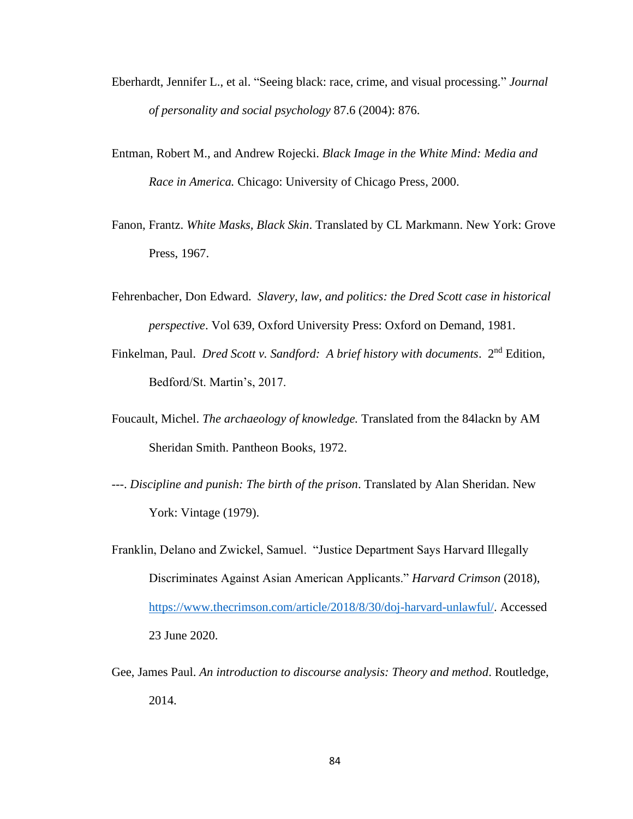- Eberhardt, Jennifer L., et al. "Seeing black: race, crime, and visual processing." *Journal of personality and social psychology* 87.6 (2004): 876.
- Entman, Robert M., and Andrew Rojecki. *Black Image in the White Mind: Media and Race in America.* Chicago: University of Chicago Press, 2000.
- Fanon, Frantz. *White Masks, Black Skin*. Translated by CL Markmann. New York: Grove Press, 1967.
- Fehrenbacher, Don Edward. *Slavery, law, and politics: the Dred Scott case in historical perspective*. Vol 639, Oxford University Press: Oxford on Demand, 1981.
- Finkelman, Paul. *Dred Scott v. Sandford: A brief history with documents.* 2<sup>nd</sup> Edition, Bedford/St. Martin's, 2017.
- Foucault, Michel. *The archaeology of knowledge.* Translated from the 84lackn by AM Sheridan Smith. Pantheon Books, 1972.
- ---. *Discipline and punish: The birth of the prison*. Translated by Alan Sheridan. New York: Vintage (1979).
- Franklin, Delano and Zwickel, Samuel. "Justice Department Says Harvard Illegally Discriminates Against Asian American Applicants." *Harvard Crimson* (2018), [https://www.thecrimson.com/article/2018/8/30/doj-harvard-unlawful/.](https://www.thecrimson.com/article/2018/8/30/doj-harvard-unlawful/) Accessed 23 June 2020.
- Gee, James Paul. *An introduction to discourse analysis: Theory and method*. Routledge, 2014.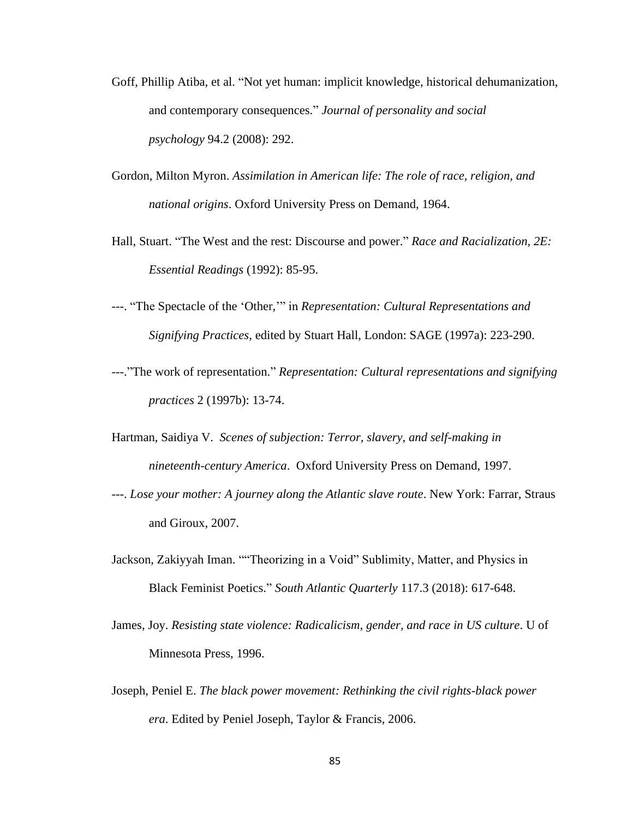- Goff, Phillip Atiba, et al. "Not yet human: implicit knowledge, historical dehumanization, and contemporary consequences." *Journal of personality and social psychology* 94.2 (2008): 292.
- Gordon, Milton Myron. *Assimilation in American life: The role of race, religion, and national origins*. Oxford University Press on Demand, 1964.
- Hall, Stuart. "The West and the rest: Discourse and power." *Race and Racialization, 2E: Essential Readings* (1992): 85-95.
- ---. "The Spectacle of the 'Other,'" in *Representation: Cultural Representations and Signifying Practices*, edited by Stuart Hall, London: SAGE (1997a): 223-290.
- ---."The work of representation." *Representation: Cultural representations and signifying practices* 2 (1997b): 13-74.
- Hartman, Saidiya V. *Scenes of subjection: Terror, slavery, and self-making in nineteenth-century America*. Oxford University Press on Demand, 1997.
- ---. *Lose your mother: A journey along the Atlantic slave route*. New York: Farrar, Straus and Giroux, 2007.
- Jackson, Zakiyyah Iman. ""Theorizing in a Void" Sublimity, Matter, and Physics in Black Feminist Poetics." *South Atlantic Quarterly* 117.3 (2018): 617-648.
- James, Joy. *Resisting state violence: Radicalicism, gender, and race in US culture*. U of Minnesota Press, 1996.
- Joseph, Peniel E. *The black power movement: Rethinking the civil rights-black power era*. Edited by Peniel Joseph, Taylor & Francis, 2006.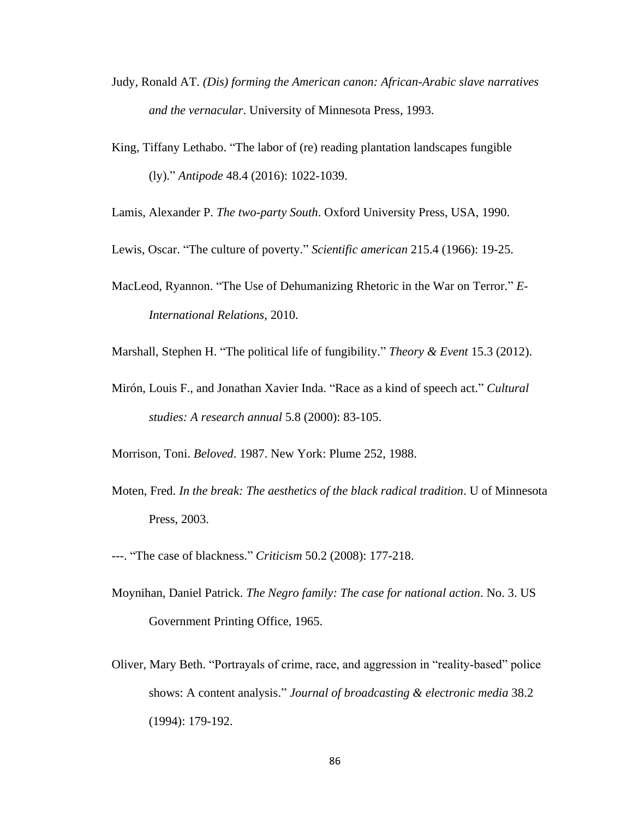- Judy, Ronald AT. *(Dis) forming the American canon: African-Arabic slave narratives and the vernacular*. University of Minnesota Press, 1993.
- King, Tiffany Lethabo. "The labor of (re) reading plantation landscapes fungible (ly)." *Antipode* 48.4 (2016): 1022-1039.
- Lamis, Alexander P. *The two-party South*. Oxford University Press, USA, 1990.
- Lewis, Oscar. "The culture of poverty." *Scientific american* 215.4 (1966): 19-25.
- MacLeod, Ryannon. "The Use of Dehumanizing Rhetoric in the War on Terror." *E-International Relations*, 2010.
- Marshall, Stephen H. "The political life of fungibility." *Theory & Event* 15.3 (2012).
- Mirón, Louis F., and Jonathan Xavier Inda. "Race as a kind of speech act." *Cultural studies: A research annual* 5.8 (2000): 83-105.
- Morrison, Toni. *Beloved*. 1987. New York: Plume 252, 1988.
- Moten, Fred. *In the break: The aesthetics of the black radical tradition*. U of Minnesota Press, 2003.
- ---. "The case of blackness." *Criticism* 50.2 (2008): 177-218.
- Moynihan, Daniel Patrick. *The Negro family: The case for national action*. No. 3. US Government Printing Office, 1965.
- Oliver, Mary Beth. "Portrayals of crime, race, and aggression in "reality‐based" police shows: A content analysis." *Journal of broadcasting & electronic media* 38.2 (1994): 179-192.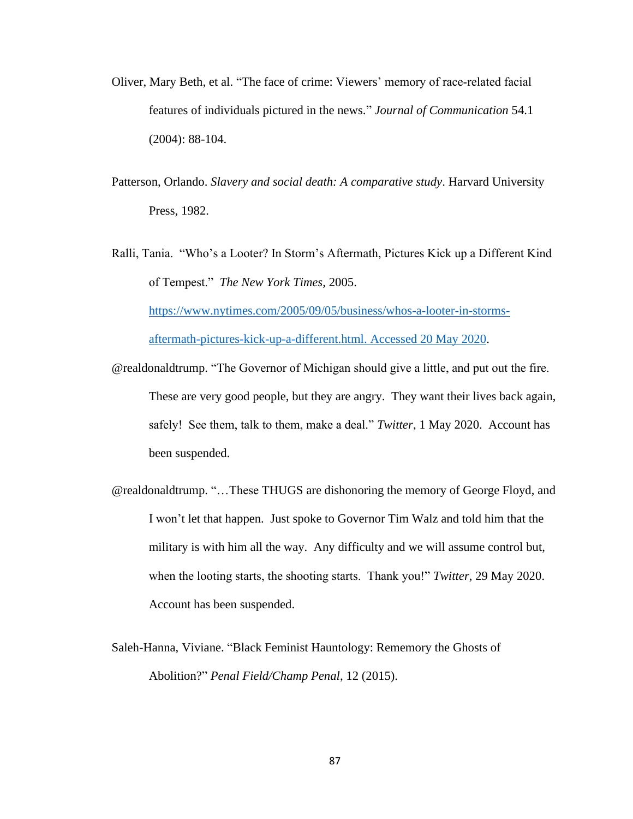- Oliver, Mary Beth, et al. "The face of crime: Viewers' memory of race‐related facial features of individuals pictured in the news." *Journal of Communication* 54.1 (2004): 88-104.
- Patterson, Orlando. *Slavery and social death: A comparative study*. Harvard University Press, 1982.
- Ralli, Tania. "Who's a Looter? In Storm's Aftermath, Pictures Kick up a Different Kind of Tempest." *The New York Times*, 2005. [https://www.nytimes.com/2005/09/05/business/whos-a-looter-in-storms](https://www.nytimes.com/2005/09/05/business/whos-a-looter-in-storms-aftermath-pictures-kick-up-a-different.html.%20Accessed%2020%20May%202020)[aftermath-pictures-kick-up-a-different.html. Accessed 20 May 2020.](https://www.nytimes.com/2005/09/05/business/whos-a-looter-in-storms-aftermath-pictures-kick-up-a-different.html.%20Accessed%2020%20May%202020)
- @realdonaldtrump. "The Governor of Michigan should give a little, and put out the fire. These are very good people, but they are angry. They want their lives back again, safely! See them, talk to them, make a deal." *Twitter*, 1 May 2020. Account has been suspended.
- @realdonaldtrump. "…These THUGS are dishonoring the memory of George Floyd, and I won't let that happen. Just spoke to Governor Tim Walz and told him that the military is with him all the way. Any difficulty and we will assume control but, when the looting starts, the shooting starts. Thank you!" *Twitter*, 29 May 2020. Account has been suspended.
- Saleh-Hanna, Viviane. "Black Feminist Hauntology: Rememory the Ghosts of Abolition?" *Penal Field/Champ Penal*, 12 (2015).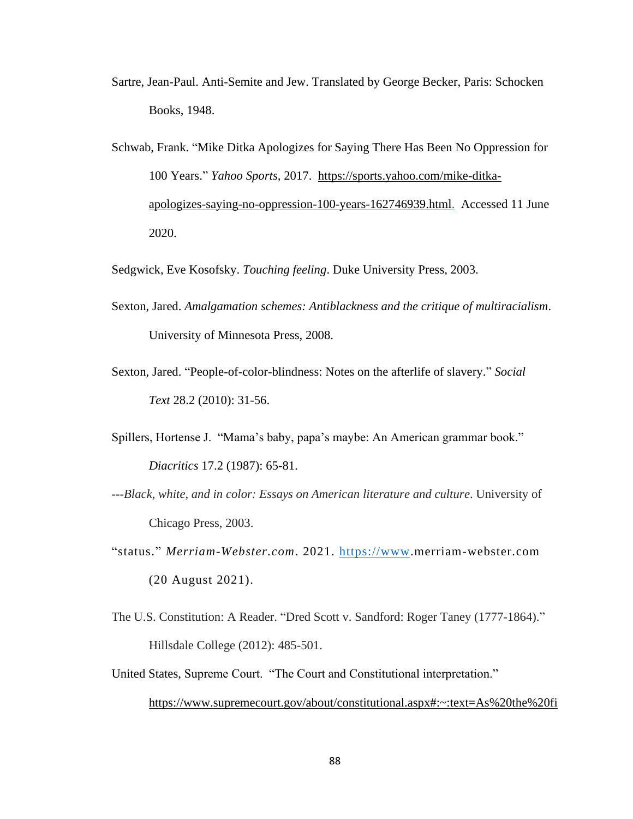- Sartre, Jean-Paul. Anti-Semite and Jew. Translated by George Becker, Paris: Schocken Books, 1948.
- Schwab, Frank. "Mike Ditka Apologizes for Saying There Has Been No Oppression for 100 Years." *Yahoo Sports,* 2017. [https://sports.yahoo.com/mike-ditka](https://sports.yahoo.com/mike-ditka-apologizes-saying-no-oppression-100-years-162746939.html)[apologizes-saying-no-oppression-100-years-162746939.html.](https://sports.yahoo.com/mike-ditka-apologizes-saying-no-oppression-100-years-162746939.html) Accessed 11 June 2020.

Sedgwick, Eve Kosofsky. *Touching feeling*. Duke University Press, 2003.

- Sexton, Jared. *Amalgamation schemes: Antiblackness and the critique of multiracialism*. University of Minnesota Press, 2008.
- Sexton, Jared. "People-of-color-blindness: Notes on the afterlife of slavery." *Social Text* 28.2 (2010): 31-56.
- Spillers, Hortense J. "Mama's baby, papa's maybe: An American grammar book." *Diacritics* 17.2 (1987): 65-81.
- ---*Black, white, and in color: Essays on American literature and culture*. University of Chicago Press, 2003.
- "status." *Merriam-Webster.com*. 2021. [https://www.](https://www/)merriam-webster.com (20 August 2021).
- The U.S. Constitution: A Reader. "Dred Scott v. Sandford: Roger Taney (1777-1864)." Hillsdale College (2012): 485-501.
- United States, Supreme Court. "The Court and Constitutional interpretation." [https://www.supremecourt.gov/about/constitutional.aspx#:~:text=As%20the%20fi](https://www.supremecourt.gov/about/constitutional.aspx#:~:text=As%20the%20final%20arbiter%20of,Justice%20Charles%20Evans%20Hughes%20observed)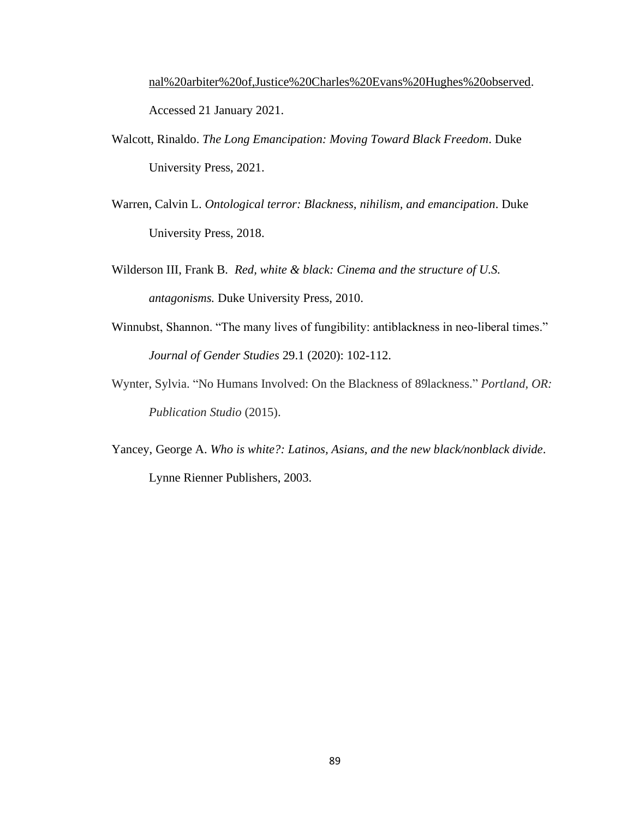[nal%20arbiter%20of,Justice%20Charles%20Evans%20Hughes%20observed.](https://www.supremecourt.gov/about/constitutional.aspx#:~:text=As%20the%20final%20arbiter%20of,Justice%20Charles%20Evans%20Hughes%20observed) Accessed 21 January 2021.

- Walcott, Rinaldo. *The Long Emancipation: Moving Toward Black Freedom*. Duke University Press, 2021.
- Warren, Calvin L. *Ontological terror: Blackness, nihilism, and emancipation*. Duke University Press, 2018.
- Wilderson III, Frank B*. Red, white & black: Cinema and the structure of U.S. antagonisms.* Duke University Press, 2010.
- Winnubst, Shannon. "The many lives of fungibility: antiblackness in neo-liberal times." *Journal of Gender Studies* 29.1 (2020): 102-112.
- Wynter, Sylvia. "No Humans Involved: On the Blackness of 89lackness." *Portland, OR: Publication Studio* (2015).
- Yancey, George A. *Who is white?: Latinos, Asians, and the new black/nonblack divide*. Lynne Rienner Publishers, 2003.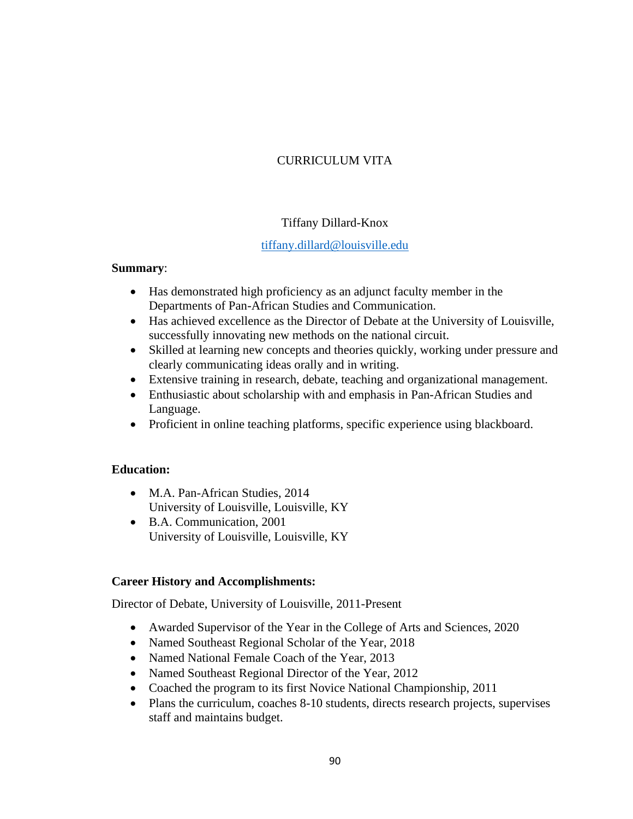# CURRICULUM VITA

# Tiffany Dillard-Knox

# [tiffany.dillard@louisville.edu](mailto:tiffany.dillard@louisville.edu)

## **Summary**:

- Has demonstrated high proficiency as an adjunct faculty member in the Departments of Pan-African Studies and Communication.
- Has achieved excellence as the Director of Debate at the University of Louisville, successfully innovating new methods on the national circuit.
- Skilled at learning new concepts and theories quickly, working under pressure and clearly communicating ideas orally and in writing.
- Extensive training in research, debate, teaching and organizational management.
- Enthusiastic about scholarship with and emphasis in Pan-African Studies and Language.
- Proficient in online teaching platforms, specific experience using blackboard.

# **Education:**

- M.A. Pan-African Studies, 2014 University of Louisville, Louisville, KY
- B.A. Communication, 2001 University of Louisville, Louisville, KY

# **Career History and Accomplishments:**

Director of Debate, University of Louisville, 2011-Present

- Awarded Supervisor of the Year in the College of Arts and Sciences, 2020
- Named Southeast Regional Scholar of the Year, 2018
- Named National Female Coach of the Year, 2013
- Named Southeast Regional Director of the Year, 2012
- Coached the program to its first Novice National Championship, 2011
- Plans the curriculum, coaches 8-10 students, directs research projects, supervises staff and maintains budget.